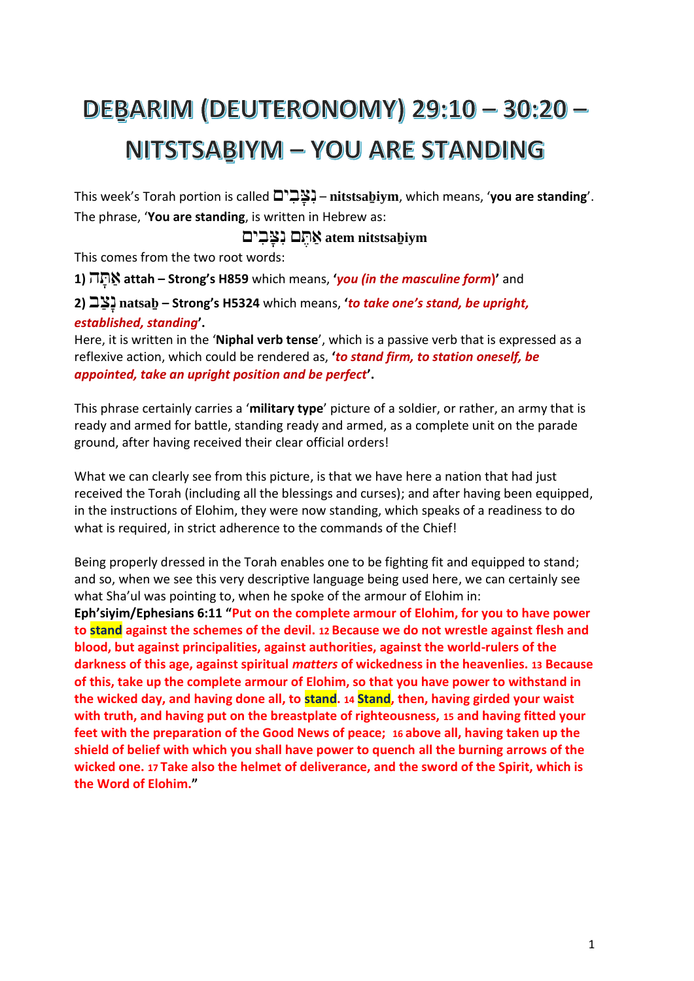### **DEBARIM (DEUTERONOMY) 29:10 - 30:20 -**NITSTSABIYM - YOU ARE STANDING

This week's Torah portion is called ים ִב ָּצ ִנ – **nitstsaḇiym**, which means, '**you are standing**'. The phrase, '**You are standing**, is written in Hebrew as:

#### **nitstsaḇiym atem** אַ תֶּ ם נִ צָּ בִ ים

This comes from the two root words:

**1)** ה ָּת ַא **attah – Strong's H859** which means, **'***you (in the masculine form***)'** and

**2)** ב ַצָּנ **natsaḇ – Strong's H5324** which means, **'***to take one's stand, be upright, established, standing***'.**

Here, it is written in the '**Niphal verb tense**', which is a passive verb that is expressed as a reflexive action, which could be rendered as, **'***to stand firm, to station oneself, be appointed, take an upright position and be perfect***'.** 

This phrase certainly carries a '**military type**' picture of a soldier, or rather, an army that is ready and armed for battle, standing ready and armed, as a complete unit on the parade ground, after having received their clear official orders!

What we can clearly see from this picture, is that we have here a nation that had just received the Torah (including all the blessings and curses); and after having been equipped, in the instructions of Elohim, they were now standing, which speaks of a readiness to do what is required, in strict adherence to the commands of the Chief!

Being properly dressed in the Torah enables one to be fighting fit and equipped to stand; and so, when we see this very descriptive language being used here, we can certainly see what Sha'ul was pointing to, when he spoke of the armour of Elohim in: **Eph'siyim/Ephesians 6:11 "Put on the complete armour of Elohim, for you to have power to stand against the schemes of the devil. 12 Because we do not wrestle against flesh and blood, but against principalities, against authorities, against the world-rulers of the darkness of this age, against spiritual** *matters* **of wickedness in the heavenlies. 13 Because of this, take up the complete armour of Elohim, so that you have power to withstand in the wicked day, and having done all, to stand. 14 Stand, then, having girded your waist with truth, and having put on the breastplate of righteousness, 15 and having fitted your feet with the preparation of the Good News of peace; 16 above all, having taken up the shield of belief with which you shall have power to quench all the burning arrows of the wicked one. 17 Take also the helmet of deliverance, and the sword of the Spirit, which is the Word of Elohim."**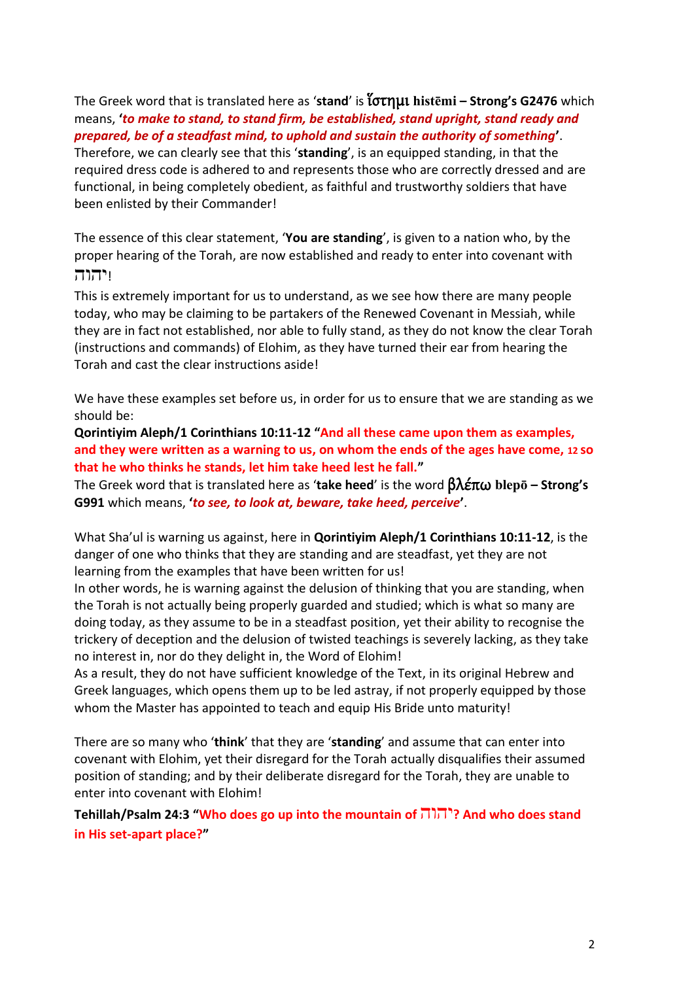The Greek word that is translated here as '**stand**' is ἵστημι **histēmi – Strong's G2476** which means, **'***to make to stand, to stand firm, be established, stand upright, stand ready and prepared, be of a steadfast mind, to uphold and sustain the authority of something***'**.

Therefore, we can clearly see that this '**standing**', is an equipped standing, in that the required dress code is adhered to and represents those who are correctly dressed and are functional, in being completely obedient, as faithful and trustworthy soldiers that have been enlisted by their Commander!

The essence of this clear statement, '**You are standing**', is given to a nation who, by the proper hearing of the Torah, are now established and ready to enter into covenant with !יהוה

This is extremely important for us to understand, as we see how there are many people today, who may be claiming to be partakers of the Renewed Covenant in Messiah, while they are in fact not established, nor able to fully stand, as they do not know the clear Torah (instructions and commands) of Elohim, as they have turned their ear from hearing the Torah and cast the clear instructions aside!

We have these examples set before us, in order for us to ensure that we are standing as we should be:

**Qorintiyim Aleph/1 Corinthians 10:11-12 "And all these came upon them as examples, and they were written as a warning to us, on whom the ends of the ages have come, 12 so that he who thinks he stands, let him take heed lest he fall."**

The Greek word that is translated here as '**take heed**' is the word βλέπω **blepō – Strong's G991** which means, **'***to see, to look at, beware, take heed, perceive***'**.

What Sha'ul is warning us against, here in **Qorintiyim Aleph/1 Corinthians 10:11-12**, is the danger of one who thinks that they are standing and are steadfast, yet they are not learning from the examples that have been written for us!

In other words, he is warning against the delusion of thinking that you are standing, when the Torah is not actually being properly guarded and studied; which is what so many are doing today, as they assume to be in a steadfast position, yet their ability to recognise the trickery of deception and the delusion of twisted teachings is severely lacking, as they take no interest in, nor do they delight in, the Word of Elohim!

As a result, they do not have sufficient knowledge of the Text, in its original Hebrew and Greek languages, which opens them up to be led astray, if not properly equipped by those whom the Master has appointed to teach and equip His Bride unto maturity!

There are so many who '**think**' that they are '**standing**' and assume that can enter into covenant with Elohim, yet their disregard for the Torah actually disqualifies their assumed position of standing; and by their deliberate disregard for the Torah, they are unable to enter into covenant with Elohim!

**Tehillah/Psalm 24:3 "Who does go up into the mountain of** יהוה **?And who does stand in His set-apart place?"**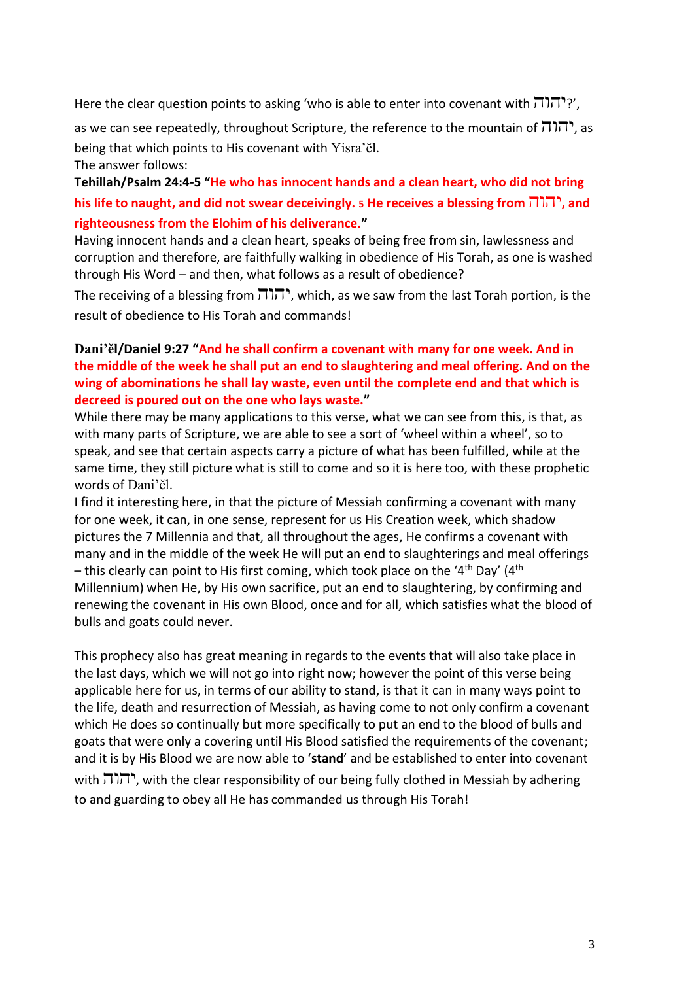Here the clear question points to asking 'who is able to enter into covenant with  $\pi$ 

as we can see repeatedly, throughout Scripture, the reference to the mountain of  $\pi$ וה, as being that which points to His covenant with Yisra'ĕl. The answer follows:

**Tehillah/Psalm 24:4-5 "He who has innocent hands and a clean heart, who did not bring his life to naught, and did not swear deceivingly. <sup>5</sup> He receives a blessing from** יהוה**, and righteousness from the Elohim of his deliverance."**

Having innocent hands and a clean heart, speaks of being free from sin, lawlessness and corruption and therefore, are faithfully walking in obedience of His Torah, as one is washed through His Word – and then, what follows as a result of obedience?

The receiving of a blessing from יהוה, which, as we saw from the last Torah portion, is the result of obedience to His Torah and commands!

#### **Dani'ěl/Daniel 9:27 "And he shall confirm a covenant with many for one week. And in the middle of the week he shall put an end to slaughtering and meal offering. And on the wing of abominations he shall lay waste, even until the complete end and that which is decreed is poured out on the one who lays waste."**

While there may be many applications to this verse, what we can see from this, is that, as with many parts of Scripture, we are able to see a sort of 'wheel within a wheel', so to speak, and see that certain aspects carry a picture of what has been fulfilled, while at the same time, they still picture what is still to come and so it is here too, with these prophetic words of Dani'ěl.

I find it interesting here, in that the picture of Messiah confirming a covenant with many for one week, it can, in one sense, represent for us His Creation week, which shadow pictures the 7 Millennia and that, all throughout the ages, He confirms a covenant with many and in the middle of the week He will put an end to slaughterings and meal offerings – this clearly can point to His first coming, which took place on the '4<sup>th</sup> Day' (4<sup>th</sup>) Millennium) when He, by His own sacrifice, put an end to slaughtering, by confirming and renewing the covenant in His own Blood, once and for all, which satisfies what the blood of bulls and goats could never.

This prophecy also has great meaning in regards to the events that will also take place in the last days, which we will not go into right now; however the point of this verse being applicable here for us, in terms of our ability to stand, is that it can in many ways point to the life, death and resurrection of Messiah, as having come to not only confirm a covenant which He does so continually but more specifically to put an end to the blood of bulls and goats that were only a covering until His Blood satisfied the requirements of the covenant; and it is by His Blood we are now able to '**stand**' and be established to enter into covenant

with  $\overline{1}$ , with the clear responsibility of our being fully clothed in Messiah by adhering to and guarding to obey all He has commanded us through His Torah!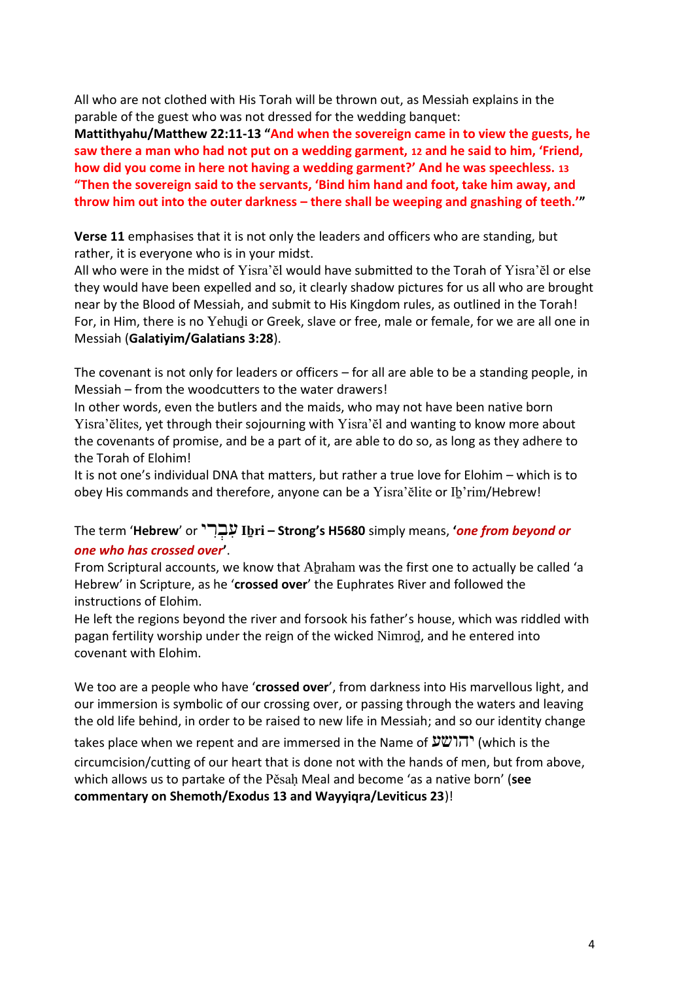All who are not clothed with His Torah will be thrown out, as Messiah explains in the parable of the guest who was not dressed for the wedding banquet:

**Mattithyahu/Matthew 22:11-13 "And when the sovereign came in to view the guests, he saw there a man who had not put on a wedding garment, 12 and he said to him, 'Friend, how did you come in here not having a wedding garment?' And he was speechless. 13 "Then the sovereign said to the servants, 'Bind him hand and foot, take him away, and throw him out into the outer darkness – there shall be weeping and gnashing of teeth.'"**

**Verse 11** emphasises that it is not only the leaders and officers who are standing, but rather, it is everyone who is in your midst.

All who were in the midst of Yisra'ĕl would have submitted to the Torah of Yisra'ĕl or else they would have been expelled and so, it clearly shadow pictures for us all who are brought near by the Blood of Messiah, and submit to His Kingdom rules, as outlined in the Torah! For, in Him, there is no Yehuḏi or Greek, slave or free, male or female, for we are all one in Messiah (**Galatiyim/Galatians 3:28**).

The covenant is not only for leaders or officers – for all are able to be a standing people, in Messiah – from the woodcutters to the water drawers!

In other words, even the butlers and the maids, who may not have been native born Yisra'ĕlites, yet through their sojourning with Yisra'ĕl and wanting to know more about the covenants of promise, and be a part of it, are able to do so, as long as they adhere to the Torah of Elohim!

It is not one's individual DNA that matters, but rather a true love for Elohim – which is to obey His commands and therefore, anyone can be a Yisra'ĕlite or Iḇ'rim/Hebrew!

#### The term '**Hebrew**' or י ִר ְב ִע **Iḇri – Strong's H5680** simply means, **'***one from beyond or one who has crossed over***'**.

From Scriptural accounts, we know that Abraham was the first one to actually be called 'a Hebrew' in Scripture, as he '**crossed over**' the Euphrates River and followed the instructions of Elohim.

He left the regions beyond the river and forsook his father's house, which was riddled with pagan fertility worship under the reign of the wicked Nimroḏ, and he entered into covenant with Elohim.

We too are a people who have '**crossed over**', from darkness into His marvellous light, and our immersion is symbolic of our crossing over, or passing through the waters and leaving the old life behind, in order to be raised to new life in Messiah; and so our identity change

takes place when we repent and are immersed in the Name of יהושע) (which is the circumcision/cutting of our heart that is done not with the hands of men, but from above, which allows us to partake of the Pěsaḥ Meal and become 'as a native born' (**see commentary on Shemoth/Exodus 13 and Wayyiqra/Leviticus 23**)!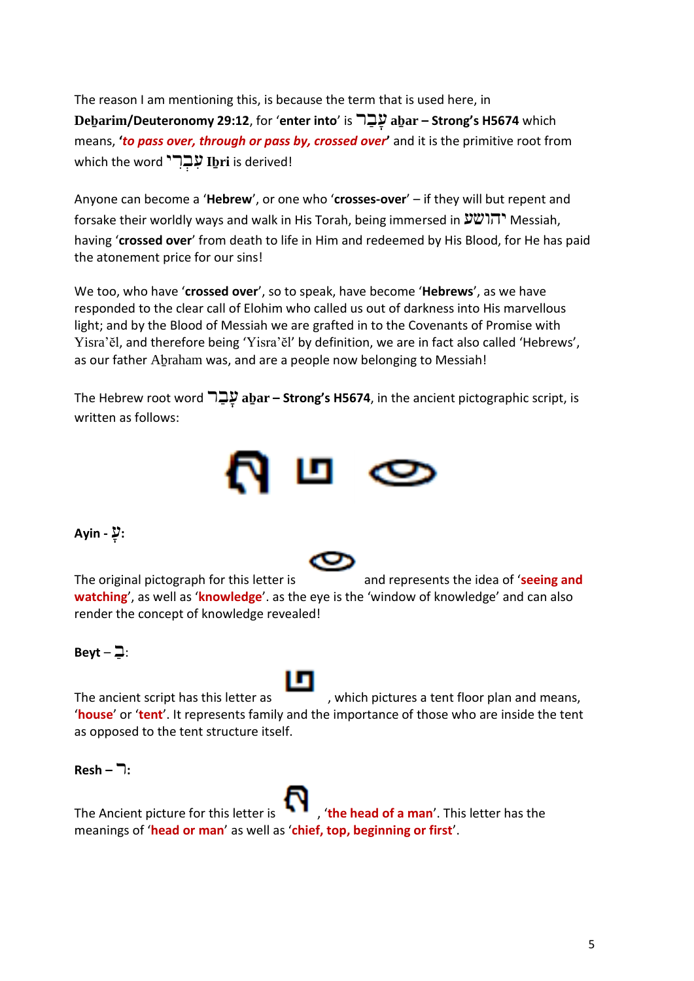The reason I am mentioning this, is because the term that is used here, in **Deḇarim/Deuteronomy 29:12**, for '**enter into**' is ר ַב ָּע **aḇar – Strong's H5674** which means, **'***to pass over, through or pass by, crossed over***'** and it is the primitive root from which the word **'יִבְרְי Ibֵri** is derived!

Anyone can become a '**Hebrew**', or one who '**crosses-over**' – if they will but repent and forsake their worldly ways and walk in His Torah, being immersed in יהושע Messiah, having '**crossed over**' from death to life in Him and redeemed by His Blood, for He has paid the atonement price for our sins!

We too, who have '**crossed over**', so to speak, have become '**Hebrews**', as we have responded to the clear call of Elohim who called us out of darkness into His marvellous light; and by the Blood of Messiah we are grafted in to the Covenants of Promise with Yisra'ĕl, and therefore being 'Yisra'ĕl' by definition, we are in fact also called 'Hebrews', as our father Aḇraham was, and are a people now belonging to Messiah!

The Hebrew root word ר ַב ָּע **aḇar – Strong's H5674**, in the ancient pictographic script, is written as follows:



#### **:**עָּ **- Ayin**

The original pictograph for this letter is and represents the idea of '**seeing and watching**', as well as '**knowledge**'. as the eye is the 'window of knowledge' and can also render the concept of knowledge revealed!

#### $Beyt - \beth$ :

The ancient script has this letter as , which pictures a tent floor plan and means, '**house**' or '**tent**'. It represents family and the importance of those who are inside the tent as opposed to the tent structure itself.

**:**ר **– Resh**



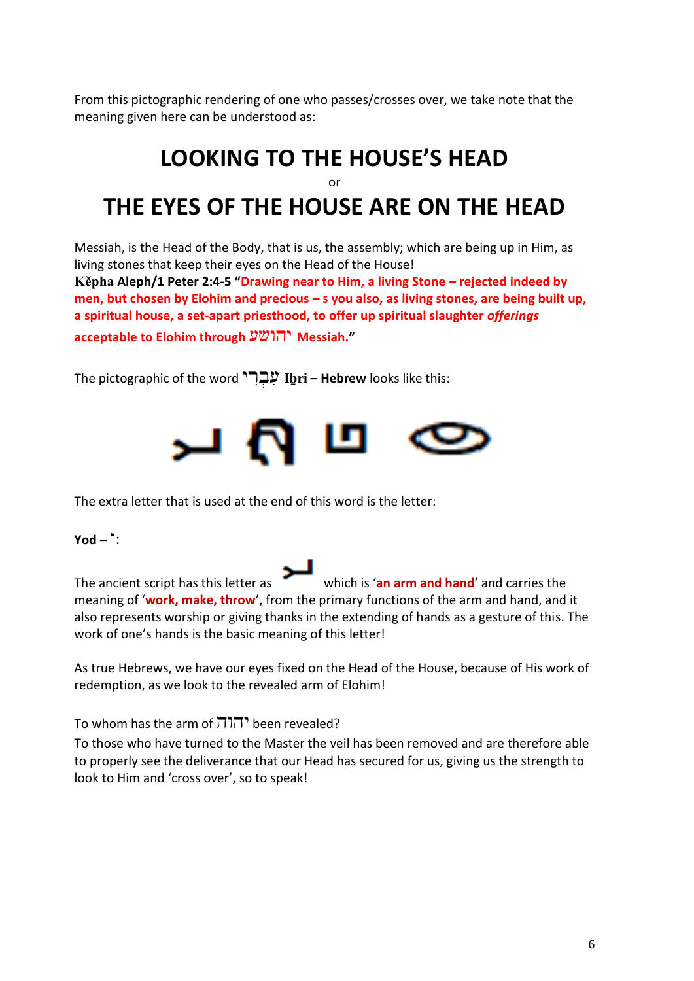From this pictographic rendering of one who passes/crosses over, we take note that the meaning given here can be understood as:

### **LOOKING TO THE HOUSE'S HEAD** or **THE EYES OF THE HOUSE ARE ON THE HEAD**

Messiah, is the Head of the Body, that is us, the assembly; which are being up in Him, as living stones that keep their eyes on the Head of the House!

**Kěpha Aleph/1 Peter 2:4-5 "Drawing near to Him, a living Stone – rejected indeed by men, but chosen by Elohim and precious – 5 you also, as living stones, are being built up, a spiritual house, a set-apart priesthood, to offer up spiritual slaughter** *offerings* **acceptable to Elohim through** יהושע **Messiah."**

The pictographic of the word י ִר ְב ִע **Iḇri – Hebrew** looks like this:



The extra letter that is used at the end of this word is the letter:

:י **– Yod**

The ancient script has this letter as which is '**an arm and hand**' and carries the meaning of '**work, make, throw**', from the primary functions of the arm and hand, and it also represents worship or giving thanks in the extending of hands as a gesture of this. The work of one's hands is the basic meaning of this letter!

As true Hebrews, we have our eyes fixed on the Head of the House, because of His work of redemption, as we look to the revealed arm of Elohim!

To whom has the arm of  $\overline{1}$ . The revealed?

To those who have turned to the Master the veil has been removed and are therefore able to properly see the deliverance that our Head has secured for us, giving us the strength to look to Him and 'cross over', so to speak!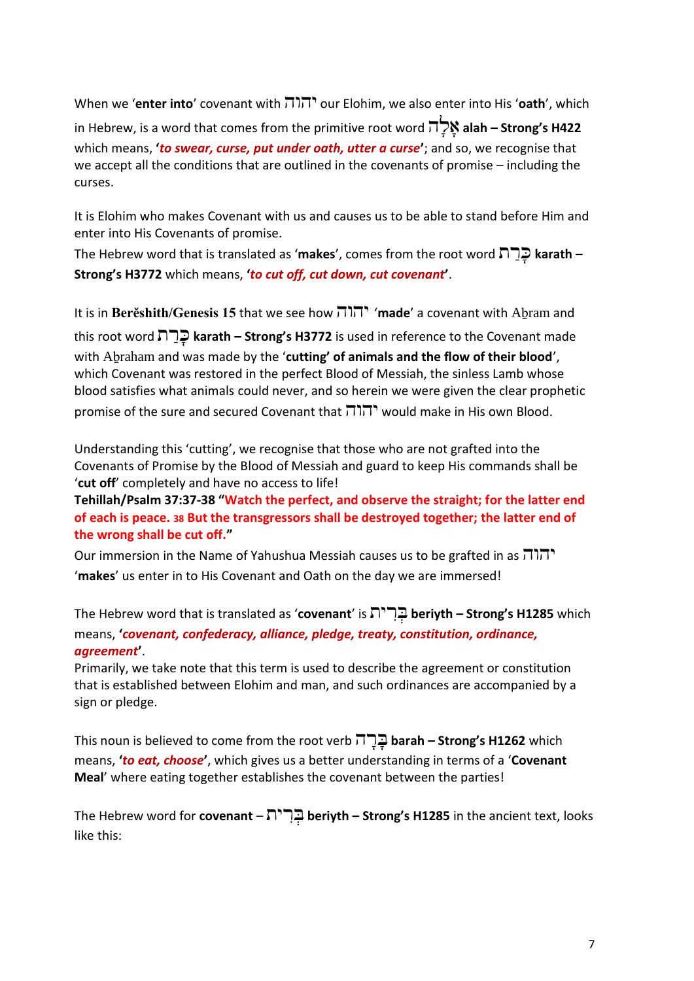When we '**enter into**' covenant with יהוה our Elohim, we also enter into His '**oath**', which

in Hebrew, is a word that comes from the primitive root word ה ָּל ָּא **alah – Strong's H422** which means, **'***to swear, curse, put under oath, utter a curse***'**; and so, we recognise that we accept all the conditions that are outlined in the covenants of promise – including the curses.

It is Elohim who makes Covenant with us and causes us to be able to stand before Him and enter into His Covenants of promise.

The Hebrew word that is translated as '**makes**', comes from the root word ת ַר ָּכ **karath – Strong's H3772** which means, **'***to cut off, cut down, cut covenant***'**.

It is in **Berěshith/Genesis 15** that we see how יהוה' **made**' a covenant with Aḇram and this root word ת ַר ָּכ **karath – Strong's H3772** is used in reference to the Covenant made with Aḇraham and was made by the '**cutting' of animals and the flow of their blood**', which Covenant was restored in the perfect Blood of Messiah, the sinless Lamb whose blood satisfies what animals could never, and so herein we were given the clear prophetic promise of the sure and secured Covenant that יהוה would make in His own Blood.

Understanding this 'cutting', we recognise that those who are not grafted into the Covenants of Promise by the Blood of Messiah and guard to keep His commands shall be '**cut off**' completely and have no access to life!

**Tehillah/Psalm 37:37-38 "Watch the perfect, and observe the straight; for the latter end of each is peace. 38 But the transgressors shall be destroyed together; the latter end of the wrong shall be cut off."**

Our immersion in the Name of Yahushua Messiah causes us to be grafted in as יהוה '**makes**' us enter in to His Covenant and Oath on the day we are immersed!

The Hebrew word that is translated as '**covenant**' is ית ִר ְב **beriyth – Strong's H1285** which means, **'***covenant, confederacy, alliance, pledge, treaty, constitution, ordinance, agreement***'**.

Primarily, we take note that this term is used to describe the agreement or constitution that is established between Elohim and man, and such ordinances are accompanied by a sign or pledge.

This noun is believed to come from the root verb ה ָּר ָּב **barah – Strong's H1262** which means, **'***to eat, choose***'**, which gives us a better understanding in terms of a '**Covenant Meal**' where eating together establishes the covenant between the parties!

The Hebrew word for **covenant** – ית ִר ְב **beriyth – Strong's H1285** in the ancient text, looks like this: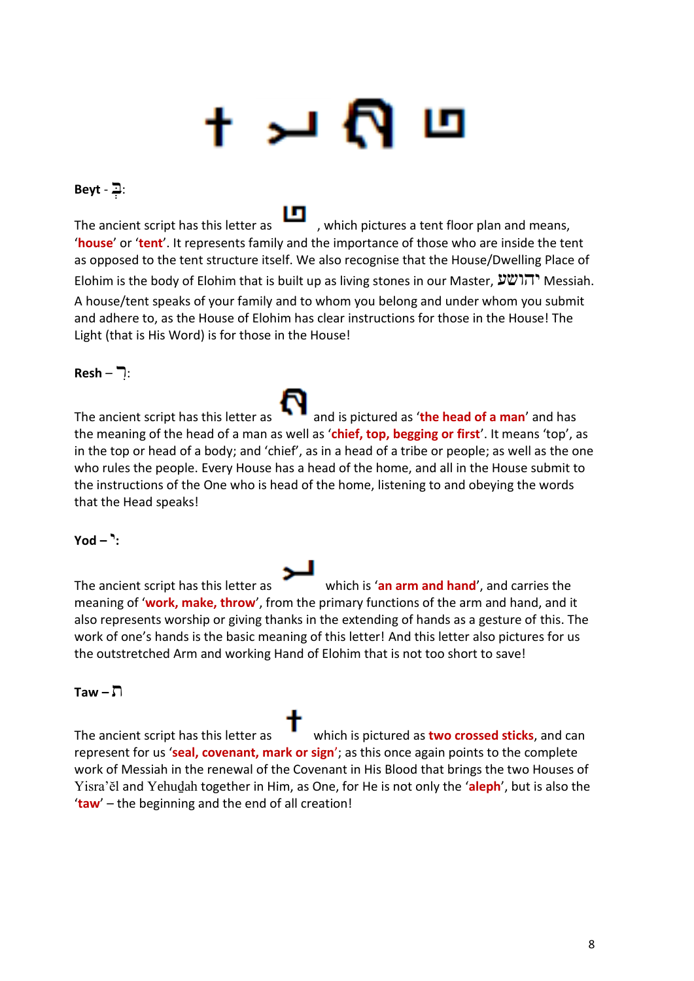# للر

#### :בְ - **Beyt**

The ancient script has this letter as , which pictures a tent floor plan and means, '**house**' or '**tent**'. It represents family and the importance of those who are inside the tent as opposed to the tent structure itself. We also recognise that the House/Dwelling Place of Elohim is the body of Elohim that is built up as living stones in our Master, יהושע Messiah. A house/tent speaks of your family and to whom you belong and under whom you submit and adhere to, as the House of Elohim has clear instructions for those in the House! The Light (that is His Word) is for those in the House!

#### :רִ – **Resh**

The ancient script has this letter as **AP** and is pictured as '**the head of a man'** and has the meaning of the head of a man as well as '**chief, top, begging or first**'. It means 'top', as in the top or head of a body; and 'chief', as in a head of a tribe or people; as well as the one who rules the people. Every House has a head of the home, and all in the House submit to the instructions of the One who is head of the home, listening to and obeying the words that the Head speaks!

#### **:**י **– Yod**

The ancient script has this letter as which is '**an arm and hand**', and carries the meaning of '**work, make, throw**', from the primary functions of the arm and hand, and it also represents worship or giving thanks in the extending of hands as a gesture of this. The work of one's hands is the basic meaning of this letter! And this letter also pictures for us the outstretched Arm and working Hand of Elohim that is not too short to save!

#### ת **– Taw**

The ancient script has this letter as which is pictured as **two crossed sticks**, and can represent for us '**seal, covenant, mark or sign**'; as this once again points to the complete work of Messiah in the renewal of the Covenant in His Blood that brings the two Houses of Yisra'ĕl and Yehuḏah together in Him, as One, for He is not only the '**aleph**', but is also the '**taw**' – the beginning and the end of all creation!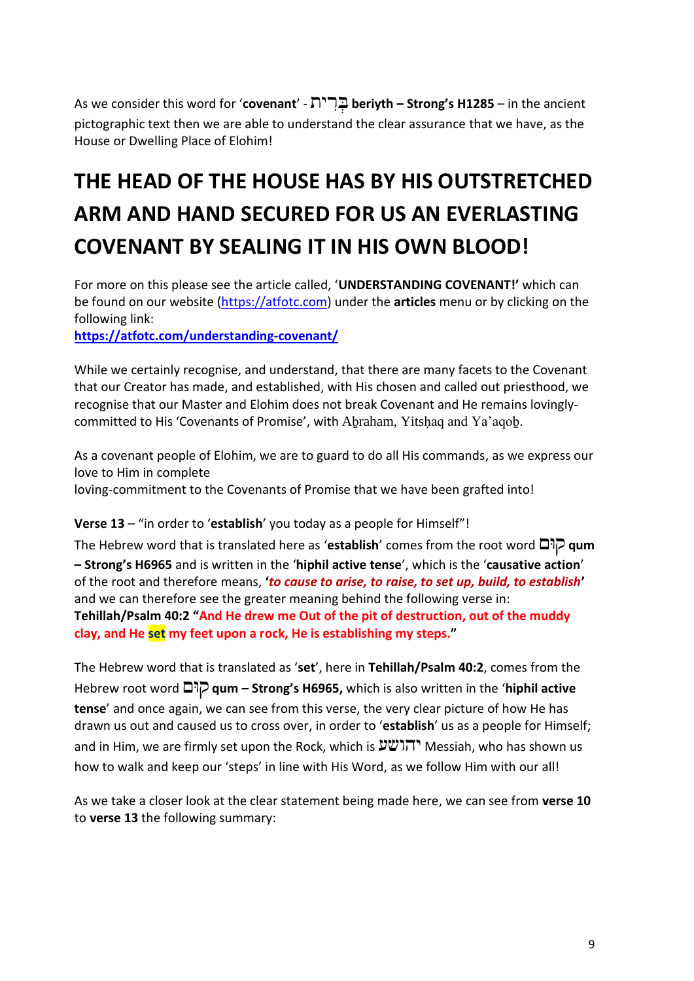As we consider this word for '**covenant**' - ית ִר ְב **beriyth – Strong's H1285** – in the ancient pictographic text then we are able to understand the clear assurance that we have, as the House or Dwelling Place of Elohim!

### **THE HEAD OF THE HOUSE HAS BY HIS OUTSTRETCHED ARM AND HAND SECURED FOR US AN EVERLASTING COVENANT BY SEALING IT IN HIS OWN BLOOD!**

For more on this please see the article called, '**UNDERSTANDING COVENANT!'** which can be found on our website [\(https://atfotc.com\)](https://atfotc.com/) under the **articles** menu or by clicking on the following link:

**<https://atfotc.com/understanding-covenant/>**

While we certainly recognise, and understand, that there are many facets to the Covenant that our Creator has made, and established, with His chosen and called out priesthood, we recognise that our Master and Elohim does not break Covenant and He remains lovinglycommitted to His 'Covenants of Promise', with Abraham, Yitshaq and Ya'aqob.

As a covenant people of Elohim, we are to guard to do all His commands, as we express our love to Him in complete

loving-commitment to the Covenants of Promise that we have been grafted into!

#### **Verse 13** – "in order to '**establish**' you today as a people for Himself"!

The Hebrew word that is translated here as '**establish**' comes from the root word וםּק **qum – Strong's H6965** and is written in the '**hiphil active tense**', which is the '**causative action**' of the root and therefore means, **'***to cause to arise, to raise, to set up, build, to establish***'** and we can therefore see the greater meaning behind the following verse in: **Tehillah/Psalm 40:2 "And He drew me Out of the pit of destruction, out of the muddy clay, and He set my feet upon a rock, He is establishing my steps."**

The Hebrew word that is translated as '**set**', here in **Tehillah/Psalm 40:2**, comes from the Hebrew root word וםּק **qum – Strong's H6965,** which is also written in the '**hiphil active tense**' and once again, we can see from this verse, the very clear picture of how He has drawn us out and caused us to cross over, in order to '**establish**' us as a people for Himself; and in Him, we are firmly set upon the Rock, which is  $\mathcal{V}(\mathcal{V})$ . Messiah, who has shown us how to walk and keep our 'steps' in line with His Word, as we follow Him with our all!

As we take a closer look at the clear statement being made here, we can see from **verse 10** to **verse 13** the following summary: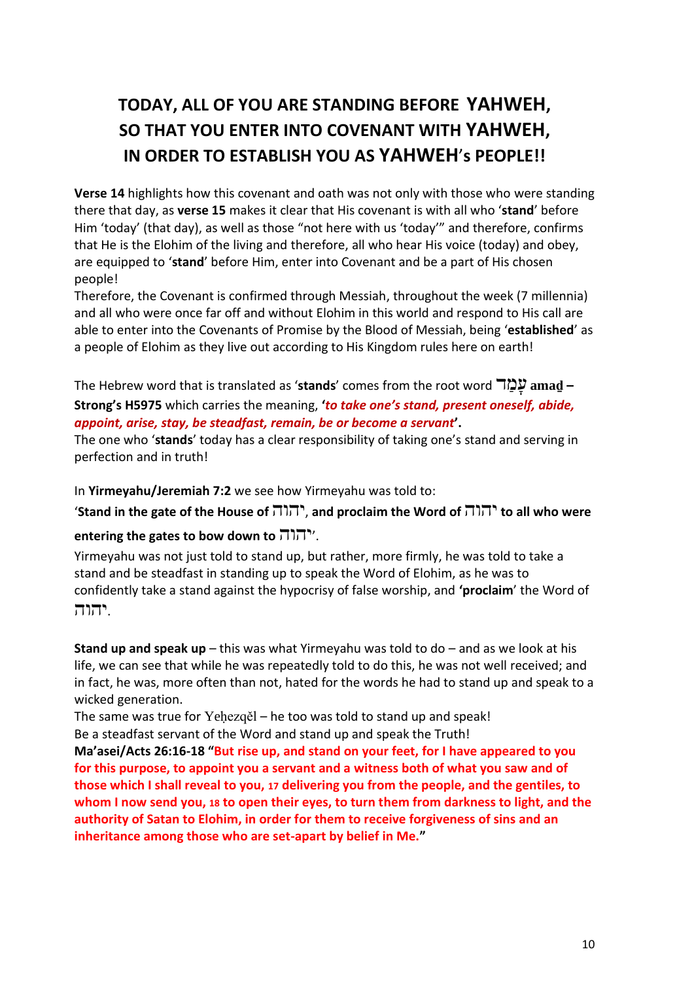### **TODAY, ALL OF YOU ARE STANDING BEFORE YAHWEH, SO THAT YOU ENTER INTO COVENANT WITH YAHWEH, IN ORDER TO ESTABLISH YOU AS YAHWEH**'**s PEOPLE!!**

**Verse 14** highlights how this covenant and oath was not only with those who were standing there that day, as **verse 15** makes it clear that His covenant is with all who '**stand**' before Him 'today' (that day), as well as those "not here with us 'today'" and therefore, confirms that He is the Elohim of the living and therefore, all who hear His voice (today) and obey, are equipped to '**stand**' before Him, enter into Covenant and be a part of His chosen people!

Therefore, the Covenant is confirmed through Messiah, throughout the week (7 millennia) and all who were once far off and without Elohim in this world and respond to His call are able to enter into the Covenants of Promise by the Blood of Messiah, being '**established**' as a people of Elohim as they live out according to His Kingdom rules here on earth!

The Hebrew word that is translated as '**stands**' comes from the root word ד ַמ ָּע **amaḏ – Strong's H5975** which carries the meaning, **'***to take one's stand, present oneself, abide, appoint, arise, stay, be steadfast, remain, be or become a servant***'.**

The one who '**stands**' today has a clear responsibility of taking one's stand and serving in perfection and in truth!

In **Yirmeyahu/Jeremiah 7:2** we see how Yirmeyahu was told to:

'**Stand in the gate of the House of** יהוה, **and proclaim the Word of** יהוה **to all who were** 

#### **entering the gates to bow down to** יהוה'.

Yirmeyahu was not just told to stand up, but rather, more firmly, he was told to take a stand and be steadfast in standing up to speak the Word of Elohim, as he was to confidently take a stand against the hypocrisy of false worship, and **'proclaim**' the Word of .יהוה

**Stand up and speak up** – this was what Yirmeyahu was told to do – and as we look at his life, we can see that while he was repeatedly told to do this, he was not well received; and in fact, he was, more often than not, hated for the words he had to stand up and speak to a wicked generation.

The same was true for Yeḥezqěl – he too was told to stand up and speak! Be a steadfast servant of the Word and stand up and speak the Truth!

**Ma'asei/Acts 26:16-18 "But rise up, and stand on your feet, for I have appeared to you for this purpose, to appoint you a servant and a witness both of what you saw and of those which I shall reveal to you, 17 delivering you from the people, and the gentiles, to whom I now send you, 18 to open their eyes, to turn them from darkness to light, and the authority of Satan to Elohim, in order for them to receive forgiveness of sins and an inheritance among those who are set-apart by belief in Me."**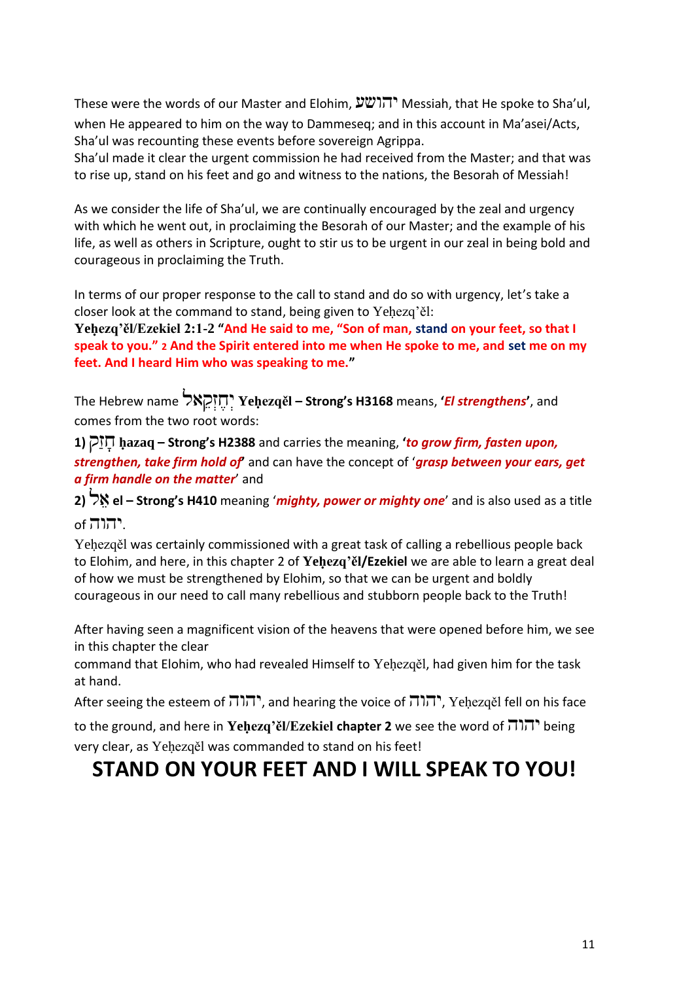These were the words of our Master and Elohim, יהושע Messiah, that He spoke to Sha'ul, when He appeared to him on the way to Dammeseq; and in this account in Ma'asei/Acts, Sha'ul was recounting these events before sovereign Agrippa.

Sha'ul made it clear the urgent commission he had received from the Master; and that was to rise up, stand on his feet and go and witness to the nations, the Besorah of Messiah!

As we consider the life of Sha'ul, we are continually encouraged by the zeal and urgency with which he went out, in proclaiming the Besorah of our Master; and the example of his life, as well as others in Scripture, ought to stir us to be urgent in our zeal in being bold and courageous in proclaiming the Truth.

In terms of our proper response to the call to stand and do so with urgency, let's take a closer look at the command to stand, being given to Yehezq'ěl:

**Yeḥezq'ěl/Ezekiel 2:1-2 "And He said to me, "Son of man, stand on your feet, so that I speak to you." 2 And the Spirit entered into me when He spoke to me, and set me on my feet. And I heard Him who was speaking to me."**

The Hebrew name אל ֵק ְז ֶּח ְי **Yeḥezqěl – Strong's H3168** means, **'***El strengthens***'**, and comes from the two root words:

**1)** קַז ָּח **ḥazaq – Strong's H2388** and carries the meaning, **'***to grow firm, fasten upon, strengthen, take firm hold of***'** and can have the concept of '*grasp between your ears, get a firm handle on the matter*' and

**2)** ל ֵא **el – Strong's H410** meaning '*mighty, power or mighty one*' and is also used as a title .יהוה of

Yehezqěl was certainly commissioned with a great task of calling a rebellious people back to Elohim, and here, in this chapter 2 of **Yeḥezq'ěl/Ezekiel** we are able to learn a great deal of how we must be strengthened by Elohim, so that we can be urgent and boldly courageous in our need to call many rebellious and stubborn people back to the Truth!

After having seen a magnificent vision of the heavens that were opened before him, we see in this chapter the clear

command that Elohim, who had revealed Himself to Yeḥezqěl, had given him for the task at hand.

After seeing the esteem of  $\pi$  $\pi$ , and hearing the voice of  $\pi$  $\pi$ , Yehezqěl fell on his face

to the ground, and here in **Yeḥezq'ěl/Ezekiel chapter 2** we see the word of יהוה being very clear, as Yeḥezqěl was commanded to stand on his feet!

### **STAND ON YOUR FEET AND I WILL SPEAK TO YOU!**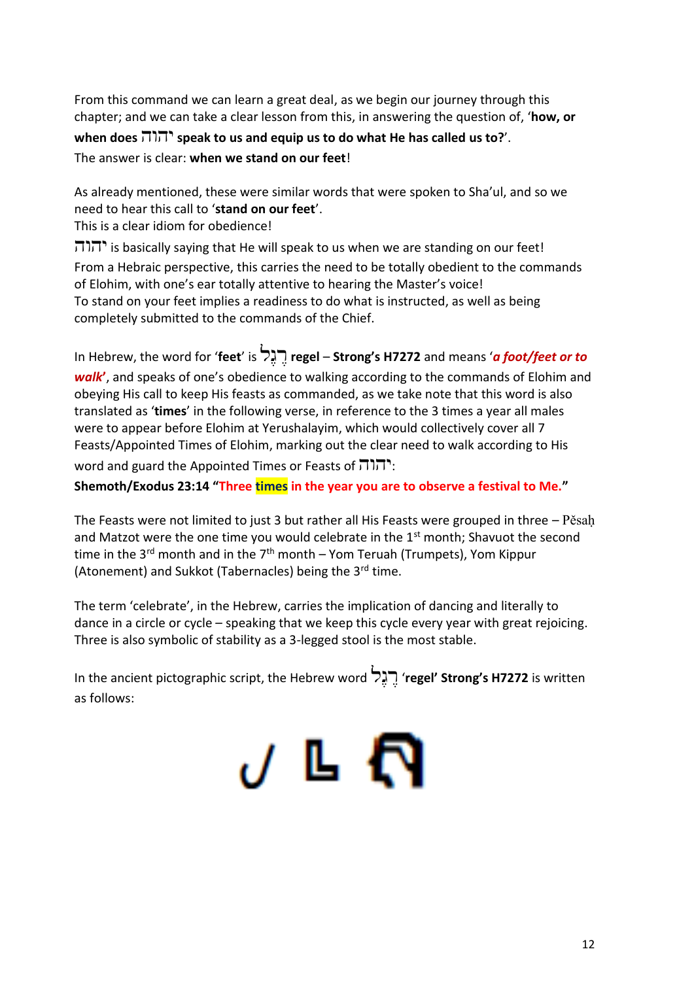From this command we can learn a great deal, as we begin our journey through this chapter; and we can take a clear lesson from this, in answering the question of, '**how, or when does** יהוה **speak to us and equip us to do what He has called us to?**'. The answer is clear: **when we stand on our feet**!

As already mentioned, these were similar words that were spoken to Sha'ul, and so we need to hear this call to '**stand on our feet**'.

This is a clear idiom for obedience!

יהוה is basically saying that He will speak to us when we are standing on our feet! From a Hebraic perspective, this carries the need to be totally obedient to the commands of Elohim, with one's ear totally attentive to hearing the Master's voice! To stand on your feet implies a readiness to do what is instructed, as well as being completely submitted to the commands of the Chief.

In Hebrew, the word for '**feet**' is לֶּג ֶּר **regel** – **Strong's H7272** and means '*a foot/feet or to walk***'**, and speaks of one's obedience to walking according to the commands of Elohim and obeying His call to keep His feasts as commanded, as we take note that this word is also translated as '**times**' in the following verse, in reference to the 3 times a year all males were to appear before Elohim at Yerushalayim, which would collectively cover all 7 Feasts/Appointed Times of Elohim, marking out the clear need to walk according to His word and guard the Appointed Times or Feasts of יהוה:

**Shemoth/Exodus 23:14 "Three times in the year you are to observe a festival to Me."**

The Feasts were not limited to just 3 but rather all His Feasts were grouped in three – Pěsaḥ and Matzot were the one time you would celebrate in the  $1<sup>st</sup>$  month; Shavuot the second time in the 3<sup>rd</sup> month and in the 7<sup>th</sup> month – Yom Teruah (Trumpets), Yom Kippur (Atonement) and Sukkot (Tabernacles) being the 3<sup>rd</sup> time.

The term 'celebrate', in the Hebrew, carries the implication of dancing and literally to dance in a circle or cycle – speaking that we keep this cycle every year with great rejoicing. Three is also symbolic of stability as a 3-legged stool is the most stable.

In the ancient pictographic script, the Hebrew word לֶּג ֶּר' **regel' Strong's H7272** is written as follows:

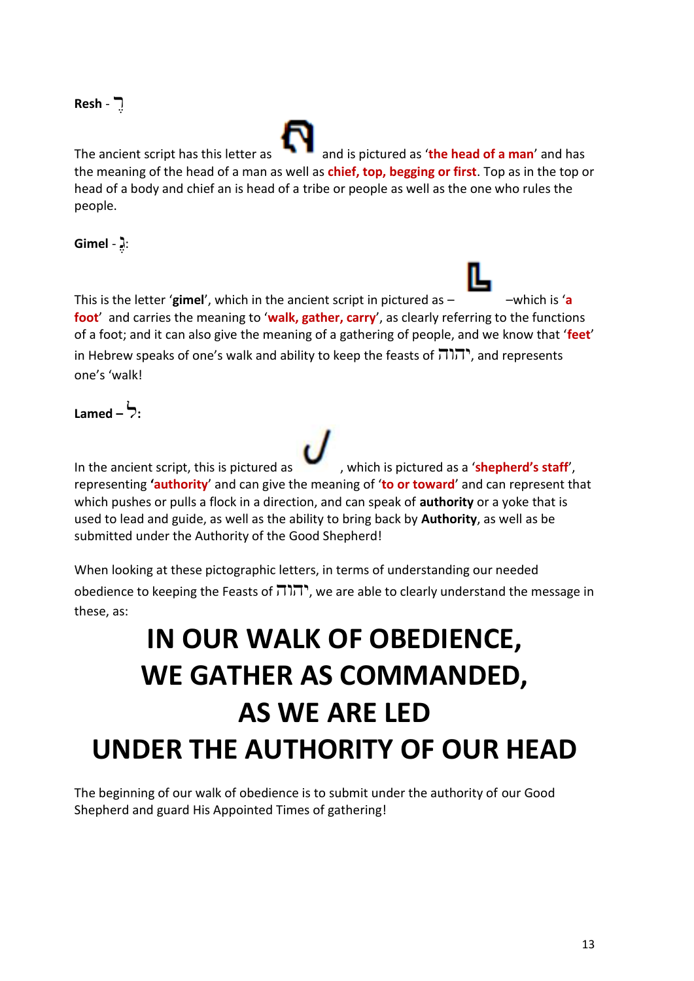#### רֶּ - **Resh**

The ancient script has this letter as **a** and is pictured as '**the head of a man'** and has the meaning of the head of a man as well as **chief, top, begging or first**. Top as in the top or head of a body and chief an is head of a tribe or people as well as the one who rules the people.

:גֶּ - **Gimel**

This is the letter 'gimel', which in the ancient script in pictured as  $-$  –which is 'a **foot**' and carries the meaning to '**walk, gather, carry**', as clearly referring to the functions of a foot; and it can also give the meaning of a gathering of people, and we know that '**feet**' in Hebrew speaks of one's walk and ability to keep the feasts of יהוה, and represents one's 'walk!

#### **:**ל **– Lamed**

In the ancient script, this is pictured as **the staff'**, which is pictured as a '**shepherd's staff'**, representing **'authority**' and can give the meaning of '**to or toward**' and can represent that which pushes or pulls a flock in a direction, and can speak of **authority** or a yoke that is used to lead and guide, as well as the ability to bring back by **Authority**, as well as be submitted under the Authority of the Good Shepherd!

When looking at these pictographic letters, in terms of understanding our needed obedience to keeping the Feasts of  $\pi$ , we are able to clearly understand the message in these, as:

## **IN OUR WALK OF OBEDIENCE, WE GATHER AS COMMANDED, AS WE ARE LED UNDER THE AUTHORITY OF OUR HEAD**

The beginning of our walk of obedience is to submit under the authority of our Good Shepherd and guard His Appointed Times of gathering!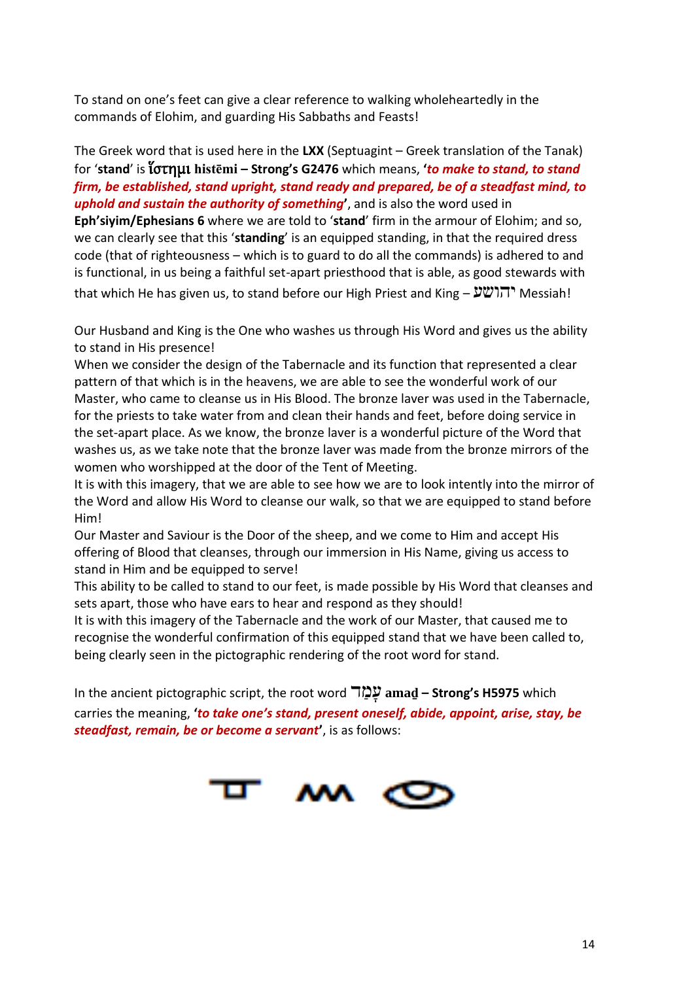To stand on one's feet can give a clear reference to walking wholeheartedly in the commands of Elohim, and guarding His Sabbaths and Feasts!

The Greek word that is used here in the **LXX** (Septuagint – Greek translation of the Tanak) for '**stand**' is ἵστημι **histēmi – Strong's G2476** which means, **'***to make to stand, to stand firm, be established, stand upright, stand ready and prepared, be of a steadfast mind, to uphold and sustain the authority of something***'**, and is also the word used in **Eph'siyim/Ephesians 6** where we are told to '**stand**' firm in the armour of Elohim; and so, we can clearly see that this '**standing**' is an equipped standing, in that the required dress code (that of righteousness – which is to guard to do all the commands) is adhered to and is functional, in us being a faithful set-apart priesthood that is able, as good stewards with that which He has given us, to stand before our High Priest and King – יהושע Messiah!

Our Husband and King is the One who washes us through His Word and gives us the ability to stand in His presence!

When we consider the design of the Tabernacle and its function that represented a clear pattern of that which is in the heavens, we are able to see the wonderful work of our Master, who came to cleanse us in His Blood. The bronze laver was used in the Tabernacle, for the priests to take water from and clean their hands and feet, before doing service in the set-apart place. As we know, the bronze laver is a wonderful picture of the Word that washes us, as we take note that the bronze laver was made from the bronze mirrors of the women who worshipped at the door of the Tent of Meeting.

It is with this imagery, that we are able to see how we are to look intently into the mirror of the Word and allow His Word to cleanse our walk, so that we are equipped to stand before Him!

Our Master and Saviour is the Door of the sheep, and we come to Him and accept His offering of Blood that cleanses, through our immersion in His Name, giving us access to stand in Him and be equipped to serve!

This ability to be called to stand to our feet, is made possible by His Word that cleanses and sets apart, those who have ears to hear and respond as they should!

It is with this imagery of the Tabernacle and the work of our Master, that caused me to recognise the wonderful confirmation of this equipped stand that we have been called to, being clearly seen in the pictographic rendering of the root word for stand.

In the ancient pictographic script, the root word ד ַמ ָּע **amaḏ – Strong's H5975** which carries the meaning, **'***to take one's stand, present oneself, abide, appoint, arise, stay, be steadfast, remain, be or become a servant***'**, is as follows:

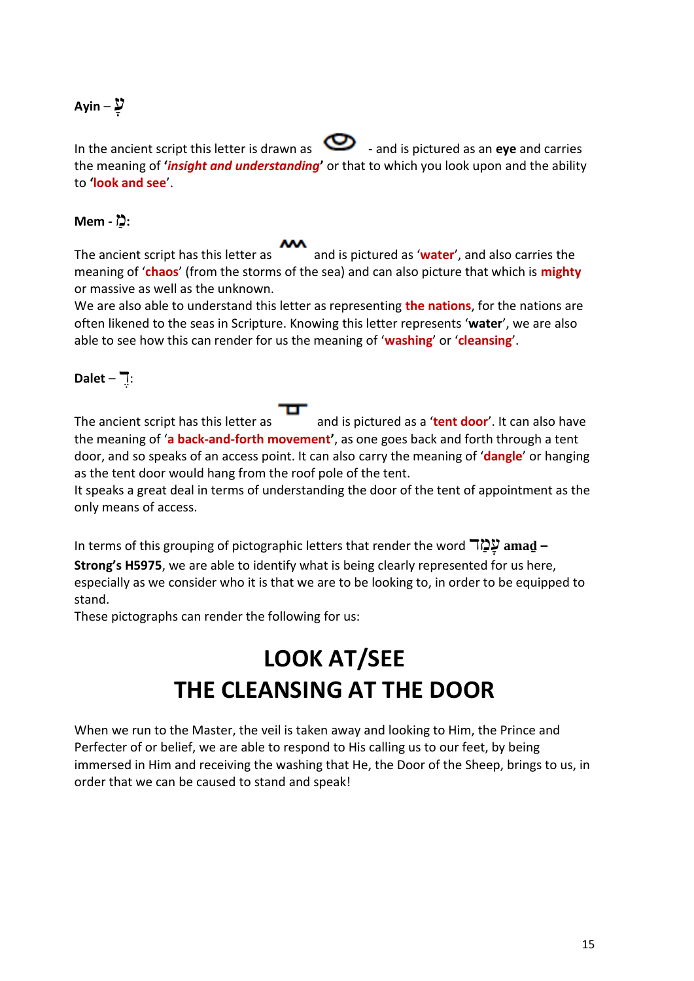#### עָּ – **Ayin**

In the ancient script this letter is drawn as  $\bullet$  - and is pictured as an **eye** and carries the meaning of **'***insight and understanding***'** or that to which you look upon and the ability to **'look and see**'.

#### **:**מַ **- Mem**

The ancient script has this letter as and is pictured as '**water**', and also carries the meaning of '**chaos**' (from the storms of the sea) and can also picture that which is **mighty** or massive as well as the unknown.

We are also able to understand this letter as representing **the nations**, for the nations are often likened to the seas in Scripture. Knowing this letter represents '**water**', we are also able to see how this can render for us the meaning of '**washing**' or '**cleansing**'.

#### :דֶּ – **Dalet**

The ancient script has this letter as **and is pictured as a 'tent door'**. It can also have the meaning of '**a back-and-forth movement'**, as one goes back and forth through a tent door, and so speaks of an access point. It can also carry the meaning of '**dangle**' or hanging as the tent door would hang from the roof pole of the tent.

It speaks a great deal in terms of understanding the door of the tent of appointment as the only means of access.

In terms of this grouping of pictographic letters that render the word ד ַמ ָּע **amaḏ –**

**Strong's H5975**, we are able to identify what is being clearly represented for us here, especially as we consider who it is that we are to be looking to, in order to be equipped to stand.

These pictographs can render the following for us:

### **LOOK AT/SEE THE CLEANSING AT THE DOOR**

When we run to the Master, the veil is taken away and looking to Him, the Prince and Perfecter of or belief, we are able to respond to His calling us to our feet, by being immersed in Him and receiving the washing that He, the Door of the Sheep, brings to us, in order that we can be caused to stand and speak!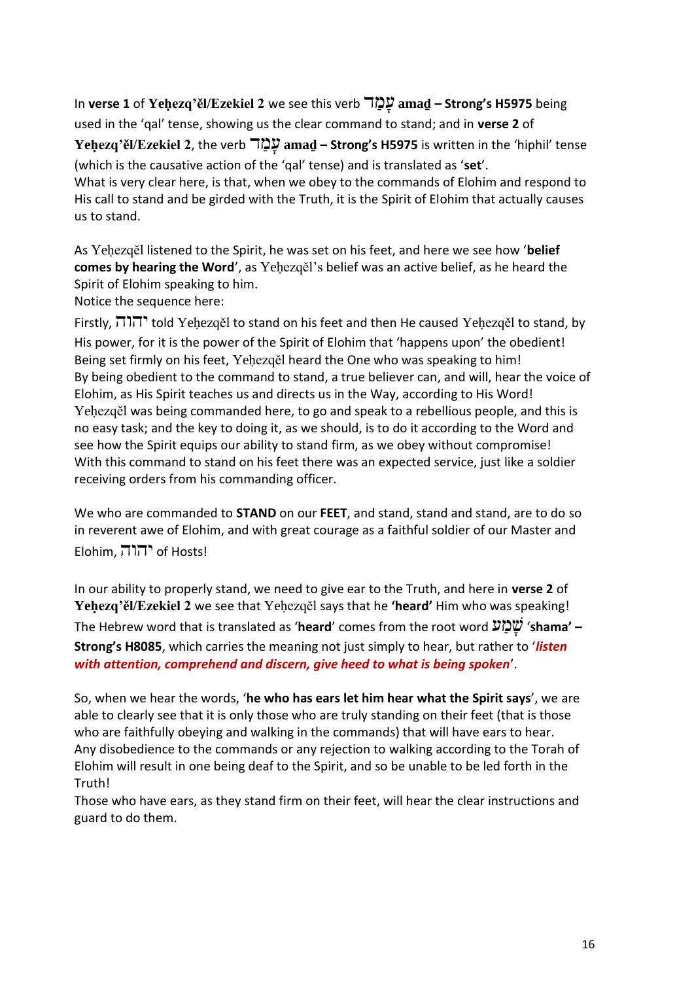In **verse 1** of **Yeḥezq'ěl/Ezekiel 2** we see this verb ד ַמ ָּע **amaḏ – Strong's H5975** being used in the 'qal' tense, showing us the clear command to stand; and in **verse 2** of **Yeḥezq'ěl/Ezekiel 2**, the verb ד ַמ ָּע **amaḏ – Strong's H5975** is written in the 'hiphil' tense (which is the causative action of the 'qal' tense) and is translated as '**set**'. What is very clear here, is that, when we obey to the commands of Elohim and respond to His call to stand and be girded with the Truth, it is the Spirit of Elohim that actually causes us to stand.

As Yeḥezqěl listened to the Spirit, he was set on his feet, and here we see how '**belief comes by hearing the Word**', as Yeḥezqěl's belief was an active belief, as he heard the Spirit of Elohim speaking to him.

Notice the sequence here:

Firstly, יהוה told Yeḥezqěl to stand on his feet and then He caused Yeḥezqěl to stand, by His power, for it is the power of the Spirit of Elohim that 'happens upon' the obedient! Being set firmly on his feet, Yeḥezqěl heard the One who was speaking to him! By being obedient to the command to stand, a true believer can, and will, hear the voice of Elohim, as His Spirit teaches us and directs us in the Way, according to His Word! Yeḥezqěl was being commanded here, to go and speak to a rebellious people, and this is no easy task; and the key to doing it, as we should, is to do it according to the Word and see how the Spirit equips our ability to stand firm, as we obey without compromise! With this command to stand on his feet there was an expected service, just like a soldier receiving orders from his commanding officer.

We who are commanded to **STAND** on our **FEET**, and stand, stand and stand, are to do so in reverent awe of Elohim, and with great courage as a faithful soldier of our Master and Elohim, יהוה of Hosts!

In our ability to properly stand, we need to give ear to the Truth, and here in **verse 2** of **Yeḥezq'ěl/Ezekiel 2** we see that Yeḥezqěl says that he **'heard'** Him who was speaking! The Hebrew word that is translated as '**heard**' comes from the root word ע ַמ ָּש' **shama' – Strong's H8085**, which carries the meaning not just simply to hear, but rather to '*listen with attention, comprehend and discern, give heed to what is being spoken*'.

So, when we hear the words, '**he who has ears let him hear what the Spirit says**', we are able to clearly see that it is only those who are truly standing on their feet (that is those who are faithfully obeying and walking in the commands) that will have ears to hear. Any disobedience to the commands or any rejection to walking according to the Torah of Elohim will result in one being deaf to the Spirit, and so be unable to be led forth in the Truth!

Those who have ears, as they stand firm on their feet, will hear the clear instructions and guard to do them.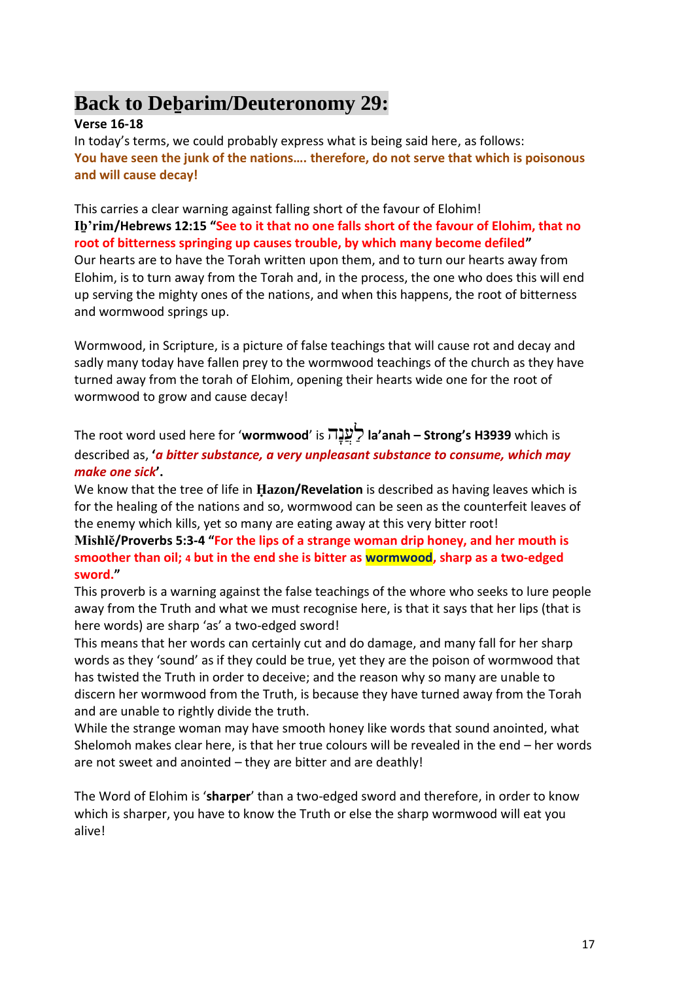### **Back to Deḇarim/Deuteronomy 29:**

#### **Verse 16-18**

In today's terms, we could probably express what is being said here, as follows: **You have seen the junk of the nations…. therefore, do not serve that which is poisonous and will cause decay!**

This carries a clear warning against falling short of the favour of Elohim! **Iḇ'rim/Hebrews 12:15 "See to it that no one falls short of the favour of Elohim, that no root of bitterness springing up causes trouble, by which many become defiled"** Our hearts are to have the Torah written upon them, and to turn our hearts away from Elohim, is to turn away from the Torah and, in the process, the one who does this will end up serving the mighty ones of the nations, and when this happens, the root of bitterness and wormwood springs up.

Wormwood, in Scripture, is a picture of false teachings that will cause rot and decay and sadly many today have fallen prey to the wormwood teachings of the church as they have turned away from the torah of Elohim, opening their hearts wide one for the root of wormwood to grow and cause decay!

The root word used here for '**wormwood**' is הָּנֲע ַל **la'anah – Strong's H3939** which is described as, **'***a bitter substance, a very unpleasant substance to consume, which may make one sick***'.** 

We know that the tree of life in **Ḥazon/Revelation** is described as having leaves which is for the healing of the nations and so, wormwood can be seen as the counterfeit leaves of the enemy which kills, yet so many are eating away at this very bitter root!

**Mishlĕ/Proverbs 5:3-4 "For the lips of a strange woman drip honey, and her mouth is smoother than oil; 4 but in the end she is bitter as wormwood, sharp as a two-edged sword."**

This proverb is a warning against the false teachings of the whore who seeks to lure people away from the Truth and what we must recognise here, is that it says that her lips (that is here words) are sharp 'as' a two-edged sword!

This means that her words can certainly cut and do damage, and many fall for her sharp words as they 'sound' as if they could be true, yet they are the poison of wormwood that has twisted the Truth in order to deceive; and the reason why so many are unable to discern her wormwood from the Truth, is because they have turned away from the Torah and are unable to rightly divide the truth.

While the strange woman may have smooth honey like words that sound anointed, what Shelomoh makes clear here, is that her true colours will be revealed in the end – her words are not sweet and anointed – they are bitter and are deathly!

The Word of Elohim is '**sharper**' than a two-edged sword and therefore, in order to know which is sharper, you have to know the Truth or else the sharp wormwood will eat you alive!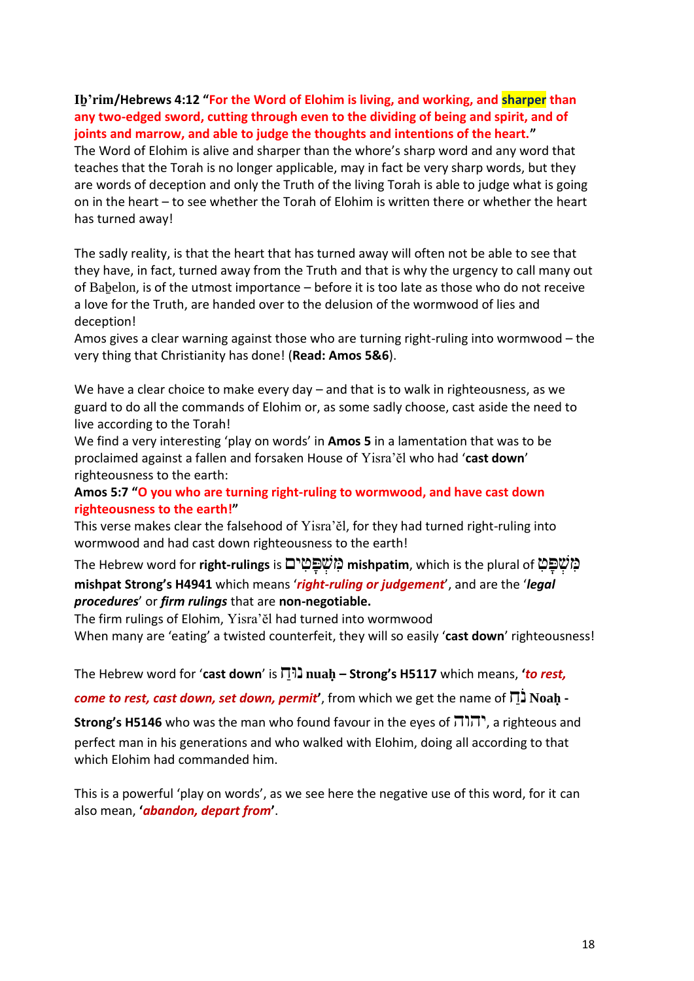#### **Iḇ'rim/Hebrews 4:12 "For the Word of Elohim is living, and working, and sharper than any two-edged sword, cutting through even to the dividing of being and spirit, and of joints and marrow, and able to judge the thoughts and intentions of the heart."**

The Word of Elohim is alive and sharper than the whore's sharp word and any word that teaches that the Torah is no longer applicable, may in fact be very sharp words, but they are words of deception and only the Truth of the living Torah is able to judge what is going on in the heart – to see whether the Torah of Elohim is written there or whether the heart has turned away!

The sadly reality, is that the heart that has turned away will often not be able to see that they have, in fact, turned away from the Truth and that is why the urgency to call many out of Baḇelon, is of the utmost importance – before it is too late as those who do not receive a love for the Truth, are handed over to the delusion of the wormwood of lies and deception!

Amos gives a clear warning against those who are turning right-ruling into wormwood – the very thing that Christianity has done! (**Read: Amos 5&6**).

We have a clear choice to make every day – and that is to walk in righteousness, as we guard to do all the commands of Elohim or, as some sadly choose, cast aside the need to live according to the Torah!

We find a very interesting 'play on words' in **Amos 5** in a lamentation that was to be proclaimed against a fallen and forsaken House of Yisra'ĕl who had '**cast down**' righteousness to the earth:

**Amos 5:7 "O you who are turning right-ruling to wormwood, and have cast down righteousness to the earth!"**

This verse makes clear the falsehood of Yisra'ĕl, for they had turned right-ruling into wormwood and had cast down righteousness to the earth!

The Hebrew word for **right-rulings** is ים ִט ָּפ ְש ִמ **mishpatim**, which is the plural of ִט ָּפ ְש ִמ **mishpat Strong's H4941** which means '*right-ruling or judgement*', and are the '*legal procedures*' or *firm rulings* that are **non-negotiable.**

The firm rulings of Elohim, Yisra'ĕl had turned into wormwood

When many are 'eating' a twisted counterfeit, they will so easily '**cast down**' righteousness!

The Hebrew word for '**cast down**' is ַוחּנ **nuaḥ – Strong's H5117** which means, **'***to rest,* 

*come to rest, cast down, set down, permit***'**, from which we get the name of ַח ֹנ **Noaḥ -**

**Strong's H5146** who was the man who found favour in the eyes of  $\overline{\Pi}$ , a righteous and perfect man in his generations and who walked with Elohim, doing all according to that which Elohim had commanded him.

This is a powerful 'play on words', as we see here the negative use of this word, for it can also mean, **'***abandon, depart from***'**.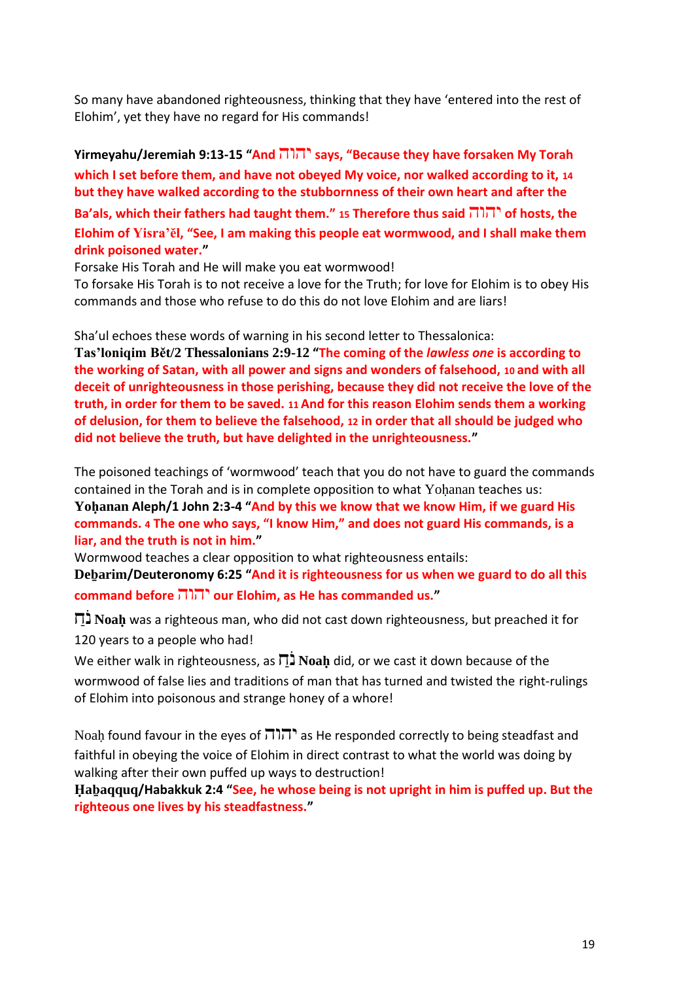So many have abandoned righteousness, thinking that they have 'entered into the rest of Elohim', yet they have no regard for His commands!

**Yirmeyahu/Jeremiah 9:13-15 "And** יהוה **says, "Because they have forsaken My Torah which I set before them, and have not obeyed My voice, nor walked according to it, 14 but they have walked according to the stubbornness of their own heart and after the Ba'als, which their fathers had taught them." <sup>15</sup> Therefore thus said** יהוה **of hosts, the Elohim of Yisra'ĕl, "See, I am making this people eat wormwood, and I shall make them drink poisoned water."**

Forsake His Torah and He will make you eat wormwood!

To forsake His Torah is to not receive a love for the Truth; for love for Elohim is to obey His commands and those who refuse to do this do not love Elohim and are liars!

Sha'ul echoes these words of warning in his second letter to Thessalonica:

**Tas'loniqim Bět/2 Thessalonians 2:9-12 "The coming of the** *lawless one* **is according to the working of Satan, with all power and signs and wonders of falsehood, 10 and with all deceit of unrighteousness in those perishing, because they did not receive the love of the truth, in order for them to be saved. 11 And for this reason Elohim sends them a working of delusion, for them to believe the falsehood, 12 in order that all should be judged who did not believe the truth, but have delighted in the unrighteousness."**

The poisoned teachings of 'wormwood' teach that you do not have to guard the commands contained in the Torah and is in complete opposition to what Yohanan teaches us:

**Yoḥanan Aleph/1 John 2:3-4 "And by this we know that we know Him, if we guard His commands. 4 The one who says, "I know Him," and does not guard His commands, is a liar, and the truth is not in him."**

Wormwood teaches a clear opposition to what righteousness entails:

**Deḇarim/Deuteronomy 6:25 "And it is righteousness for us when we guard to do all this command before** יהוה **our Elohim, as He has commanded us."**

 ַח ֹנ **Noaḥ** was a righteous man, who did not cast down righteousness, but preached it for 120 years to a people who had!

We either walk in righteousness, as  $\overline{D}$  **Noah** did, or we cast it down because of the wormwood of false lies and traditions of man that has turned and twisted the right-rulings of Elohim into poisonous and strange honey of a whore!

Noah found favour in the eyes of  $\overline{111}$  as He responded correctly to being steadfast and faithful in obeying the voice of Elohim in direct contrast to what the world was doing by walking after their own puffed up ways to destruction!

**Ḥaḇaqquq/Habakkuk 2:4 "See, he whose being is not upright in him is puffed up. But the righteous one lives by his steadfastness."**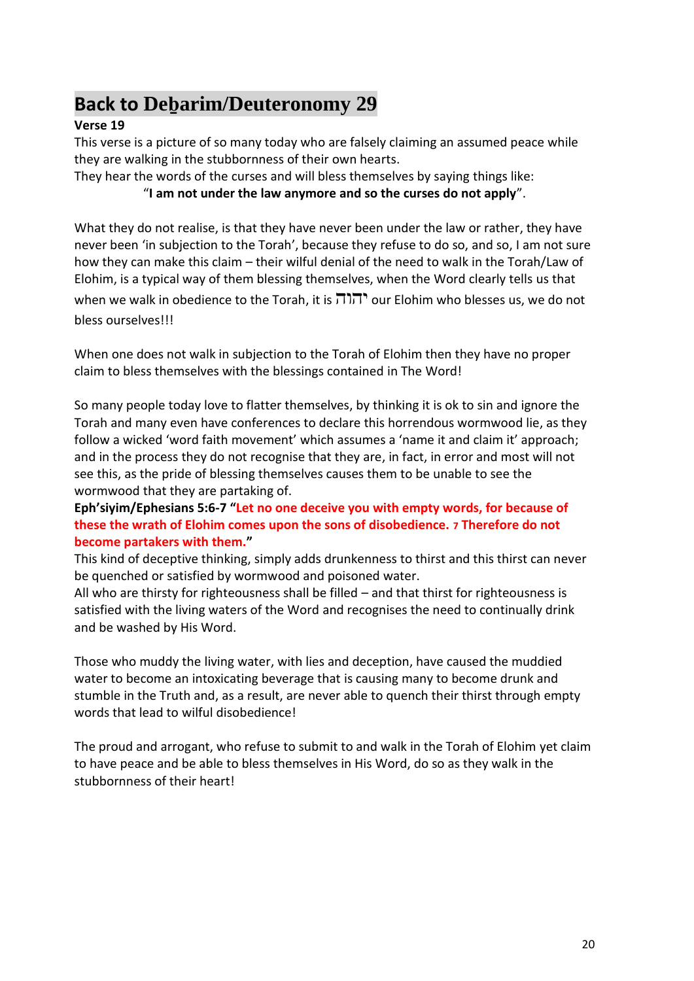### **Back to Deḇarim/Deuteronomy 29**

#### **Verse 19**

This verse is a picture of so many today who are falsely claiming an assumed peace while they are walking in the stubbornness of their own hearts.

They hear the words of the curses and will bless themselves by saying things like:

#### "**I am not under the law anymore and so the curses do not apply**".

What they do not realise, is that they have never been under the law or rather, they have never been 'in subjection to the Torah', because they refuse to do so, and so, I am not sure how they can make this claim – their wilful denial of the need to walk in the Torah/Law of Elohim, is a typical way of them blessing themselves, when the Word clearly tells us that when we walk in obedience to the Torah, it is  $\overline{1}$  $\overline{1}$ , our Elohim who blesses us, we do not bless ourselves!!!

When one does not walk in subjection to the Torah of Elohim then they have no proper claim to bless themselves with the blessings contained in The Word!

So many people today love to flatter themselves, by thinking it is ok to sin and ignore the Torah and many even have conferences to declare this horrendous wormwood lie, as they follow a wicked 'word faith movement' which assumes a 'name it and claim it' approach; and in the process they do not recognise that they are, in fact, in error and most will not see this, as the pride of blessing themselves causes them to be unable to see the wormwood that they are partaking of.

#### **Eph'siyim/Ephesians 5:6-7 "Let no one deceive you with empty words, for because of these the wrath of Elohim comes upon the sons of disobedience. 7 Therefore do not become partakers with them."**

This kind of deceptive thinking, simply adds drunkenness to thirst and this thirst can never be quenched or satisfied by wormwood and poisoned water.

All who are thirsty for righteousness shall be filled – and that thirst for righteousness is satisfied with the living waters of the Word and recognises the need to continually drink and be washed by His Word.

Those who muddy the living water, with lies and deception, have caused the muddied water to become an intoxicating beverage that is causing many to become drunk and stumble in the Truth and, as a result, are never able to quench their thirst through empty words that lead to wilful disobedience!

The proud and arrogant, who refuse to submit to and walk in the Torah of Elohim yet claim to have peace and be able to bless themselves in His Word, do so as they walk in the stubbornness of their heart!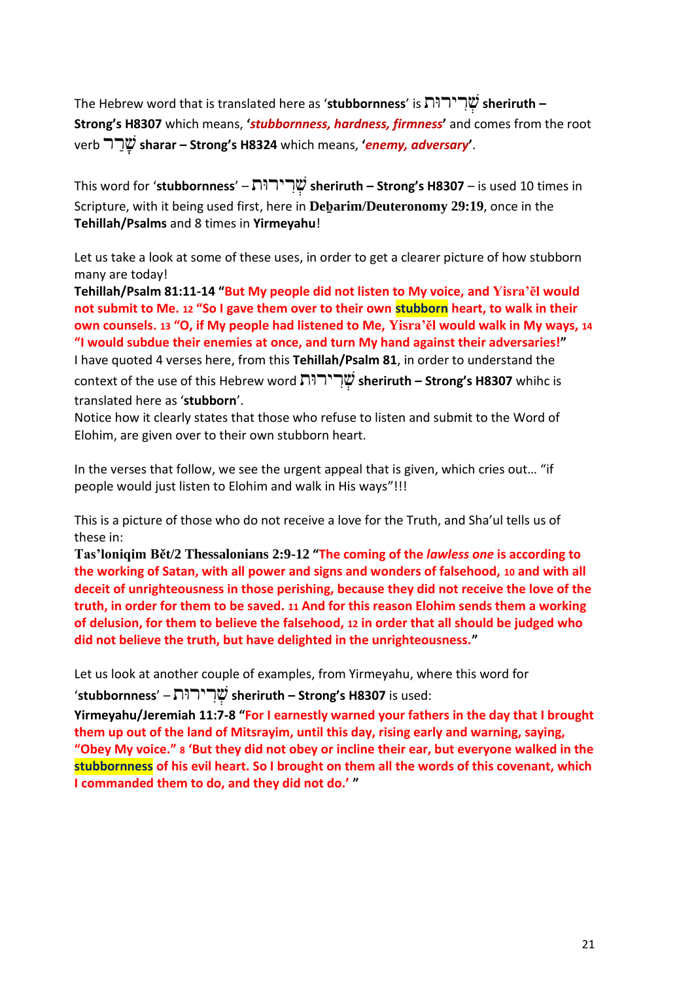The Hebrew word that is translated here as '**stubbornness**' is ותּיר ִר ְש **sheriruth – Strong's H8307** which means, **'***stubbornness, hardness, firmness***'** and comes from the root verb  $\nabla \Psi$  sharar – Strong's H8324 which means, '*enemy, adversary*'.

This word for '**stubbornness**' – ותּיר ִר ְש **sheriruth – Strong's H8307** – is used 10 times in Scripture, with it being used first, here in **Deḇarim/Deuteronomy 29:19**, once in the **Tehillah/Psalms** and 8 times in **Yirmeyahu**!

Let us take a look at some of these uses, in order to get a clearer picture of how stubborn many are today!

**Tehillah/Psalm 81:11-14 "But My people did not listen to My voice, and Yisra'ĕl would not submit to Me. 12 "So I gave them over to their own stubborn heart, to walk in their own counsels. 13 "O, if My people had listened to Me, Yisra'ĕl would walk in My ways, 14 "I would subdue their enemies at once, and turn My hand against their adversaries!"** I have quoted 4 verses here, from this **Tehillah/Psalm 81**, in order to understand the context of the use of this Hebrew word ותּיר ִר ְש **sheriruth – Strong's H8307** whihc is translated here as '**stubborn**'.

Notice how it clearly states that those who refuse to listen and submit to the Word of Elohim, are given over to their own stubborn heart.

In the verses that follow, we see the urgent appeal that is given, which cries out… "if people would just listen to Elohim and walk in His ways"!!!

This is a picture of those who do not receive a love for the Truth, and Sha'ul tells us of these in:

**Tas'loniqim Bět/2 Thessalonians 2:9-12 "The coming of the** *lawless one* **is according to the working of Satan, with all power and signs and wonders of falsehood, 10 and with all deceit of unrighteousness in those perishing, because they did not receive the love of the truth, in order for them to be saved. 11 And for this reason Elohim sends them a working of delusion, for them to believe the falsehood, 12 in order that all should be judged who did not believe the truth, but have delighted in the unrighteousness."**

Let us look at another couple of examples, from Yirmeyahu, where this word for

'**stubbornness**' – ותּיר ִר ְש **sheriruth – Strong's H8307** is used:

**Yirmeyahu/Jeremiah 11:7-8 "For I earnestly warned your fathers in the day that I brought them up out of the land of Mitsrayim, until this day, rising early and warning, saying, "Obey My voice." 8 'But they did not obey or incline their ear, but everyone walked in the stubbornness of his evil heart. So I brought on them all the words of this covenant, which I commanded them to do, and they did not do.' "**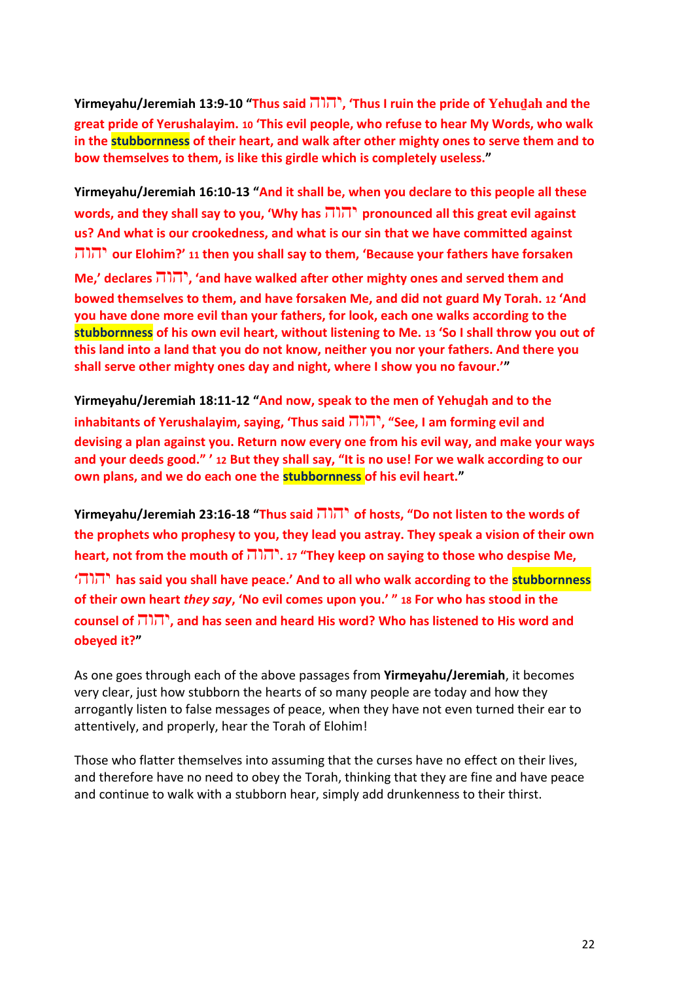**Yirmeyahu/Jeremiah 13:9-10 "Thus said** יהוה**,' Thus I ruin the pride of Yehuḏah and the great pride of Yerushalayim. 10 'This evil people, who refuse to hear My Words, who walk in the stubbornness of their heart, and walk after other mighty ones to serve them and to bow themselves to them, is like this girdle which is completely useless."**

**Yirmeyahu/Jeremiah 16:10-13 "And it shall be, when you declare to this people all these words, and they shall say to you, 'Why has** יהוה **pronounced all this great evil against us? And what is our crookedness, and what is our sin that we have committed against**  יהוה **our Elohim?' <sup>11</sup> then you shall say to them, 'Because your fathers have forsaken Me,' declares** יהוה**,' and have walked after other mighty ones and served them and bowed themselves to them, and have forsaken Me, and did not guard My Torah. 12 'And you have done more evil than your fathers, for look, each one walks according to the stubbornness of his own evil heart, without listening to Me. 13 'So I shall throw you out of this land into a land that you do not know, neither you nor your fathers. And there you shall serve other mighty ones day and night, where I show you no favour.'"**

**Yirmeyahu/Jeremiah 18:11-12 "And now, speak to the men of Yehuḏah and to the inhabitants of Yerushalayim, saying, 'Thus said** יהוה**," See, I am forming evil and devising a plan against you. Return now every one from his evil way, and make your ways and your deeds good." ' 12 But they shall say, "It is no use! For we walk according to our own plans, and we do each one the stubbornness of his evil heart."**

**Yirmeyahu/Jeremiah 23:16-18 "Thus said** יהוה **of hosts, "Do not listen to the words of the prophets who prophesy to you, they lead you astray. They speak a vision of their own heart, not from the mouth of** יהוה**. 17" They keep on saying to those who despise Me, '**יהוה **has said you shall have peace.' And to all who walk according to the stubbornness** 

**of their own heart** *they say***, 'No evil comes upon you.' " 18 For who has stood in the counsel of** יהוה**, and has seen and heard His word? Who has listened to His word and obeyed it?"**

As one goes through each of the above passages from **Yirmeyahu/Jeremiah**, it becomes very clear, just how stubborn the hearts of so many people are today and how they arrogantly listen to false messages of peace, when they have not even turned their ear to attentively, and properly, hear the Torah of Elohim!

Those who flatter themselves into assuming that the curses have no effect on their lives, and therefore have no need to obey the Torah, thinking that they are fine and have peace and continue to walk with a stubborn hear, simply add drunkenness to their thirst.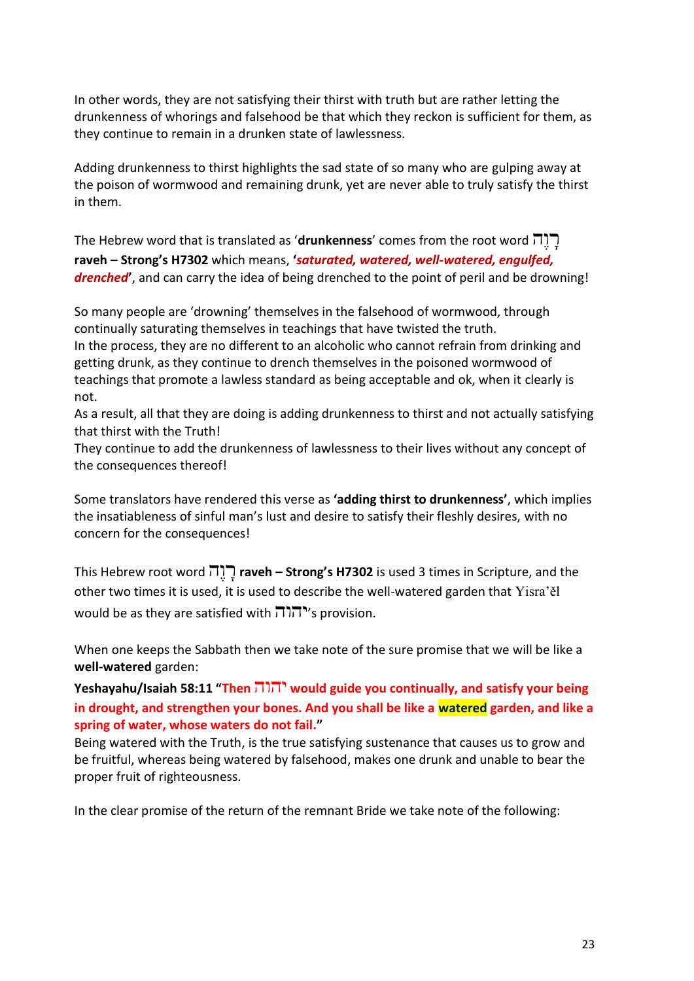In other words, they are not satisfying their thirst with truth but are rather letting the drunkenness of whorings and falsehood be that which they reckon is sufficient for them, as they continue to remain in a drunken state of lawlessness.

Adding drunkenness to thirst highlights the sad state of so many who are gulping away at the poison of wormwood and remaining drunk, yet are never able to truly satisfy the thirst in them.

The Hebrew word that is translated as '**drunkenness**' comes from the root word הֶּו ָּר **raveh – Strong's H7302** which means, **'***saturated, watered, well-watered, engulfed, drenched***'**, and can carry the idea of being drenched to the point of peril and be drowning!

So many people are 'drowning' themselves in the falsehood of wormwood, through continually saturating themselves in teachings that have twisted the truth. In the process, they are no different to an alcoholic who cannot refrain from drinking and getting drunk, as they continue to drench themselves in the poisoned wormwood of teachings that promote a lawless standard as being acceptable and ok, when it clearly is not.

As a result, all that they are doing is adding drunkenness to thirst and not actually satisfying that thirst with the Truth!

They continue to add the drunkenness of lawlessness to their lives without any concept of the consequences thereof!

Some translators have rendered this verse as **'adding thirst to drunkenness'**, which implies the insatiableness of sinful man's lust and desire to satisfy their fleshly desires, with no concern for the consequences!

This Hebrew root word הֶּו ָּר **raveh – Strong's H7302** is used 3 times in Scripture, and the other two times it is used, it is used to describe the well-watered garden that Yisra'ěl would be as they are satisfied with יהוה's provision.

When one keeps the Sabbath then we take note of the sure promise that we will be like a **well-watered** garden:

**Yeshayahu/Isaiah 58:11 "Then** יהוה **would guide you continually, and satisfy your being in drought, and strengthen your bones. And you shall be like a watered garden, and like a spring of water, whose waters do not fail."**

Being watered with the Truth, is the true satisfying sustenance that causes us to grow and be fruitful, whereas being watered by falsehood, makes one drunk and unable to bear the proper fruit of righteousness.

In the clear promise of the return of the remnant Bride we take note of the following: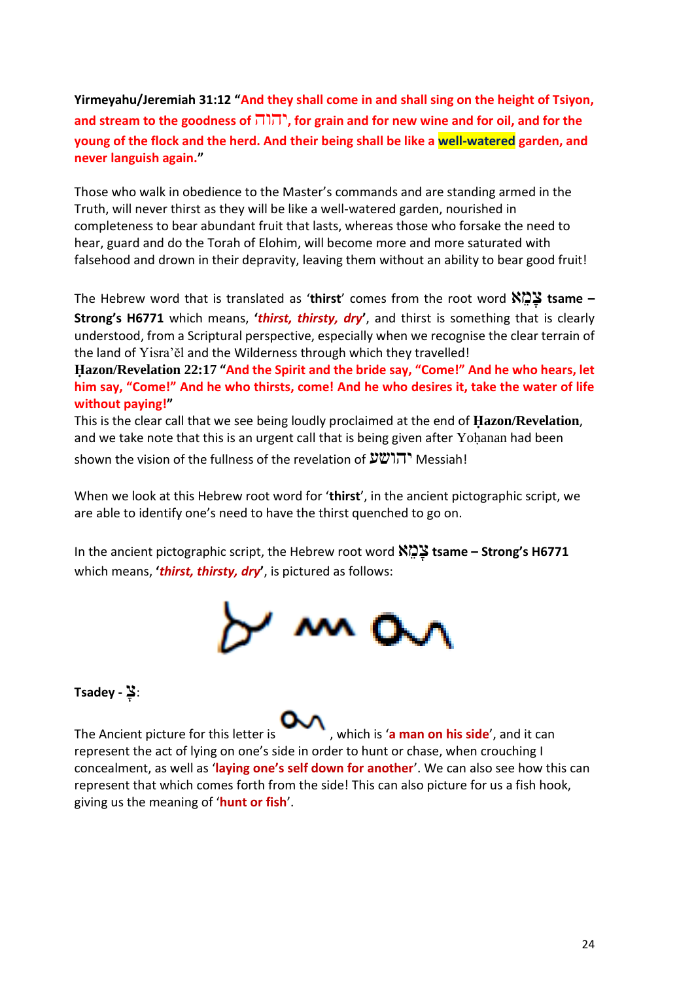**Yirmeyahu/Jeremiah 31:12 "And they shall come in and shall sing on the height of Tsiyon, and stream to the goodness of** יהוה**, for grain and for new wine and for oil, and for the young of the flock and the herd. And their being shall be like a well-watered garden, and never languish again."**

Those who walk in obedience to the Master's commands and are standing armed in the Truth, will never thirst as they will be like a well-watered garden, nourished in completeness to bear abundant fruit that lasts, whereas those who forsake the need to hear, guard and do the Torah of Elohim, will become more and more saturated with falsehood and drown in their depravity, leaving them without an ability to bear good fruit!

The Hebrew word that is translated as '**thirst**' comes from the root word א ֵמ ָּצ **tsame – Strong's H6771** which means, **'***thirst, thirsty, dry***'**, and thirst is something that is clearly understood, from a Scriptural perspective, especially when we recognise the clear terrain of the land of Yisra'ĕl and the Wilderness through which they travelled!

**Ḥazon/Revelation 22:17 "And the Spirit and the bride say, "Come!" And he who hears, let him say, "Come!" And he who thirsts, come! And he who desires it, take the water of life without paying!"**

This is the clear call that we see being loudly proclaimed at the end of **Ḥazon/Revelation**, and we take note that this is an urgent call that is being given after Yoḥanan had been shown the vision of the fullness of the revelation of  $\mathcal{V}(\mathcal{V})$ ות Messiah!

When we look at this Hebrew root word for '**thirst**', in the ancient pictographic script, we are able to identify one's need to have the thirst quenched to go on.

In the ancient pictographic script, the Hebrew root word א ֵמ ָּצ **tsame – Strong's H6771** which means, **'***thirst, thirsty, dry***'**, is pictured as follows:



#### :צָּ **- Tsadey**

The Ancient picture for this letter is **WALLACK Is the man on his side'**, and it can represent the act of lying on one's side in order to hunt or chase, when crouching I concealment, as well as '**laying one's self down for another**'. We can also see how this can represent that which comes forth from the side! This can also picture for us a fish hook, giving us the meaning of '**hunt or fish**'.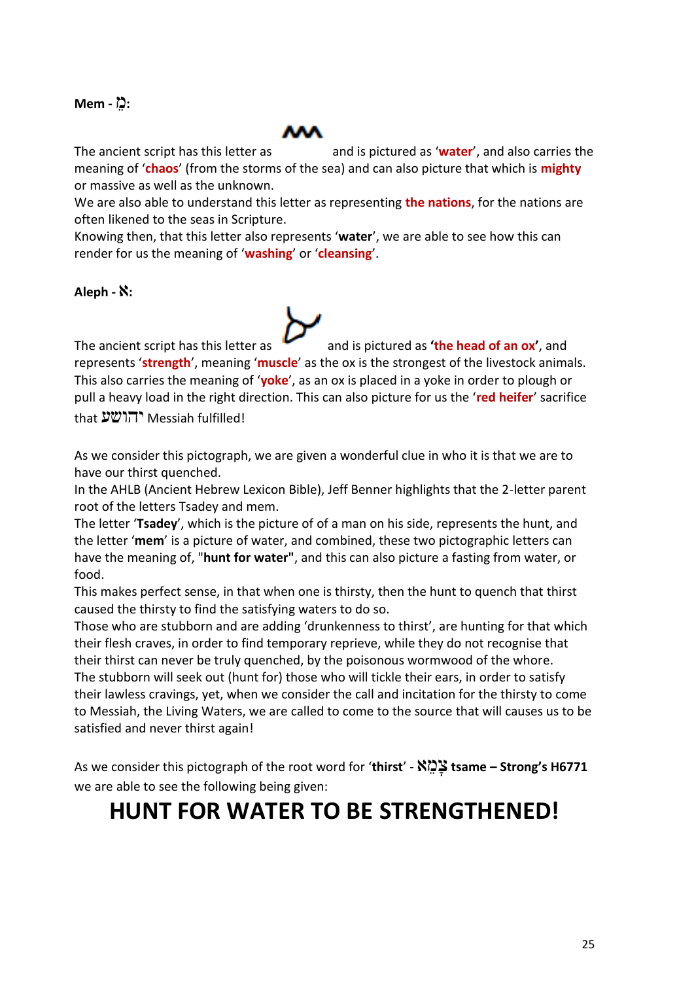#### **:**מֵ **- Mem**



The ancient script has this letter as and is pictured as '**water'**, and also carries the

meaning of '**chaos**' (from the storms of the sea) and can also picture that which is **mighty** or massive as well as the unknown.

We are also able to understand this letter as representing **the nations**, for the nations are often likened to the seas in Scripture.

Knowing then, that this letter also represents '**water**', we are able to see how this can render for us the meaning of '**washing**' or '**cleansing**'.

#### **:**א **- Aleph**

The ancient script has this letter as and is pictured as **the head of an ox'**, and represents '**strength**', meaning '**muscle**' as the ox is the strongest of the livestock animals. This also carries the meaning of '**yoke**', as an ox is placed in a yoke in order to plough or pull a heavy load in the right direction. This can also picture for us the '**red heifer**' sacrifice that יהושע Messiah fulfilled!

As we consider this pictograph, we are given a wonderful clue in who it is that we are to have our thirst quenched.

In the AHLB (Ancient Hebrew Lexicon Bible), Jeff Benner highlights that the 2-letter parent root of the letters Tsadey and mem.

The letter '**Tsadey**', which is the picture of of a man on his side, represents the hunt, and the letter '**mem**' is a picture of water, and combined, these two pictographic letters can have the meaning of, "**hunt for water"**, and this can also picture a fasting from water, or food.

This makes perfect sense, in that when one is thirsty, then the hunt to quench that thirst caused the thirsty to find the satisfying waters to do so.

Those who are stubborn and are adding 'drunkenness to thirst', are hunting for that which their flesh craves, in order to find temporary reprieve, while they do not recognise that their thirst can never be truly quenched, by the poisonous wormwood of the whore. The stubborn will seek out (hunt for) those who will tickle their ears, in order to satisfy their lawless cravings, yet, when we consider the call and incitation for the thirsty to come to Messiah, the Living Waters, we are called to come to the source that will causes us to be satisfied and never thirst again!

As we consider this pictograph of the root word for '**thirst**' - א ֵמ ָּצ **tsame – Strong's H6771** we are able to see the following being given:

### **HUNT FOR WATER TO BE STRENGTHENED!**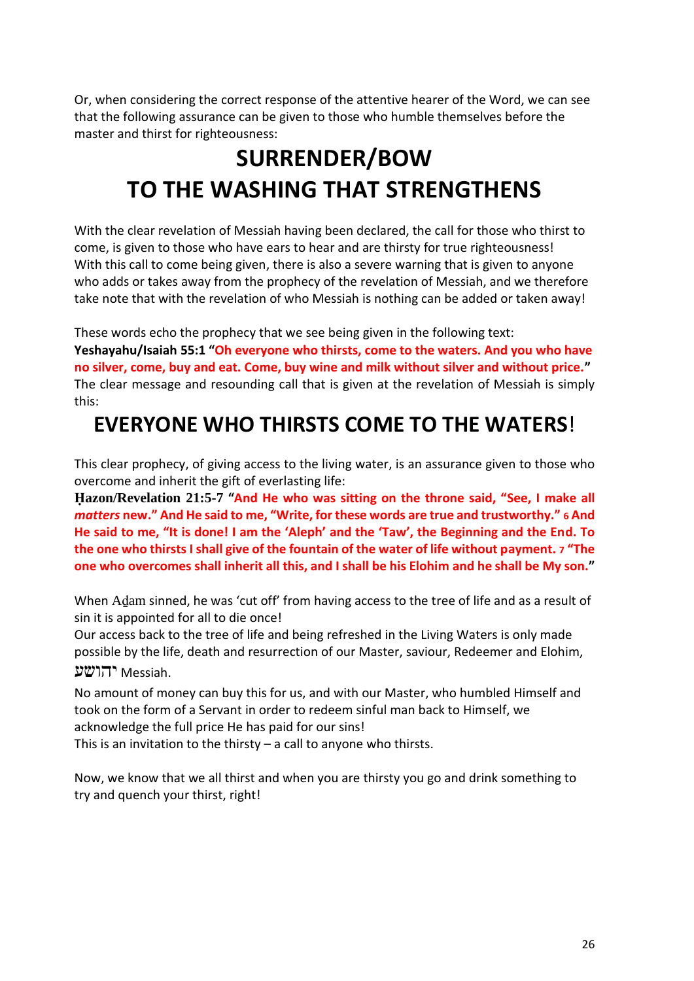Or, when considering the correct response of the attentive hearer of the Word, we can see that the following assurance can be given to those who humble themselves before the master and thirst for righteousness:

### **SURRENDER/BOW TO THE WASHING THAT STRENGTHENS**

With the clear revelation of Messiah having been declared, the call for those who thirst to come, is given to those who have ears to hear and are thirsty for true righteousness! With this call to come being given, there is also a severe warning that is given to anyone who adds or takes away from the prophecy of the revelation of Messiah, and we therefore take note that with the revelation of who Messiah is nothing can be added or taken away!

These words echo the prophecy that we see being given in the following text:

**Yeshayahu/Isaiah 55:1 "Oh everyone who thirsts, come to the waters. And you who have no silver, come, buy and eat. Come, buy wine and milk without silver and without price."** The clear message and resounding call that is given at the revelation of Messiah is simply this:

### **EVERYONE WHO THIRSTS COME TO THE WATERS**!

This clear prophecy, of giving access to the living water, is an assurance given to those who overcome and inherit the gift of everlasting life:

**Ḥazon/Revelation 21:5-7 "And He who was sitting on the throne said, "See, I make all**  *matters* **new." And He said to me, "Write, for these words are true and trustworthy." 6 And He said to me, "It is done! I am the 'Aleph' and the 'Taw', the Beginning and the End. To the one who thirsts I shall give of the fountain of the water of life without payment. 7 "The one who overcomes shall inherit all this, and I shall be his Elohim and he shall be My son."**

When Aḏam sinned, he was 'cut off' from having access to the tree of life and as a result of sin it is appointed for all to die once!

Our access back to the tree of life and being refreshed in the Living Waters is only made possible by the life, death and resurrection of our Master, saviour, Redeemer and Elohim, .Messiah יהושע

No amount of money can buy this for us, and with our Master, who humbled Himself and took on the form of a Servant in order to redeem sinful man back to Himself, we acknowledge the full price He has paid for our sins!

This is an invitation to the thirsty  $-$  a call to anyone who thirsts.

Now, we know that we all thirst and when you are thirsty you go and drink something to try and quench your thirst, right!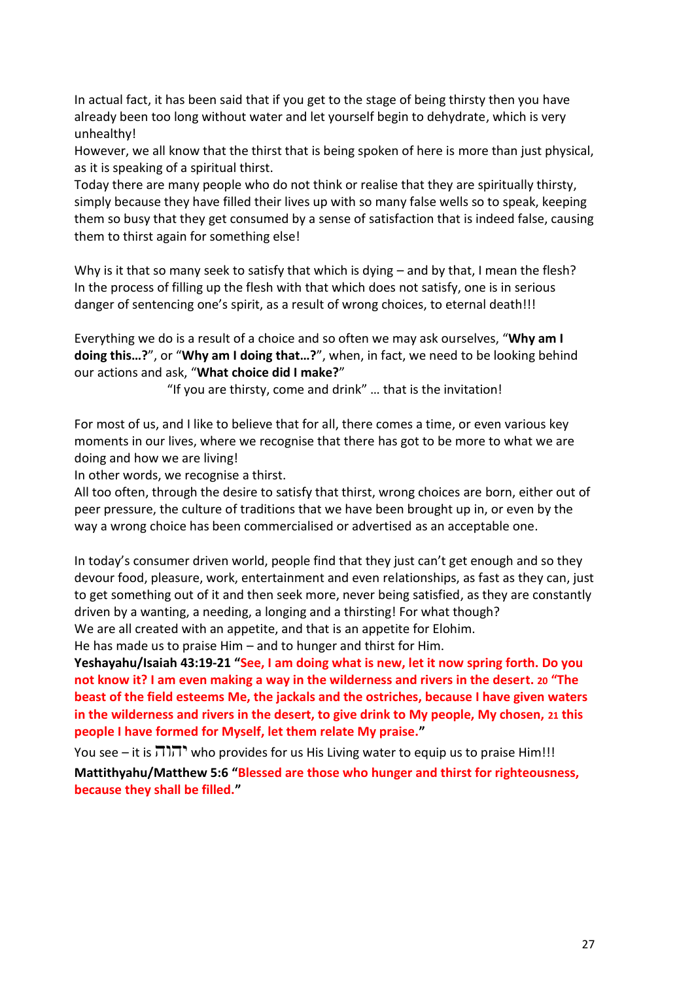In actual fact, it has been said that if you get to the stage of being thirsty then you have already been too long without water and let yourself begin to dehydrate, which is very unhealthy!

However, we all know that the thirst that is being spoken of here is more than just physical, as it is speaking of a spiritual thirst.

Today there are many people who do not think or realise that they are spiritually thirsty, simply because they have filled their lives up with so many false wells so to speak, keeping them so busy that they get consumed by a sense of satisfaction that is indeed false, causing them to thirst again for something else!

Why is it that so many seek to satisfy that which is dying – and by that, I mean the flesh? In the process of filling up the flesh with that which does not satisfy, one is in serious danger of sentencing one's spirit, as a result of wrong choices, to eternal death!!!

Everything we do is a result of a choice and so often we may ask ourselves, "**Why am I doing this…?**", or "**Why am I doing that…?**", when, in fact, we need to be looking behind our actions and ask, "**What choice did I make?**"

"If you are thirsty, come and drink" … that is the invitation!

For most of us, and I like to believe that for all, there comes a time, or even various key moments in our lives, where we recognise that there has got to be more to what we are doing and how we are living!

In other words, we recognise a thirst.

All too often, through the desire to satisfy that thirst, wrong choices are born, either out of peer pressure, the culture of traditions that we have been brought up in, or even by the way a wrong choice has been commercialised or advertised as an acceptable one.

In today's consumer driven world, people find that they just can't get enough and so they devour food, pleasure, work, entertainment and even relationships, as fast as they can, just to get something out of it and then seek more, never being satisfied, as they are constantly driven by a wanting, a needing, a longing and a thirsting! For what though? We are all created with an appetite, and that is an appetite for Elohim.

He has made us to praise Him – and to hunger and thirst for Him.

**Yeshayahu/Isaiah 43:19-21 "See, I am doing what is new, let it now spring forth. Do you not know it? I am even making a way in the wilderness and rivers in the desert. 20 "The beast of the field esteems Me, the jackals and the ostriches, because I have given waters in the wilderness and rivers in the desert, to give drink to My people, My chosen, 21 this people I have formed for Myself, let them relate My praise."**

You see – it is  $\overline{11}$ יהוה who provides for us His Living water to equip us to praise Him!!! **Mattithyahu/Matthew 5:6 "Blessed are those who hunger and thirst for righteousness, because they shall be filled."**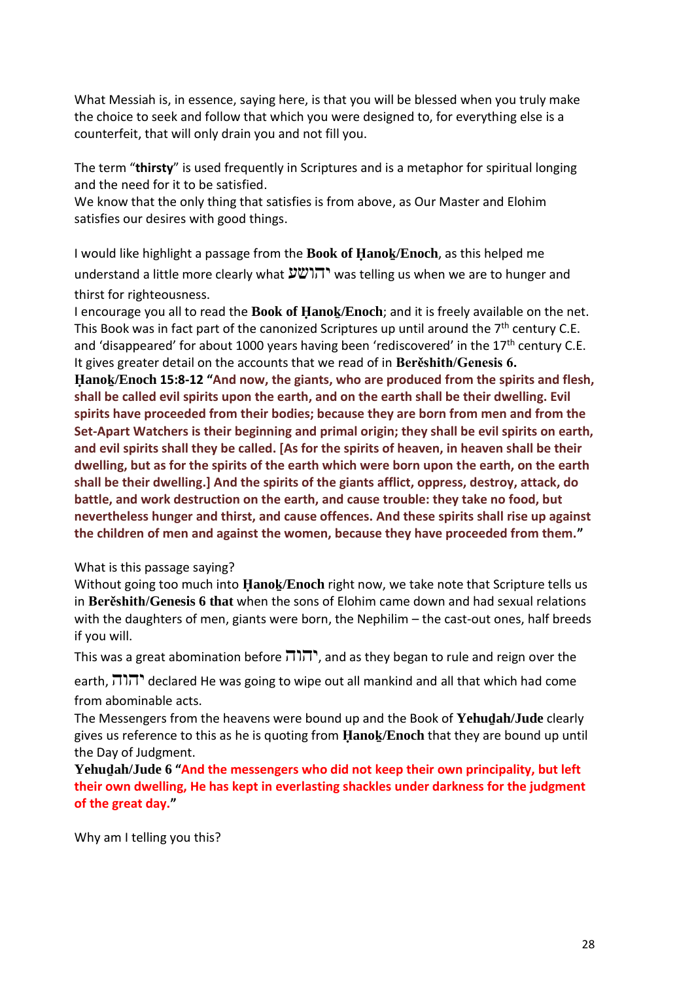What Messiah is, in essence, saying here, is that you will be blessed when you truly make the choice to seek and follow that which you were designed to, for everything else is a counterfeit, that will only drain you and not fill you.

The term "**thirsty**" is used frequently in Scriptures and is a metaphor for spiritual longing and the need for it to be satisfied.

We know that the only thing that satisfies is from above, as Our Master and Elohim satisfies our desires with good things.

I would like highlight a passage from the **Book of Ḥanoḵ/Enoch**, as this helped me understand a little more clearly what  $\mathcal{V}(\mathcal{V})$  was telling us when we are to hunger and thirst for righteousness.

I encourage you all to read the **Book of Ḥanoḵ/Enoch**; and it is freely available on the net. This Book was in fact part of the canonized Scriptures up until around the  $7<sup>th</sup>$  century C.E. and 'disappeared' for about 1000 years having been 'rediscovered' in the 17<sup>th</sup> century C.E. It gives greater detail on the accounts that we read of in **Berěshith/Genesis 6.**

**Ḥanoḵ/Enoch 15:8-12 "And now, the giants, who are produced from the spirits and flesh, shall be called evil spirits upon the earth, and on the earth shall be their dwelling. Evil spirits have proceeded from their bodies; because they are born from men and from the Set-Apart Watchers is their beginning and primal origin; they shall be evil spirits on earth, and evil spirits shall they be called. [As for the spirits of heaven, in heaven shall be their dwelling, but as for the spirits of the earth which were born upon the earth, on the earth shall be their dwelling.] And the spirits of the giants afflict, oppress, destroy, attack, do battle, and work destruction on the earth, and cause trouble: they take no food, but nevertheless hunger and thirst, and cause offences. And these spirits shall rise up against the children of men and against the women, because they have proceeded from them."**

#### What is this passage saying?

Without going too much into **Ḥanoḵ/Enoch** right now, we take note that Scripture tells us in **Berěshith/Genesis 6 that** when the sons of Elohim came down and had sexual relations with the daughters of men, giants were born, the Nephilim – the cast-out ones, half breeds if you will.

This was a great abomination before  $\pi$ , and as they began to rule and reign over the

earth,  $\overline{111}$  declared He was going to wipe out all mankind and all that which had come from abominable acts.

The Messengers from the heavens were bound up and the Book of **Yehuḏah/Jude** clearly gives us reference to this as he is quoting from **Ḥanoḵ/Enoch** that they are bound up until the Day of Judgment.

**Yehuḏah/Jude 6 "And the messengers who did not keep their own principality, but left their own dwelling, He has kept in everlasting shackles under darkness for the judgment of the great day."**

Why am I telling you this?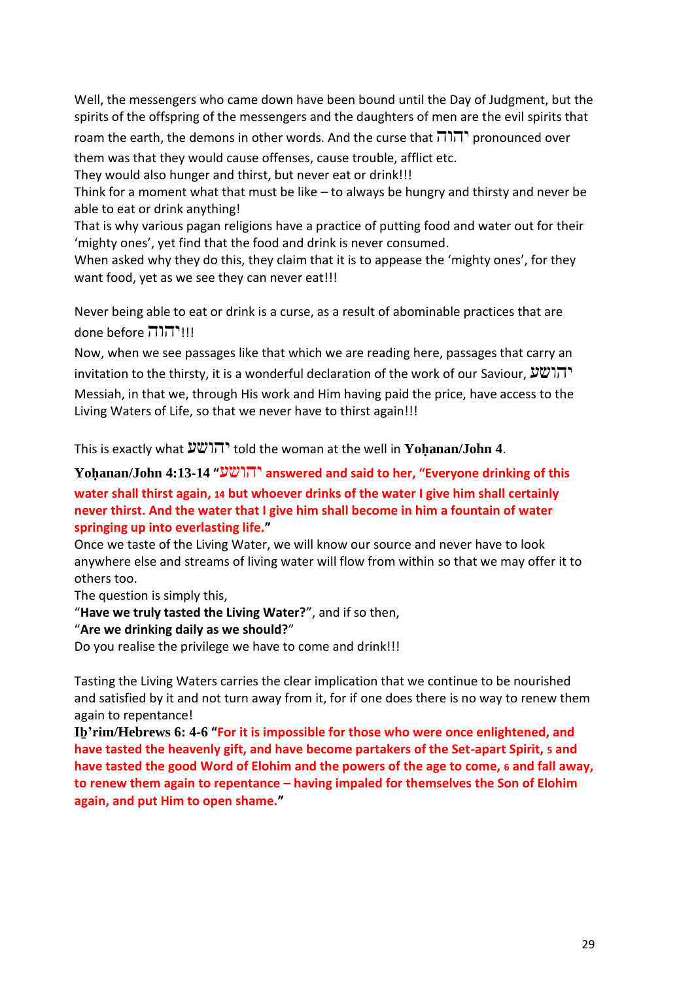Well, the messengers who came down have been bound until the Day of Judgment, but the spirits of the offspring of the messengers and the daughters of men are the evil spirits that

roam the earth, the demons in other words. And the curse that יהוה pronounced over

them was that they would cause offenses, cause trouble, afflict etc.

They would also hunger and thirst, but never eat or drink!!!

Think for a moment what that must be like – to always be hungry and thirsty and never be able to eat or drink anything!

That is why various pagan religions have a practice of putting food and water out for their 'mighty ones', yet find that the food and drink is never consumed.

When asked why they do this, they claim that it is to appease the 'mighty ones', for they want food, yet as we see they can never eat!!!

Never being able to eat or drink is a curse, as a result of abominable practices that are done before יהוה!!!!

Now, when we see passages like that which we are reading here, passages that carry an invitation to the thirsty, it is a wonderful declaration of the work of our Saviour,  $\mathcal{V} \mathcal{V} \cap \mathcal{V}$ Messiah, in that we, through His work and Him having paid the price, have access to the Living Waters of Life, so that we never have to thirst again!!!

This is exactly what יהושע told the woman at the well in **Yoḥanan/John 4**.

#### **Yoḥanan/John 4:13-14 "**יהושע **answered and said to her, "Everyone drinking of this water shall thirst again, 14 but whoever drinks of the water I give him shall certainly never thirst. And the water that I give him shall become in him a fountain of water springing up into everlasting life."**

Once we taste of the Living Water, we will know our source and never have to look anywhere else and streams of living water will flow from within so that we may offer it to others too.

The question is simply this,

"**Have we truly tasted the Living Water?**", and if so then,

#### "**Are we drinking daily as we should?**"

Do you realise the privilege we have to come and drink!!!

Tasting the Living Waters carries the clear implication that we continue to be nourished and satisfied by it and not turn away from it, for if one does there is no way to renew them again to repentance!

**Iḇ'rim/Hebrews 6: 4-6 "For it is impossible for those who were once enlightened, and have tasted the heavenly gift, and have become partakers of the Set-apart Spirit, 5 and have tasted the good Word of Elohim and the powers of the age to come, 6 and fall away, to renew them again to repentance – having impaled for themselves the Son of Elohim again, and put Him to open shame."**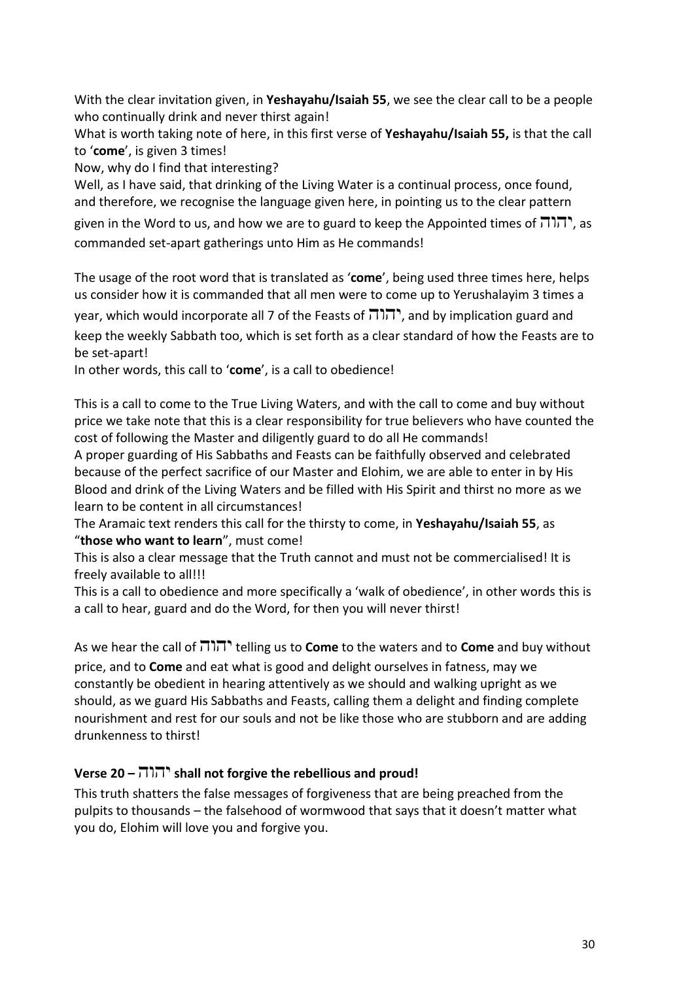With the clear invitation given, in **Yeshayahu/Isaiah 55**, we see the clear call to be a people who continually drink and never thirst again!

What is worth taking note of here, in this first verse of **Yeshayahu/Isaiah 55,** is that the call to '**come**', is given 3 times!

Now, why do I find that interesting?

Well, as I have said, that drinking of the Living Water is a continual process, once found, and therefore, we recognise the language given here, in pointing us to the clear pattern

given in the Word to us, and how we are to guard to keep the Appointed times of  $\pi$ , as commanded set-apart gatherings unto Him as He commands!

The usage of the root word that is translated as '**come**', being used three times here, helps us consider how it is commanded that all men were to come up to Yerushalayim 3 times a

year, which would incorporate all 7 of the Feasts of  $\pi$ ן, and by implication guard and keep the weekly Sabbath too, which is set forth as a clear standard of how the Feasts are to be set-apart!

In other words, this call to '**come**', is a call to obedience!

This is a call to come to the True Living Waters, and with the call to come and buy without price we take note that this is a clear responsibility for true believers who have counted the cost of following the Master and diligently guard to do all He commands!

A proper guarding of His Sabbaths and Feasts can be faithfully observed and celebrated because of the perfect sacrifice of our Master and Elohim, we are able to enter in by His Blood and drink of the Living Waters and be filled with His Spirit and thirst no more as we learn to be content in all circumstances!

The Aramaic text renders this call for the thirsty to come, in **Yeshayahu/Isaiah 55**, as "**those who want to learn**", must come!

This is also a clear message that the Truth cannot and must not be commercialised! It is freely available to all!!!

This is a call to obedience and more specifically a 'walk of obedience', in other words this is a call to hear, guard and do the Word, for then you will never thirst!

As we hear the call of יהוה telling us to **Come** to the waters and to **Come** and buy without price, and to **Come** and eat what is good and delight ourselves in fatness, may we constantly be obedient in hearing attentively as we should and walking upright as we should, as we guard His Sabbaths and Feasts, calling them a delight and finding complete nourishment and rest for our souls and not be like those who are stubborn and are adding drunkenness to thirst!

#### **Verse 20 –** יהוה **shall not forgive the rebellious and proud!**

This truth shatters the false messages of forgiveness that are being preached from the pulpits to thousands – the falsehood of wormwood that says that it doesn't matter what you do, Elohim will love you and forgive you.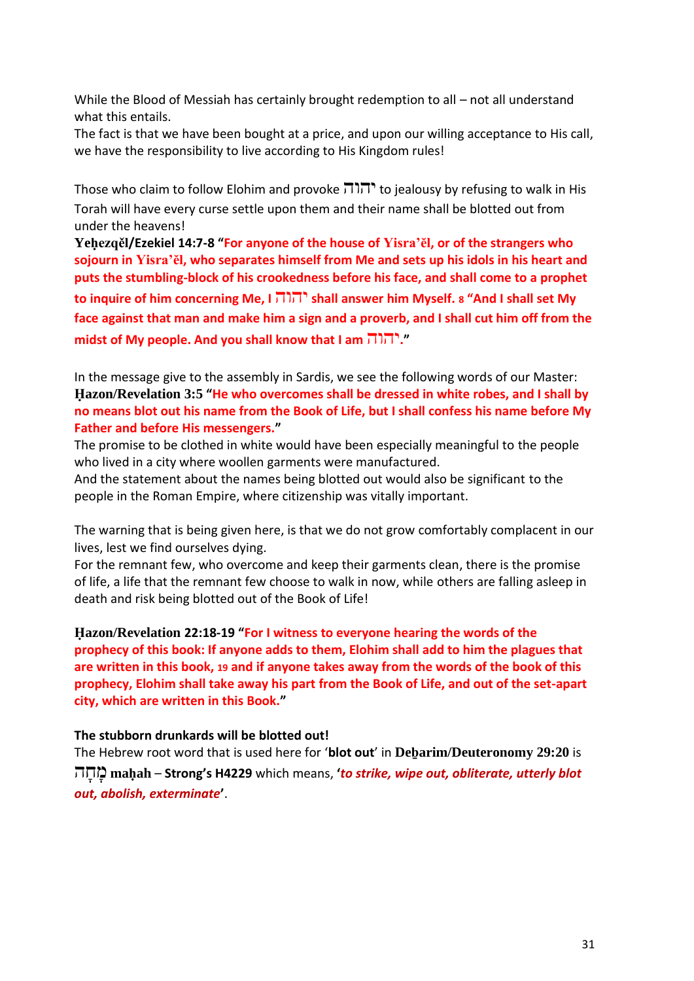While the Blood of Messiah has certainly brought redemption to all – not all understand what this entails.

The fact is that we have been bought at a price, and upon our willing acceptance to His call, we have the responsibility to live according to His Kingdom rules!

Those who claim to follow Elohim and provoke יהוה to jealousy by refusing to walk in His Torah will have every curse settle upon them and their name shall be blotted out from under the heavens!

**Yeḥezqěl/Ezekiel 14:7-8 "For anyone of the house of Yisra'ĕl, or of the strangers who sojourn in Yisra'ĕl, who separates himself from Me and sets up his idols in his heart and puts the stumbling-block of his crookedness before his face, and shall come to a prophet to inquire of him concerning Me, I** יהוה **shall answer him Myself. <sup>8</sup> "And I shall set My face against that man and make him a sign and a proverb, and I shall cut him off from the midst of My people. And you shall know that I am** יהוה**."**

In the message give to the assembly in Sardis, we see the following words of our Master: **Ḥazon/Revelation 3:5 "He who overcomes shall be dressed in white robes, and I shall by no means blot out his name from the Book of Life, but I shall confess his name before My Father and before His messengers."**

The promise to be clothed in white would have been especially meaningful to the people who lived in a city where woollen garments were manufactured.

And the statement about the names being blotted out would also be significant to the people in the Roman Empire, where citizenship was vitally important.

The warning that is being given here, is that we do not grow comfortably complacent in our lives, lest we find ourselves dying.

For the remnant few, who overcome and keep their garments clean, there is the promise of life, a life that the remnant few choose to walk in now, while others are falling asleep in death and risk being blotted out of the Book of Life!

**Ḥazon/Revelation 22:18-19 "For I witness to everyone hearing the words of the prophecy of this book: If anyone adds to them, Elohim shall add to him the plagues that are written in this book, 19 and if anyone takes away from the words of the book of this prophecy, Elohim shall take away his part from the Book of Life, and out of the set-apart city, which are written in this Book."**

#### **The stubborn drunkards will be blotted out!**

The Hebrew root word that is used here for '**blot out**' in **Deḇarim/Deuteronomy 29:20** is ה ָּח ָּמ **maḥah** – **Strong's H4229** which means, **'***to strike, wipe out, obliterate, utterly blot out, abolish, exterminate***'**.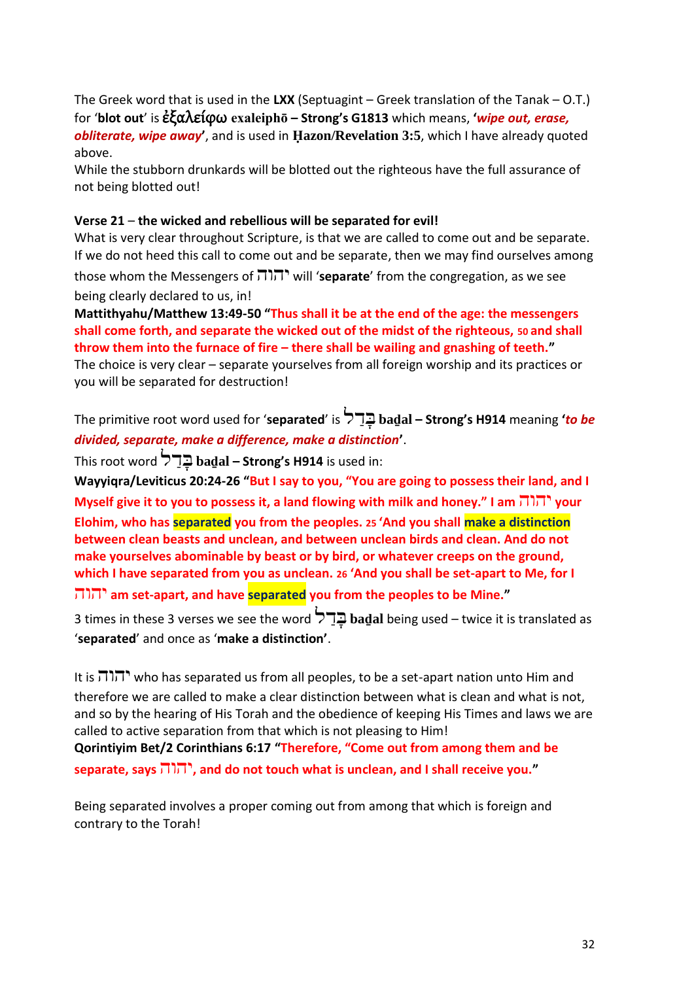The Greek word that is used in the **LXX** (Septuagint – Greek translation of the Tanak – O.T.) for '**blot out**' is ἐξαλείφω **exaleiphō – Strong's G1813** which means, **'***wipe out, erase, obliterate, wipe away***'**, and is used in **Ḥazon/Revelation 3:5**, which I have already quoted above.

While the stubborn drunkards will be blotted out the righteous have the full assurance of not being blotted out!

#### **Verse 21** – **the wicked and rebellious will be separated for evil!**

What is very clear throughout Scripture, is that we are called to come out and be separate. If we do not heed this call to come out and be separate, then we may find ourselves among

those whom the Messengers of יהוה will '**separate**' from the congregation, as we see being clearly declared to us, in!

**Mattithyahu/Matthew 13:49-50 "Thus shall it be at the end of the age: the messengers shall come forth, and separate the wicked out of the midst of the righteous, 50 and shall throw them into the furnace of fire – there shall be wailing and gnashing of teeth."** The choice is very clear – separate yourselves from all foreign worship and its practices or

you will be separated for destruction!

The primitive root word used for '**separated**' is ל ַד ָּב **baḏal – Strong's H914** meaning **'***to be divided, separate, make a difference, make a distinction***'**.

This root word ל ַד ָּב **baḏal – Strong's H914** is used in:

**Wayyiqra/Leviticus 20:24-26 "But I say to you, "You are going to possess their land, and I Myself give it to you to possess it, a land flowing with milk and honey." I am** יהוה **your Elohim, who has separated you from the peoples. 25 'And you shall make a distinction between clean beasts and unclean, and between unclean birds and clean. And do not make yourselves abominable by beast or by bird, or whatever creeps on the ground, which I have separated from you as unclean. 26 'And you shall be set-apart to Me, for I**  יהוה **am set-apart, and have separated you from the peoples to be Mine."**

3 times in these 3 verses we see the word ל ַד ָּב **baḏal** being used – twice it is translated as '**separated**' and once as '**make a distinction'**.

It is  $\Pi\Pi$ , who has separated us from all peoples, to be a set-apart nation unto Him and therefore we are called to make a clear distinction between what is clean and what is not, and so by the hearing of His Torah and the obedience of keeping His Times and laws we are called to active separation from that which is not pleasing to Him! **Qorintiyim Bet/2 Corinthians 6:17 "Therefore, "Come out from among them and be separate, says** יהוה**, and do not touch what is unclean, and I shall receive you."**

Being separated involves a proper coming out from among that which is foreign and contrary to the Torah!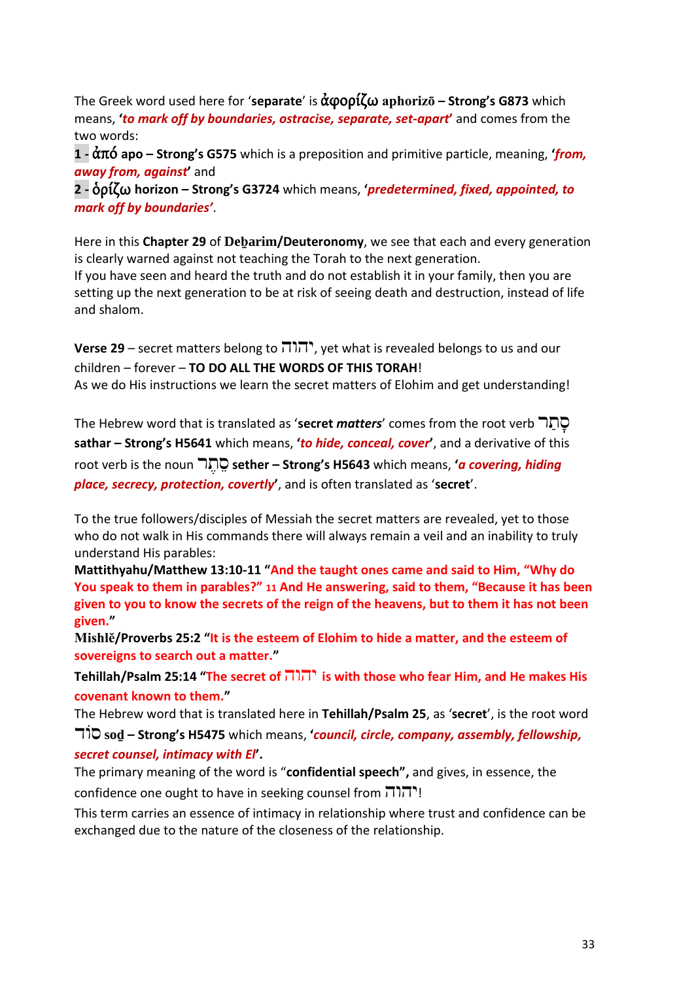The Greek word used here for '**separate**' is ἀφορίζω **aphorizō – Strong's G873** which means, **'***to mark off by boundaries, ostracise, separate, set-apart***'** and comes from the two words:

**1 -** ἀπό **apo – Strong's G575** which is a preposition and primitive particle, meaning, **'***from, away from, against***'** and

**2 -** ὁρίζω **horizon – Strong's G3724** which means, **'***predetermined, fixed, appointed, to mark off by boundaries'*.

Here in this **Chapter 29** of **Deḇarim/Deuteronomy**, we see that each and every generation is clearly warned against not teaching the Torah to the next generation.

If you have seen and heard the truth and do not establish it in your family, then you are setting up the next generation to be at risk of seeing death and destruction, instead of life and shalom.

**Verse 29** – secret matters belong to יהוה, yet what is revealed belongs to us and our children – forever – **TO DO ALL THE WORDS OF THIS TORAH**! As we do His instructions we learn the secret matters of Elohim and get understanding!

The Hebrew word that is translated as 'secret *matters'* comes from the root verb תַּחַ **sathar – Strong's H5641** which means, **'***to hide, conceal, cover***'**, and a derivative of this root verb is the noun ר ֶּת ֵס **sether – Strong's H5643** which means, **'***a covering, hiding place, secrecy, protection, covertly***'**, and is often translated as '**secret**'.

To the true followers/disciples of Messiah the secret matters are revealed, yet to those who do not walk in His commands there will always remain a veil and an inability to truly understand His parables:

**Mattithyahu/Matthew 13:10-11 "And the taught ones came and said to Him, "Why do You speak to them in parables?" 11 And He answering, said to them, "Because it has been given to you to know the secrets of the reign of the heavens, but to them it has not been given."**

**Mishlĕ/Proverbs 25:2 "It is the esteem of Elohim to hide a matter, and the esteem of sovereigns to search out a matter."**

**Tehillah/Psalm 25:14 "The secret of** יהוה **is with those who fear Him, and He makes His covenant known to them."**

The Hebrew word that is translated here in **Tehillah/Psalm 25**, as '**secret**', is the root word

ודֹס **soḏ – Strong's H5475** which means, **'***council, circle, company, assembly, fellowship, secret counsel, intimacy with El***'.** 

The primary meaning of the word is "**confidential speech",** and gives, in essence, the confidence one ought to have in seeking counsel from  $\pi$ 

This term carries an essence of intimacy in relationship where trust and confidence can be exchanged due to the nature of the closeness of the relationship.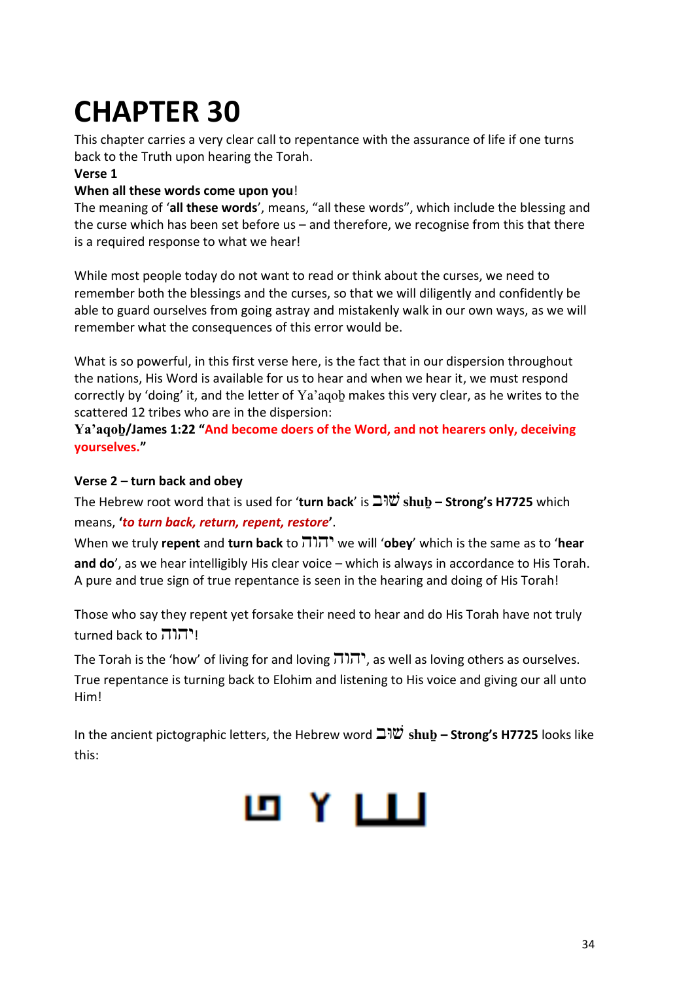## **CHAPTER 30**

This chapter carries a very clear call to repentance with the assurance of life if one turns back to the Truth upon hearing the Torah.

#### **Verse 1**

#### **When all these words come upon you**!

The meaning of '**all these words**', means, "all these words", which include the blessing and the curse which has been set before us – and therefore, we recognise from this that there is a required response to what we hear!

While most people today do not want to read or think about the curses, we need to remember both the blessings and the curses, so that we will diligently and confidently be able to guard ourselves from going astray and mistakenly walk in our own ways, as we will remember what the consequences of this error would be.

What is so powerful, in this first verse here, is the fact that in our dispersion throughout the nations, His Word is available for us to hear and when we hear it, we must respond correctly by 'doing' it, and the letter of Ya'aqob makes this very clear, as he writes to the scattered 12 tribes who are in the dispersion:

**Ya'aqoḇ/James 1:22 "And become doers of the Word, and not hearers only, deceiving yourselves."**

#### **Verse 2 – turn back and obey**

The Hebrew root word that is used for '**turn back**' is ובּש **shuḇ – Strong's H7725** which means, **'***to turn back, return, repent, restore***'**.

When we truly **repent** and **turn back** to יהוה we will '**obey**' which is the same as to '**hear and do**', as we hear intelligibly His clear voice – which is always in accordance to His Torah. A pure and true sign of true repentance is seen in the hearing and doing of His Torah!

Those who say they repent yet forsake their need to hear and do His Torah have not truly turned back to יהוה!

The Torah is the 'how' of living for and loving יהוה, as well as loving others as ourselves. True repentance is turning back to Elohim and listening to His voice and giving our all unto Him!

In the ancient pictographic letters, the Hebrew word ובּש **shuḇ – Strong's H7725** looks like this:

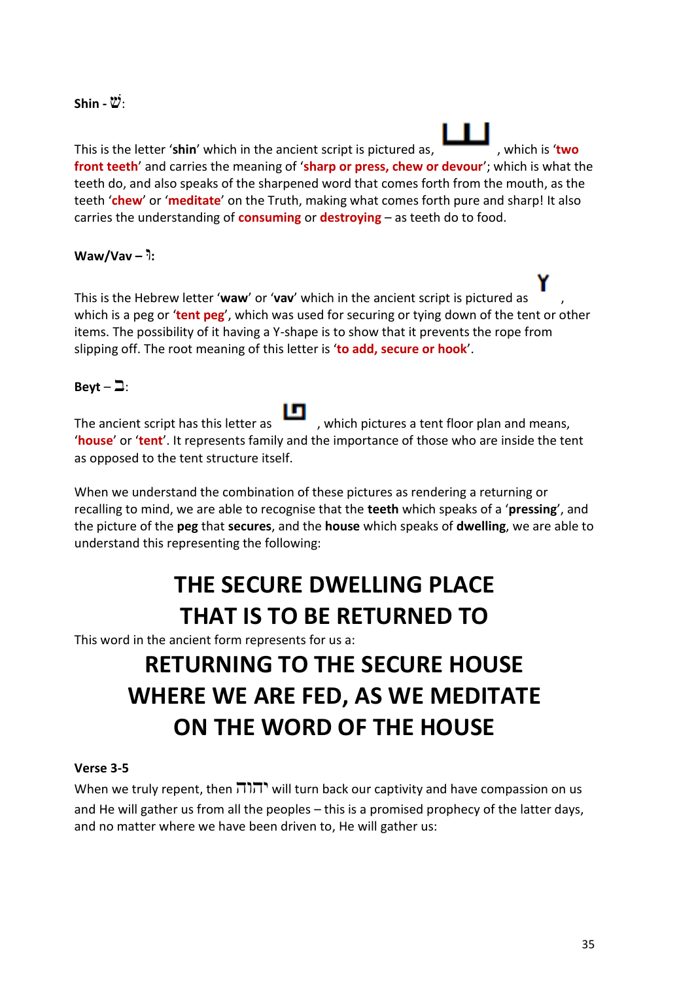#### $Shin - \mathcal{W}$ :

This is the letter 'shin' which in the ancient script is pictured as.  $\overline{\phantom{a}}$ , which is 'two **front teeth**' and carries the meaning of '**sharp or press, chew or devour**'; which is what the teeth do, and also speaks of the sharpened word that comes forth from the mouth, as the teeth '**chew**' or '**meditate**' on the Truth, making what comes forth pure and sharp! It also carries the understanding of **consuming** or **destroying** – as teeth do to food.

#### **Waw/Vav –** וּ**:**

This is the Hebrew letter '**waw**' or '**vav**' which in the ancient script is pictured as , which is a peg or '**tent peg**', which was used for securing or tying down of the tent or other items. The possibility of it having a Y-shape is to show that it prevents the rope from slipping off. The root meaning of this letter is '**to add, secure or hook**'.

#### Beyt –  $\Box$ :

The ancient script has this letter as  $\Box$ , which pictures a tent floor plan and means, '**house**' or '**tent**'. It represents family and the importance of those who are inside the tent as opposed to the tent structure itself.

When we understand the combination of these pictures as rendering a returning or recalling to mind, we are able to recognise that the **teeth** which speaks of a '**pressing**', and the picture of the **peg** that **secures**, and the **house** which speaks of **dwelling**, we are able to understand this representing the following:

### **THE SECURE DWELLING PLACE THAT IS TO BE RETURNED TO**

This word in the ancient form represents for us a:

### **RETURNING TO THE SECURE HOUSE WHERE WE ARE FED, AS WE MEDITATE ON THE WORD OF THE HOUSE**

#### **Verse 3-5**

When we truly repent, then יהוה ישוא יהוה when we truly repent, then and He will gather us from all the peoples – this is a promised prophecy of the latter days, and no matter where we have been driven to, He will gather us: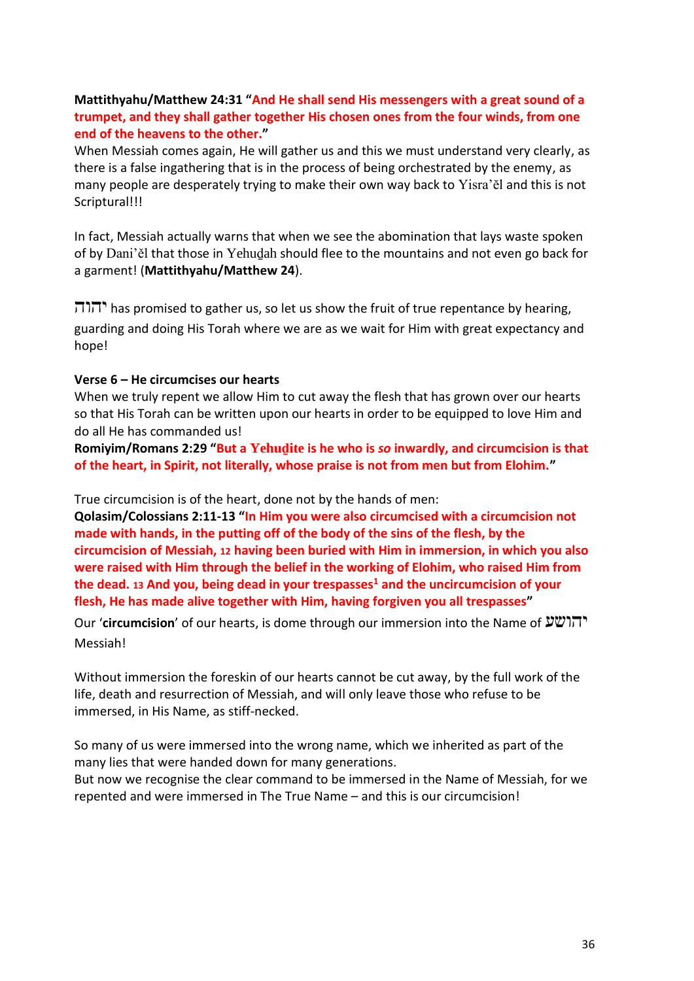#### **Mattithyahu/Matthew 24:31 "And He shall send His messengers with a great sound of a trumpet, and they shall gather together His chosen ones from the four winds, from one end of the heavens to the other."**

When Messiah comes again, He will gather us and this we must understand very clearly, as there is a false ingathering that is in the process of being orchestrated by the enemy, as many people are desperately trying to make their own way back to Yisra'ĕl and this is not Scriptural!!!

In fact, Messiah actually warns that when we see the abomination that lays waste spoken of by Dani'ěl that those in Yehuḏah should flee to the mountains and not even go back for a garment! (**Mattithyahu/Matthew 24**).

הוה has promised to gather us, so let us show the fruit of true repentance by hearing, guarding and doing His Torah where we are as we wait for Him with great expectancy and hope!

#### **Verse 6 – He circumcises our hearts**

When we truly repent we allow Him to cut away the flesh that has grown over our hearts so that His Torah can be written upon our hearts in order to be equipped to love Him and do all He has commanded us!

**Romiyim/Romans 2:29 "But a Yehuḏite is he who is** *so* **inwardly, and circumcision is that of the heart, in Spirit, not literally, whose praise is not from men but from Elohim."**

True circumcision is of the heart, done not by the hands of men:

**Qolasim/Colossians 2:11-13 "In Him you were also circumcised with a circumcision not made with hands, in the putting off of the body of the sins of the flesh, by the circumcision of Messiah, 12 having been buried with Him in immersion, in which you also were raised with Him through the belief in the working of Elohim, who raised Him from the dead. <sup>13</sup> And you, being dead in your trespasses<sup>1</sup> and the uncircumcision of your flesh, He has made alive together with Him, having forgiven you all trespasses"**

Our '**circumcision**' of our hearts, is dome through our immersion into the Name of יהושע Messiah!

Without immersion the foreskin of our hearts cannot be cut away, by the full work of the life, death and resurrection of Messiah, and will only leave those who refuse to be immersed, in His Name, as stiff-necked.

So many of us were immersed into the wrong name, which we inherited as part of the many lies that were handed down for many generations.

But now we recognise the clear command to be immersed in the Name of Messiah, for we repented and were immersed in The True Name – and this is our circumcision!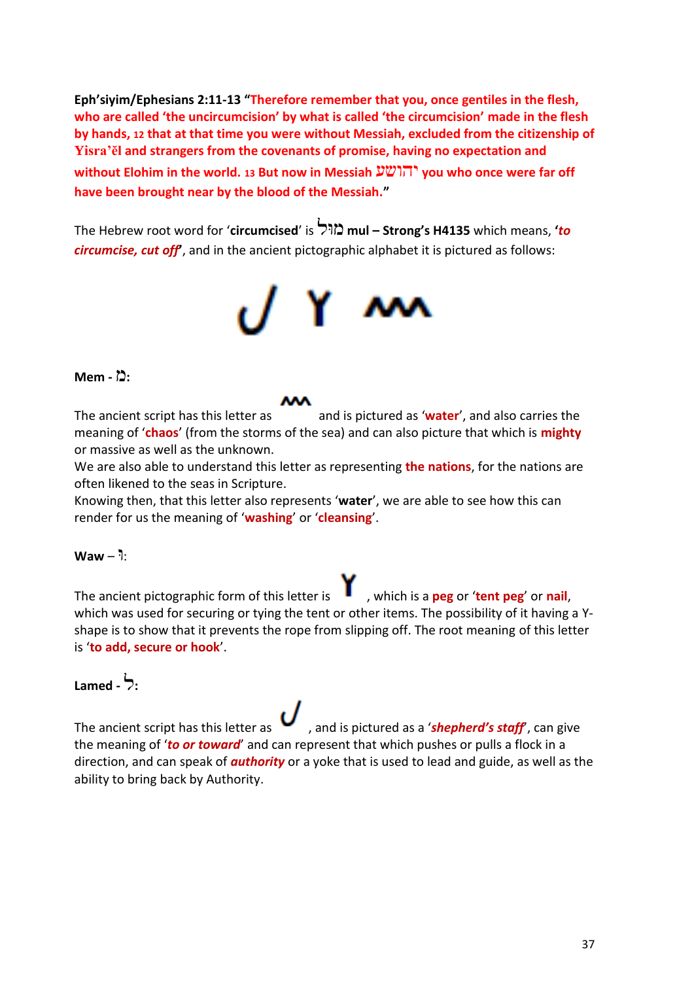**Eph'siyim/Ephesians 2:11-13 "Therefore remember that you, once gentiles in the flesh, who are called 'the uncircumcision' by what is called 'the circumcision' made in the flesh by hands, 12 that at that time you were without Messiah, excluded from the citizenship of Yisra'ĕl and strangers from the covenants of promise, having no expectation and without Elohim in the world. <sup>13</sup> But now in Messiah** יהושע **you who once were far off have been brought near by the blood of the Messiah."**

The Hebrew root word for '**circumcised**' is ולּמ **mul – Strong's H4135** which means, **'***to circumcise, cut off***'**, and in the ancient pictographic alphabet it is pictured as follows:



#### **:**מ **- Mem**

The ancient script has this letter as and is pictured as 'water', and also carries the meaning of '**chaos**' (from the storms of the sea) and can also picture that which is **mighty** or massive as well as the unknown.

We are also able to understand this letter as representing **the nations**, for the nations are often likened to the seas in Scripture.

Knowing then, that this letter also represents '**water**', we are able to see how this can render for us the meaning of '**washing**' or '**cleansing**'.

#### ּ:ו – **Waw**

The ancient pictographic form of this letter is , which is a **peg** or '**tent peg**' or **nail**, which was used for securing or tying the tent or other items. The possibility of it having a Yshape is to show that it prevents the rope from slipping off. The root meaning of this letter is '**to add, secure or hook**'.

#### **:**ל **- Lamed**

The ancient script has this letter as  $\bullet$ , and is pictured as a '**shepherd's staff'**, can give the meaning of '*to or toward*' and can represent that which pushes or pulls a flock in a direction, and can speak of *authority* or a yoke that is used to lead and guide, as well as the ability to bring back by Authority.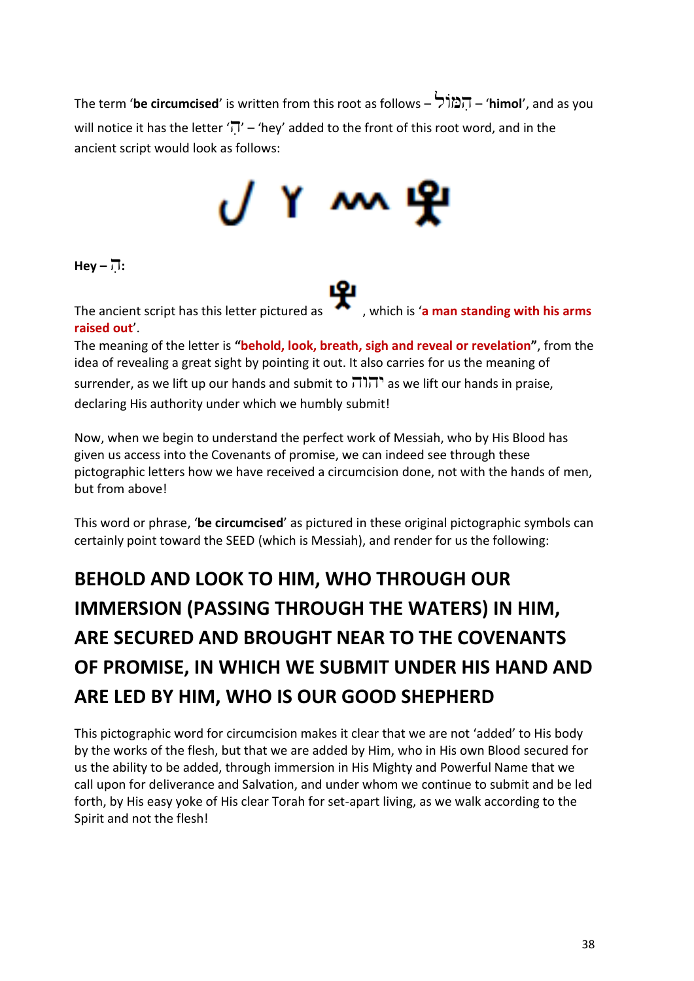The term '**be circumcised**' is written from this root as follows – ולֹמ ִה' – **himol**', and as you will notice it has the letter ' $\overline{N}$ ' – 'hey' added to the front of this root word, and in the ancient script would look as follows:

# 

**:**הִ **– Hey**

The ancient script has this letter pictured as **1999**, which is 'a man standing with his arms **raised out**'.

The meaning of the letter is **"behold, look, breath, sigh and reveal or revelation"**, from the idea of revealing a great sight by pointing it out. It also carries for us the meaning of surrender, as we lift up our hands and submit to  $\pi$ והוה as we lift our hands in praise, declaring His authority under which we humbly submit!

Now, when we begin to understand the perfect work of Messiah, who by His Blood has given us access into the Covenants of promise, we can indeed see through these pictographic letters how we have received a circumcision done, not with the hands of men, but from above!

This word or phrase, '**be circumcised**' as pictured in these original pictographic symbols can certainly point toward the SEED (which is Messiah), and render for us the following:

### **BEHOLD AND LOOK TO HIM, WHO THROUGH OUR IMMERSION (PASSING THROUGH THE WATERS) IN HIM, ARE SECURED AND BROUGHT NEAR TO THE COVENANTS OF PROMISE, IN WHICH WE SUBMIT UNDER HIS HAND AND ARE LED BY HIM, WHO IS OUR GOOD SHEPHERD**

This pictographic word for circumcision makes it clear that we are not 'added' to His body by the works of the flesh, but that we are added by Him, who in His own Blood secured for us the ability to be added, through immersion in His Mighty and Powerful Name that we call upon for deliverance and Salvation, and under whom we continue to submit and be led forth, by His easy yoke of His clear Torah for set-apart living, as we walk according to the Spirit and not the flesh!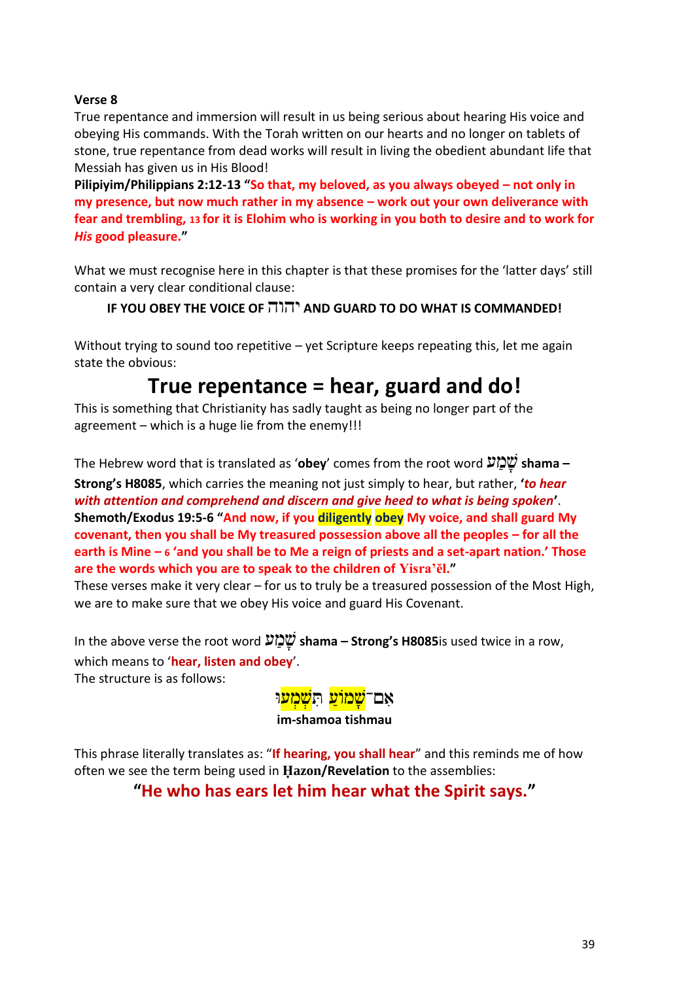#### **Verse 8**

True repentance and immersion will result in us being serious about hearing His voice and obeying His commands. With the Torah written on our hearts and no longer on tablets of stone, true repentance from dead works will result in living the obedient abundant life that Messiah has given us in His Blood!

**Pilipiyim/Philippians 2:12-13 "So that, my beloved, as you always obeyed – not only in my presence, but now much rather in my absence – work out your own deliverance with fear and trembling, 13 for it is Elohim who is working in you both to desire and to work for**  *His* **good pleasure."**

What we must recognise here in this chapter is that these promises for the 'latter days' still contain a very clear conditional clause:

#### **IF YOU OBEY THE VOICE OF** יהוה **AND GUARD TO DO WHAT IS COMMANDED!**

Without trying to sound too repetitive – yet Scripture keeps repeating this, let me again state the obvious:

### **True repentance = hear, guard and do!**

This is something that Christianity has sadly taught as being no longer part of the agreement – which is a huge lie from the enemy!!!

The Hebrew word that is translated as '**obey**' comes from the root word ע ַמ ָּש **shama –**

**Strong's H8085**, which carries the meaning not just simply to hear, but rather, **'***to hear with attention and comprehend and discern and give heed to what is being spoken***'**. **Shemoth/Exodus 19:5-6 "And now, if you diligently obey My voice, and shall guard My covenant, then you shall be My treasured possession above all the peoples – for all the earth is Mine – 6 'and you shall be to Me a reign of priests and a set-apart nation.' Those are the words which you are to speak to the children of Yisra'ĕl."**

These verses make it very clear – for us to truly be a treasured possession of the Most High, we are to make sure that we obey His voice and guard His Covenant.

In the above verse the root word ע ַמ ָּש **shama – Strong's H8085**is used twice in a row, which means to '**hear, listen and obey**'.

The structure is as follows:



This phrase literally translates as: "**If hearing, you shall hear**" and this reminds me of how often we see the term being used in **Ḥazon/Revelation** to the assemblies:

#### **"He who has ears let him hear what the Spirit says."**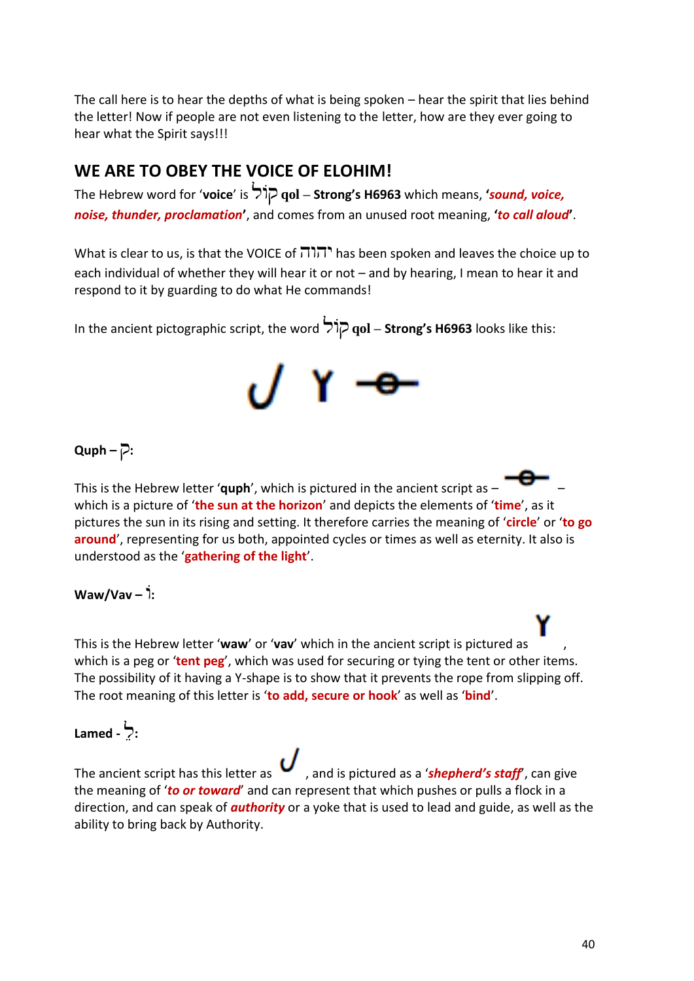The call here is to hear the depths of what is being spoken – hear the spirit that lies behind the letter! Now if people are not even listening to the letter, how are they ever going to hear what the Spirit says!!!

#### **WE ARE TO OBEY THE VOICE OF ELOHIM!**

The Hebrew word for '**voice**' is ולֹק **qol – Strong's H6963** which means, **'***sound, voice, noise, thunder, proclamation***'**, and comes from an unused root meaning, **'***to call aloud***'**.

What is clear to us, is that the VOICE of  $\overline{1}$  $\overline{1}$ , has been spoken and leaves the choice up to each individual of whether they will hear it or not – and by hearing, I mean to hear it and respond to it by guarding to do what He commands!

In the ancient pictographic script, the word ולֹק **qol – Strong's H6963** looks like this:



#### **:**ק **– Quph**

This is the Hebrew letter '**quph'**, which is pictured in the ancient script as  $$ which is a picture of '**the sun at the horizon**' and depicts the elements of '**time**', as it pictures the sun in its rising and setting. It therefore carries the meaning of '**circle**' or '**to go around**', representing for us both, appointed cycles or times as well as eternity. It also is understood as the '**gathering of the light**'.

#### **Waw/Vav –** וֹ**:**

This is the Hebrew letter '**waw**' or '**vav**' which in the ancient script is pictured as , which is a peg or '**tent peg**', which was used for securing or tying the tent or other items. The possibility of it having a Y-shape is to show that it prevents the rope from slipping off. The root meaning of this letter is '**to add, secure or hook**' as well as '**bind**'.

#### **:**לֵ **- Lamed**

The ancient script has this letter as  $\boldsymbol{U}$ , and is pictured as a '**shepherd's staff**', can give the meaning of '*to or toward*' and can represent that which pushes or pulls a flock in a direction, and can speak of *authority* or a yoke that is used to lead and guide, as well as the ability to bring back by Authority.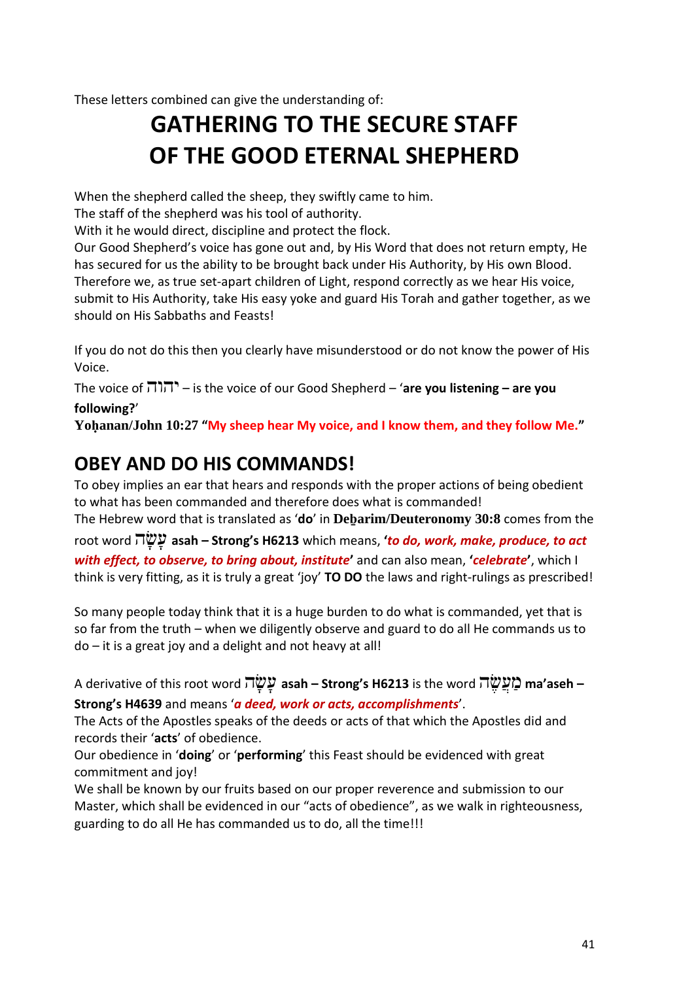These letters combined can give the understanding of:

### **GATHERING TO THE SECURE STAFF OF THE GOOD ETERNAL SHEPHERD**

When the shepherd called the sheep, they swiftly came to him.

The staff of the shepherd was his tool of authority.

With it he would direct, discipline and protect the flock.

Our Good Shepherd's voice has gone out and, by His Word that does not return empty, He has secured for us the ability to be brought back under His Authority, by His own Blood. Therefore we, as true set-apart children of Light, respond correctly as we hear His voice, submit to His Authority, take His easy yoke and guard His Torah and gather together, as we should on His Sabbaths and Feasts!

If you do not do this then you clearly have misunderstood or do not know the power of His Voice.

The voice of יהוה – is the voice of our Good Shepherd – '**are you listening – are you following?**'

**Yoḥanan/John 10:27 "My sheep hear My voice, and I know them, and they follow Me."**

#### **OBEY AND DO HIS COMMANDS!**

To obey implies an ear that hears and responds with the proper actions of being obedient to what has been commanded and therefore does what is commanded!

The Hebrew word that is translated as '**do**' in **Deḇarim/Deuteronomy 30:8** comes from the root word ה ָּש ָּע **asah – Strong's H6213** which means, **'***to do, work, make, produce, to act with effect, to observe, to bring about, institute***'** and can also mean, **'***celebrate***'**, which I think is very fitting, as it is truly a great 'joy' **TO DO** the laws and right-rulings as prescribed!

So many people today think that it is a huge burden to do what is commanded, yet that is so far from the truth – when we diligently observe and guard to do all He commands us to do – it is a great joy and a delight and not heavy at all!

A derivative of this root word ה ָּש ָּע **asah – Strong's H6213** is the word ה ֶּשֲע ַמ **ma'aseh – Strong's H4639** and means '*a deed, work or acts, accomplishments*'.

The Acts of the Apostles speaks of the deeds or acts of that which the Apostles did and records their '**acts**' of obedience.

Our obedience in '**doing**' or '**performing**' this Feast should be evidenced with great commitment and joy!

We shall be known by our fruits based on our proper reverence and submission to our Master, which shall be evidenced in our "acts of obedience", as we walk in righteousness, guarding to do all He has commanded us to do, all the time!!!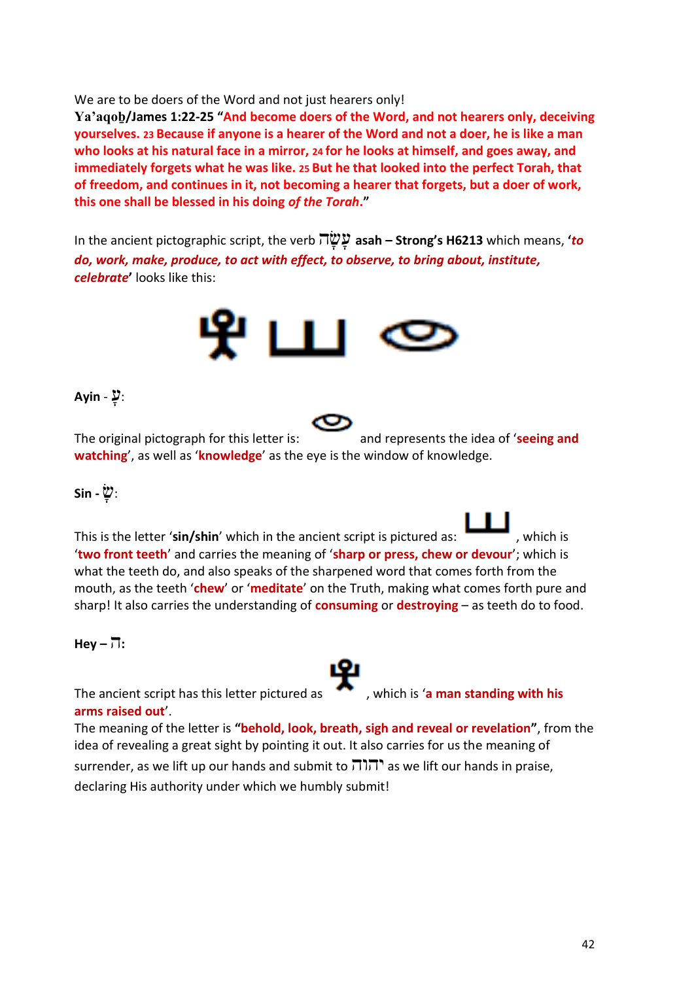We are to be doers of the Word and not just hearers only!

**Ya'aqoḇ/James 1:22-25 "And become doers of the Word, and not hearers only, deceiving yourselves. 23 Because if anyone is a hearer of the Word and not a doer, he is like a man who looks at his natural face in a mirror, 24 for he looks at himself, and goes away, and immediately forgets what he was like. 25 But he that looked into the perfect Torah, that of freedom, and continues in it, not becoming a hearer that forgets, but a doer of work, this one shall be blessed in his doing** *of the Torah***."**

In the ancient pictographic script, the verb ה ָּש ָּע **asah – Strong's H6213** which means, **'***to do, work, make, produce, to act with effect, to observe, to bring about, institute, celebrate***'** looks like this:



#### :עָּ - **Ayin**

The original pictograph for this letter is: and represents the idea of '**seeing and watching**', as well as '**knowledge**' as the eye is the window of knowledge.

#### :שָּ **- Sin**

This is the letter 'sin/shin' which in the ancient script is pictured as: '**two front teeth**' and carries the meaning of '**sharp or press, chew or devour**'; which is what the teeth do, and also speaks of the sharpened word that comes forth from the mouth, as the teeth '**chew**' or '**meditate**' on the Truth, making what comes forth pure and sharp! It also carries the understanding of **consuming** or **destroying** – as teeth do to food.

 $Hev - \overline{v}$ :

The ancient script has this letter pictured as  $\bullet$ , which is 'a man standing with his **arms raised out**'.

The meaning of the letter is **"behold, look, breath, sigh and reveal or revelation"**, from the idea of revealing a great sight by pointing it out. It also carries for us the meaning of

surrender, as we lift up our hands and submit to  $\pi$ והוה as we lift our hands in praise, declaring His authority under which we humbly submit!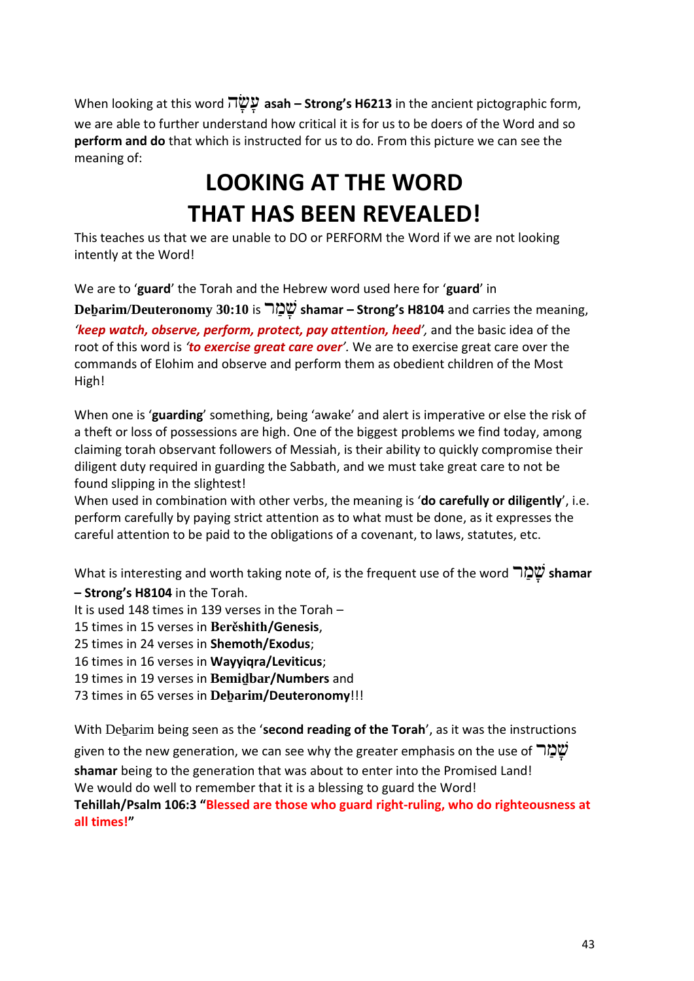When looking at this word ה ָּש ָּע **asah – Strong's H6213** in the ancient pictographic form, we are able to further understand how critical it is for us to be doers of the Word and so **perform and do** that which is instructed for us to do. From this picture we can see the meaning of:

### **LOOKING AT THE WORD THAT HAS BEEN REVEALED!**

This teaches us that we are unable to DO or PERFORM the Word if we are not looking intently at the Word!

We are to '**guard**' the Torah and the Hebrew word used here for '**guard**' in

**Deḇarim/Deuteronomy 30:10** is ר ַמ ָּש **shamar – Strong's H8104** and carries the meaning, *'keep watch, observe, perform, protect, pay attention, heed',* and the basic idea of the root of this word is *'to exercise great care over'.* We are to exercise great care over the commands of Elohim and observe and perform them as obedient children of the Most High!

When one is '**guarding**' something, being 'awake' and alert is imperative or else the risk of a theft or loss of possessions are high. One of the biggest problems we find today, among claiming torah observant followers of Messiah, is their ability to quickly compromise their diligent duty required in guarding the Sabbath, and we must take great care to not be found slipping in the slightest!

When used in combination with other verbs, the meaning is '**do carefully or diligently**', i.e. perform carefully by paying strict attention as to what must be done, as it expresses the careful attention to be paid to the obligations of a covenant, to laws, statutes, etc.

What is interesting and worth taking note of, is the frequent use of the word שְׁמַ*ּר* shamar

**– Strong's H8104** in the Torah.

- It is used 148 times in 139 verses in the Torah –
- 15 times in 15 verses in **Berěshith/Genesis**,
- 25 times in 24 verses in **Shemoth/Exodus**;
- 16 times in 16 verses in **Wayyiqra/Leviticus**;
- 19 times in 19 verses in **Bemiḏbar/Numbers** and
- 73 times in 65 verses in **Deḇarim/Deuteronomy**!!!

With Deḇarim being seen as the '**second reading of the Torah**', as it was the instructions

given to the new generation, we can see why the greater emphasis on the use of שְׁמַל

**shamar** being to the generation that was about to enter into the Promised Land! We would do well to remember that it is a blessing to guard the Word!

**Tehillah/Psalm 106:3 "Blessed are those who guard right-ruling, who do righteousness at all times!"**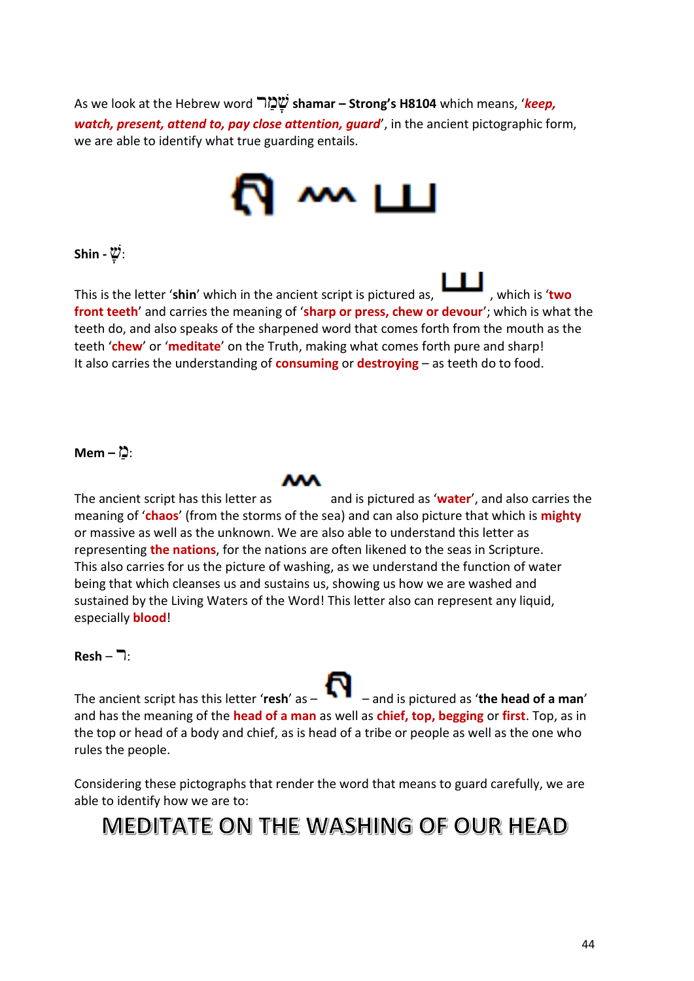As we look at the Hebrew word ר ַמ ָּש **shamar – Strong's H8104** which means, '*keep, watch, present, attend to, pay close attention, guard*', in the ancient pictographic form, we are able to identify what true guarding entails.



#### :שָּ **- Shin**

This is the letter '**shin**' which in the ancient script is pictured as,  $\begin{bmatrix} 1 & 1 \\ 1 & 1 \end{bmatrix}$ , which is 'two **front teeth**' and carries the meaning of '**sharp or press, chew or devour**'; which is what the teeth do, and also speaks of the sharpened word that comes forth from the mouth as the teeth '**chew**' or '**meditate**' on the Truth, making what comes forth pure and sharp! It also carries the understanding of **consuming** or **destroying** – as teeth do to food.

#### :מַ **– Mem**

The ancient script has this letter as and is pictured as 'water', and also carries the meaning of '**chaos**' (from the storms of the sea) and can also picture that which is **mighty** or massive as well as the unknown. We are also able to understand this letter as representing **the nations**, for the nations are often likened to the seas in Scripture. This also carries for us the picture of washing, as we understand the function of water being that which cleanses us and sustains us, showing us how we are washed and sustained by the Living Waters of the Word! This letter also can represent any liquid, especially **blood**!

#### $Resh - \overline{\phantom{a}}$ :

The ancient script has this letter '**resh**' as – – and is pictured as '**the head of a man**' and has the meaning of the **head of a man** as well as **chief, top, begging** or **first**. Top, as in the top or head of a body and chief, as is head of a tribe or people as well as the one who rules the people.

Considering these pictographs that render the word that means to guard carefully, we are able to identify how we are to:

### MEDITATE ON THE WASHING OF OUR HEAD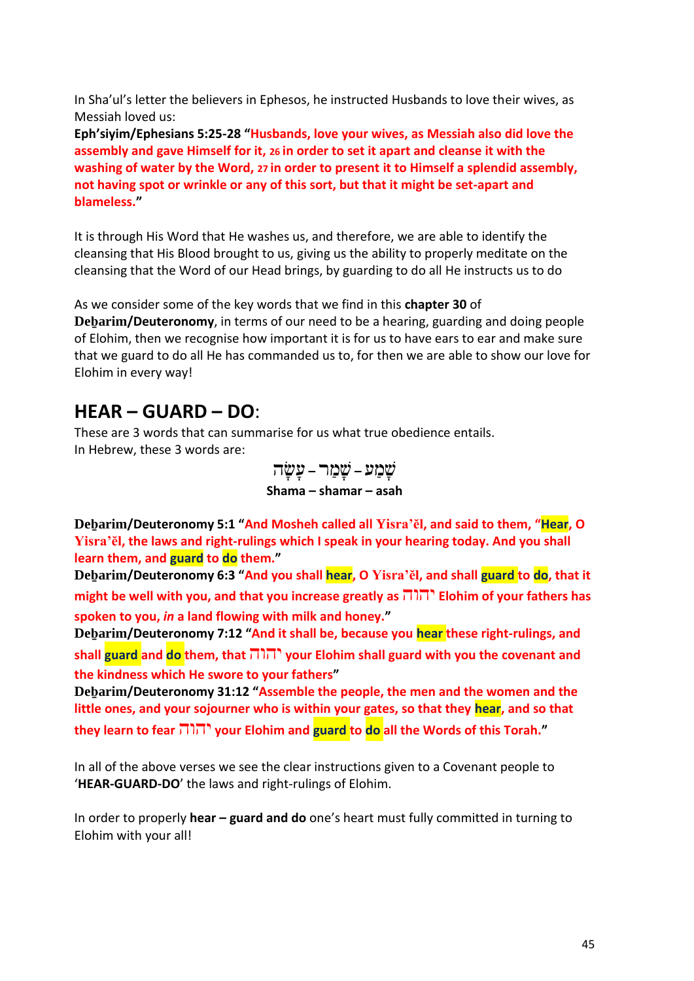In Sha'ul's letter the believers in Ephesos, he instructed Husbands to love their wives, as Messiah loved us:

**Eph'siyim/Ephesians 5:25-28 "Husbands, love your wives, as Messiah also did love the assembly and gave Himself for it, 26 in order to set it apart and cleanse it with the washing of water by the Word, 27 in order to present it to Himself a splendid assembly, not having spot or wrinkle or any of this sort, but that it might be set-apart and blameless."**

It is through His Word that He washes us, and therefore, we are able to identify the cleansing that His Blood brought to us, giving us the ability to properly meditate on the cleansing that the Word of our Head brings, by guarding to do all He instructs us to do

As we consider some of the key words that we find in this **chapter 30** of **Deḇarim/Deuteronomy**, in terms of our need to be a hearing, guarding and doing people of Elohim, then we recognise how important it is for us to have ears to ear and make sure that we guard to do all He has commanded us to, for then we are able to show our love for Elohim in every way!

#### **HEAR – GUARD – DO**:

These are 3 words that can summarise for us what true obedience entails. In Hebrew, these 3 words are:

> שָּ מַ ע **–** שָּ מַ ר **–** עָּ שָּ ה **Shama – shamar – asah**

**Deḇarim/Deuteronomy 5:1 "And Mosheh called all Yisra'ĕl, and said to them, "Hear, O Yisra'ĕl, the laws and right-rulings which I speak in your hearing today. And you shall learn them, and guard to do them."**

**Deḇarim/Deuteronomy 6:3 "And you shall hear, O Yisra'ĕl, and shall guard to do, that it might be well with you, and that you increase greatly as** יהוה **Elohim of your fathers has spoken to you,** *in* **a land flowing with milk and honey."**

**Deḇarim/Deuteronomy 7:12 "And it shall be, because you hear these right-rulings, and shall guard and do them, that** יהוה **your Elohim shall guard with you the covenant and the kindness which He swore to your fathers"**

**Deḇarim/Deuteronomy 31:12 "Assemble the people, the men and the women and the little ones, and your sojourner who is within your gates, so that they hear, and so that they learn to fear** יהוה **your Elohim and guard to do all the Words of this Torah."**

In all of the above verses we see the clear instructions given to a Covenant people to '**HEAR-GUARD-DO**' the laws and right-rulings of Elohim.

In order to properly **hear – guard and do** one's heart must fully committed in turning to Elohim with your all!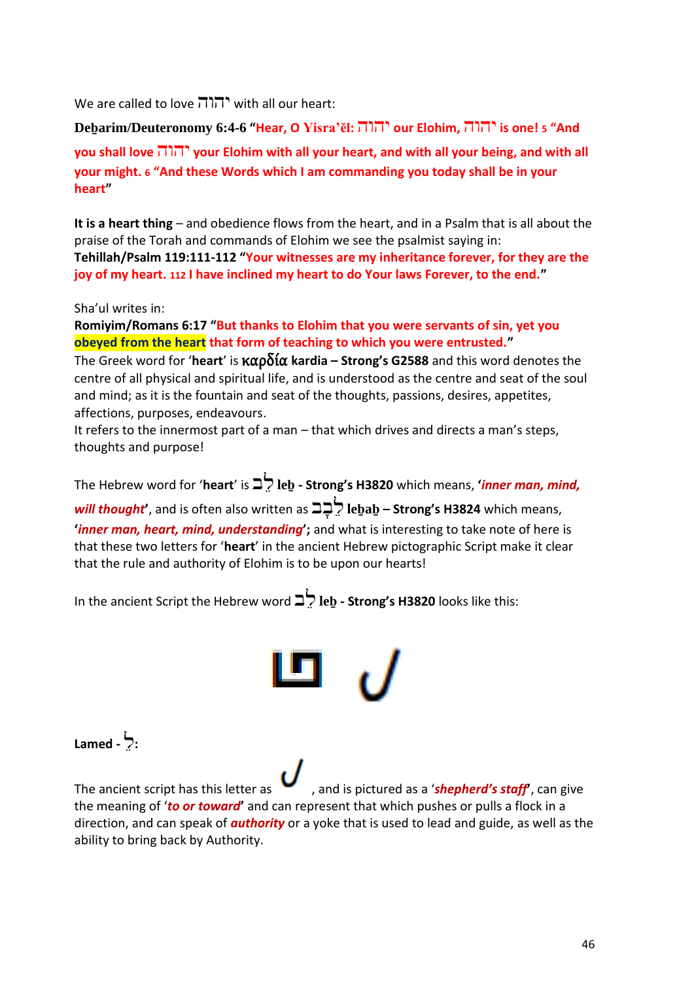We are called to love  $\prod_{i=1}^{n}$  with all our heart:

**Deḇarim/Deuteronomy 6:4-6 "Hear, O Yisra'ĕl:** יהוה **our Elohim,** יהוה **is one! <sup>5</sup> "And you shall love** יהוה **your Elohim with all your heart, and with all your being, and with all your might. 6 "And these Words which I am commanding you today shall be in your heart"**

**It is a heart thing** – and obedience flows from the heart, and in a Psalm that is all about the praise of the Torah and commands of Elohim we see the psalmist saying in: **Tehillah/Psalm 119:111-112 "Your witnesses are my inheritance forever, for they are the joy of my heart. 112 I have inclined my heart to do Your laws Forever, to the end."**

Sha'ul writes in:

**Romiyim/Romans 6:17 "But thanks to Elohim that you were servants of sin, yet you obeyed from the heart that form of teaching to which you were entrusted."**

The Greek word for '**heart**' is καρδία **kardia – Strong's G2588** and this word denotes the centre of all physical and spiritual life, and is understood as the centre and seat of the soul and mind; as it is the fountain and seat of the thoughts, passions, desires, appetites, affections, purposes, endeavours.

It refers to the innermost part of a man – that which drives and directs a man's steps, thoughts and purpose!

The Hebrew word for '**heart**' is ב ֵל **leḇ - Strong's H3820** which means, **'***inner man, mind, will thought***'**, and is often also written as ב ָּב ֵל **leḇaḇ – Strong's H3824** which means, **'***inner man, heart, mind, understanding***';** and what is interesting to take note of here is that these two letters for '**heart**' in the ancient Hebrew pictographic Script make it clear that the rule and authority of Elohim is to be upon our hearts!

In the ancient Script the Hebrew word ב ֵל **leḇ - Strong's H3820** looks like this:



#### **:**לֵ **- Lamed**

The ancient script has this letter as  $\bullet$ , and is pictured as a *'shepherd's staff'*, can give the meaning of '*to or toward***'** and can represent that which pushes or pulls a flock in a direction, and can speak of *authority* or a yoke that is used to lead and guide, as well as the ability to bring back by Authority.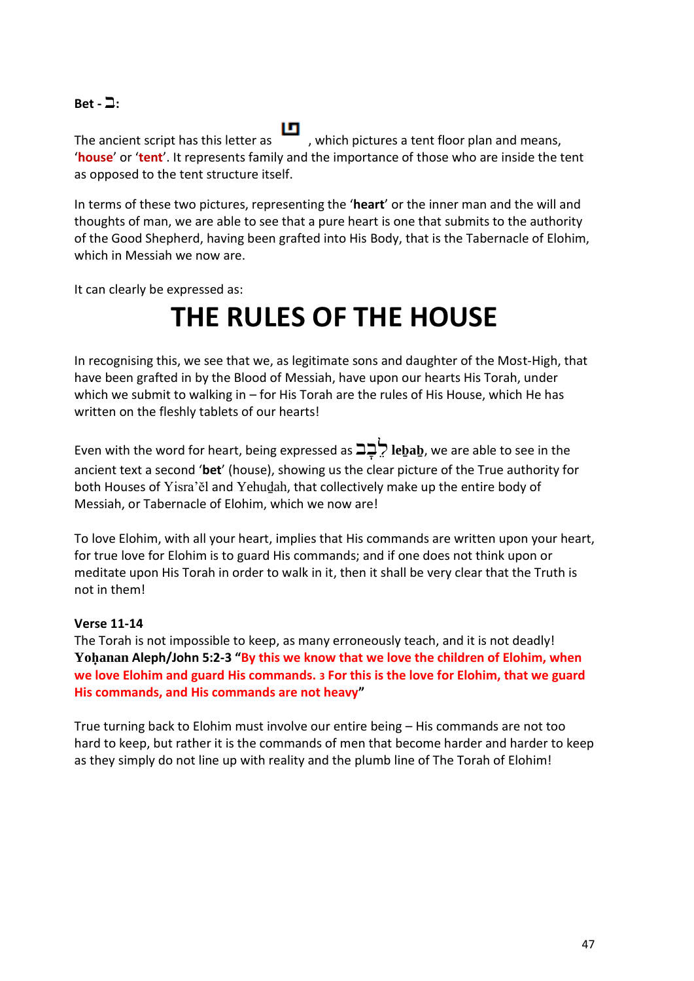#### $\text{B}$ et -  $\Box$ :

The ancient script has this letter as  $\Box$ , which pictures a tent floor plan and means, '**house**' or '**tent**'. It represents family and the importance of those who are inside the tent as opposed to the tent structure itself.

In terms of these two pictures, representing the '**heart**' or the inner man and the will and thoughts of man, we are able to see that a pure heart is one that submits to the authority of the Good Shepherd, having been grafted into His Body, that is the Tabernacle of Elohim, which in Messiah we now are.

It can clearly be expressed as:

### **THE RULES OF THE HOUSE**

In recognising this, we see that we, as legitimate sons and daughter of the Most-High, that have been grafted in by the Blood of Messiah, have upon our hearts His Torah, under which we submit to walking in – for His Torah are the rules of His House, which He has written on the fleshly tablets of our hearts!

Even with the word for heart, being expressed as ב ָּב ֵל **leḇaḇ**, we are able to see in the ancient text a second '**bet**' (house), showing us the clear picture of the True authority for both Houses of Yisra'ĕl and Yehuḏah, that collectively make up the entire body of Messiah, or Tabernacle of Elohim, which we now are!

To love Elohim, with all your heart, implies that His commands are written upon your heart, for true love for Elohim is to guard His commands; and if one does not think upon or meditate upon His Torah in order to walk in it, then it shall be very clear that the Truth is not in them!

#### **Verse 11-14**

The Torah is not impossible to keep, as many erroneously teach, and it is not deadly! **Yoḥanan Aleph/John 5:2-3 "By this we know that we love the children of Elohim, when we love Elohim and guard His commands. 3 For this is the love for Elohim, that we guard His commands, and His commands are not heavy"**

True turning back to Elohim must involve our entire being – His commands are not too hard to keep, but rather it is the commands of men that become harder and harder to keep as they simply do not line up with reality and the plumb line of The Torah of Elohim!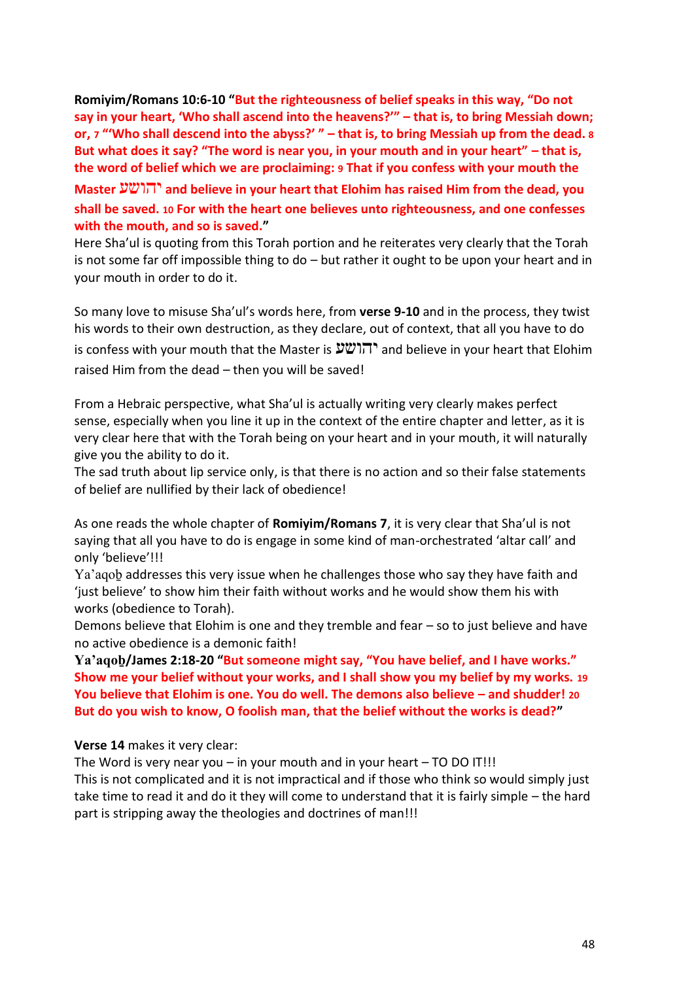**Romiyim/Romans 10:6-10 "But the righteousness of belief speaks in this way, "Do not say in your heart, 'Who shall ascend into the heavens?'" – that is, to bring Messiah down; or, 7 "'Who shall descend into the abyss?' " – that is, to bring Messiah up from the dead. 8 But what does it say? "The word is near you, in your mouth and in your heart" – that is, the word of belief which we are proclaiming: 9 That if you confess with your mouth the** 

**Master** יהושע **and believe in your heart that Elohim has raised Him from the dead, you shall be saved. 10 For with the heart one believes unto righteousness, and one confesses with the mouth, and so is saved."**

Here Sha'ul is quoting from this Torah portion and he reiterates very clearly that the Torah is not some far off impossible thing to do – but rather it ought to be upon your heart and in your mouth in order to do it.

So many love to misuse Sha'ul's words here, from **verse 9-10** and in the process, they twist his words to their own destruction, as they declare, out of context, that all you have to do

is confess with your mouth that the Master is  $\mathcal{V}(\mathcal{V})$  and believe in your heart that Elohim raised Him from the dead – then you will be saved!

From a Hebraic perspective, what Sha'ul is actually writing very clearly makes perfect sense, especially when you line it up in the context of the entire chapter and letter, as it is very clear here that with the Torah being on your heart and in your mouth, it will naturally give you the ability to do it.

The sad truth about lip service only, is that there is no action and so their false statements of belief are nullified by their lack of obedience!

As one reads the whole chapter of **Romiyim/Romans 7**, it is very clear that Sha'ul is not saying that all you have to do is engage in some kind of man-orchestrated 'altar call' and only 'believe'!!!

Ya'aqoḇ addresses this very issue when he challenges those who say they have faith and 'just believe' to show him their faith without works and he would show them his with works (obedience to Torah).

Demons believe that Elohim is one and they tremble and fear – so to just believe and have no active obedience is a demonic faith!

**Ya'aqoḇ/James 2:18-20 "But someone might say, "You have belief, and I have works." Show me your belief without your works, and I shall show you my belief by my works. 19 You believe that Elohim is one. You do well. The demons also believe – and shudder! 20 But do you wish to know, O foolish man, that the belief without the works is dead?"**

**Verse 14** makes it very clear:

The Word is very near you – in your mouth and in your heart – TO DO IT!!!

This is not complicated and it is not impractical and if those who think so would simply just take time to read it and do it they will come to understand that it is fairly simple – the hard part is stripping away the theologies and doctrines of man!!!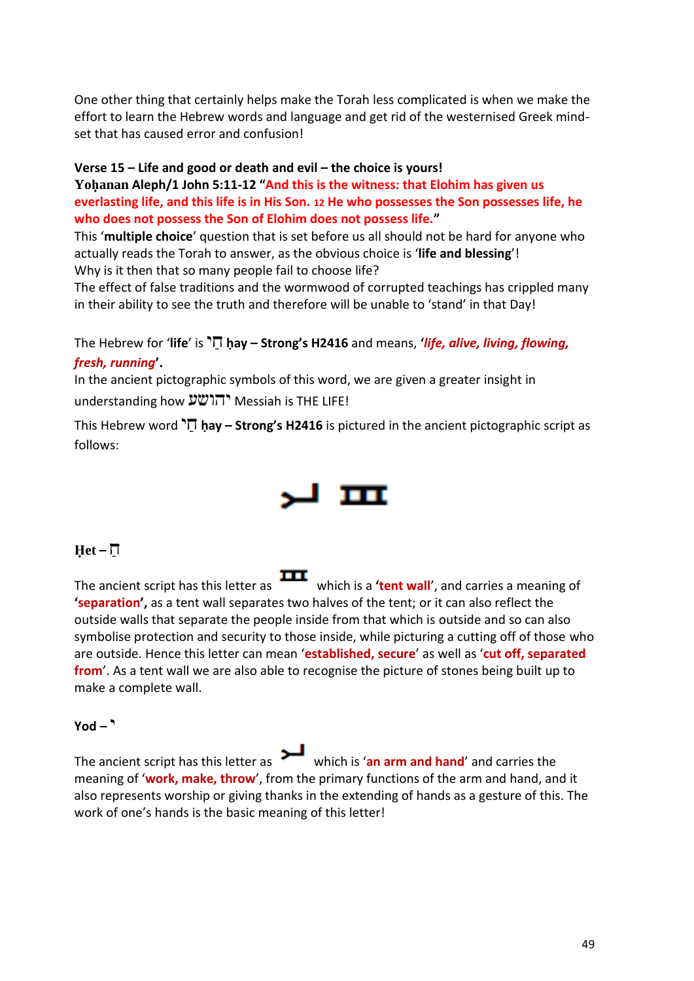One other thing that certainly helps make the Torah less complicated is when we make the effort to learn the Hebrew words and language and get rid of the westernised Greek mindset that has caused error and confusion!

#### **Verse 15 – Life and good or death and evil – the choice is yours!**

**Yoḥanan Aleph/1 John 5:11-12 "And this is the witness: that Elohim has given us everlasting life, and this life is in His Son. 12 He who possesses the Son possesses life, he who does not possess the Son of Elohim does not possess life."**

This '**multiple choice**' question that is set before us all should not be hard for anyone who actually reads the Torah to answer, as the obvious choice is '**life and blessing**'! Why is it then that so many people fail to choose life?

The effect of false traditions and the wormwood of corrupted teachings has crippled many in their ability to see the truth and therefore will be unable to 'stand' in that Day!

The Hebrew for '**life**' is י ַח **ḥay – Strong's H2416** and means, **'***life, alive, living, flowing, fresh, running***'.**

In the ancient pictographic symbols of this word, we are given a greater insight in understanding how יהושע Messiah is THE LIFE!

This Hebrew word  $\overline{D}$  hay – **Strong's H2416** is pictured in the ancient pictographic script as follows:



#### $\text{Het}-\overline{\Pi}$

The ancient script has this letter as which is a **'tent wall**', and carries a meaning of **'separation',** as a tent wall separates two halves of the tent; or it can also reflect the outside walls that separate the people inside from that which is outside and so can also symbolise protection and security to those inside, while picturing a cutting off of those who are outside. Hence this letter can mean '**established, secure**' as well as '**cut off, separated from**'. As a tent wall we are also able to recognise the picture of stones being built up to make a complete wall.

#### י **– Yod**

The ancient script has this letter as which is '**an arm and hand**' and carries the meaning of '**work, make, throw**', from the primary functions of the arm and hand, and it also represents worship or giving thanks in the extending of hands as a gesture of this. The work of one's hands is the basic meaning of this letter!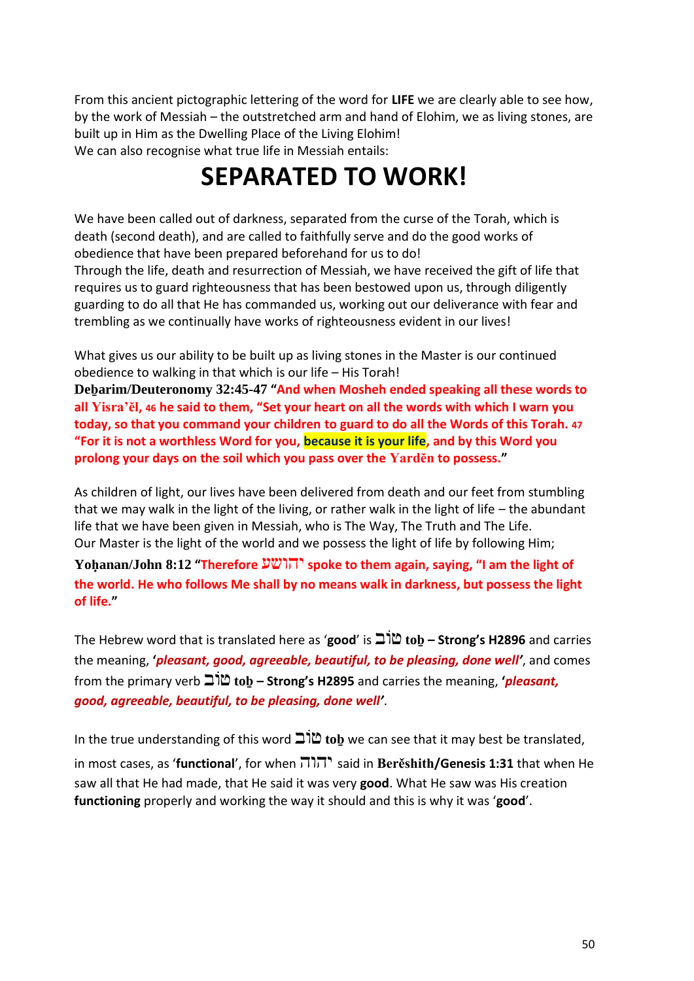From this ancient pictographic lettering of the word for **LIFE** we are clearly able to see how, by the work of Messiah – the outstretched arm and hand of Elohim, we as living stones, are built up in Him as the Dwelling Place of the Living Elohim! We can also recognise what true life in Messiah entails:

### **SEPARATED TO WORK!**

We have been called out of darkness, separated from the curse of the Torah, which is death (second death), and are called to faithfully serve and do the good works of obedience that have been prepared beforehand for us to do! Through the life, death and resurrection of Messiah, we have received the gift of life that requires us to guard righteousness that has been bestowed upon us, through diligently guarding to do all that He has commanded us, working out our deliverance with fear and trembling as we continually have works of righteousness evident in our lives!

What gives us our ability to be built up as living stones in the Master is our continued obedience to walking in that which is our life – His Torah!

**Deḇarim/Deuteronomy 32:45-47 "And when Mosheh ended speaking all these words to all Yisra'ĕl, 46 he said to them, "Set your heart on all the words with which I warn you today, so that you command your children to guard to do all the Words of this Torah. 47 "For it is not a worthless Word for you, because it is your life, and by this Word you prolong your days on the soil which you pass over the Yardĕn to possess."** 

As children of light, our lives have been delivered from death and our feet from stumbling that we may walk in the light of the living, or rather walk in the light of life – the abundant life that we have been given in Messiah, who is The Way, The Truth and The Life. Our Master is the light of the world and we possess the light of life by following Him;

**Yoḥanan/John 8:12 "Therefore** יהושע **spoke to them again, saying, "I am the light of the world. He who follows Me shall by no means walk in darkness, but possess the light of life."**

The Hebrew word that is translated here as '**good**' is ובֹט **toḇ – Strong's H2896** and carries the meaning, **'***pleasant, good, agreeable, beautiful, to be pleasing, done well'*, and comes from the primary verb ובֹט **toḇ – Strong's H2895** and carries the meaning, **'***pleasant, good, agreeable, beautiful, to be pleasing, done well'*.

In the true understanding of this word ובֹט **toḇ** we can see that it may best be translated, in most cases, as '**functional**', for when יהוה said in **Berěshith/Genesis 1:31** that when He saw all that He had made, that He said it was very **good**. What He saw was His creation **functioning** properly and working the way it should and this is why it was '**good**'.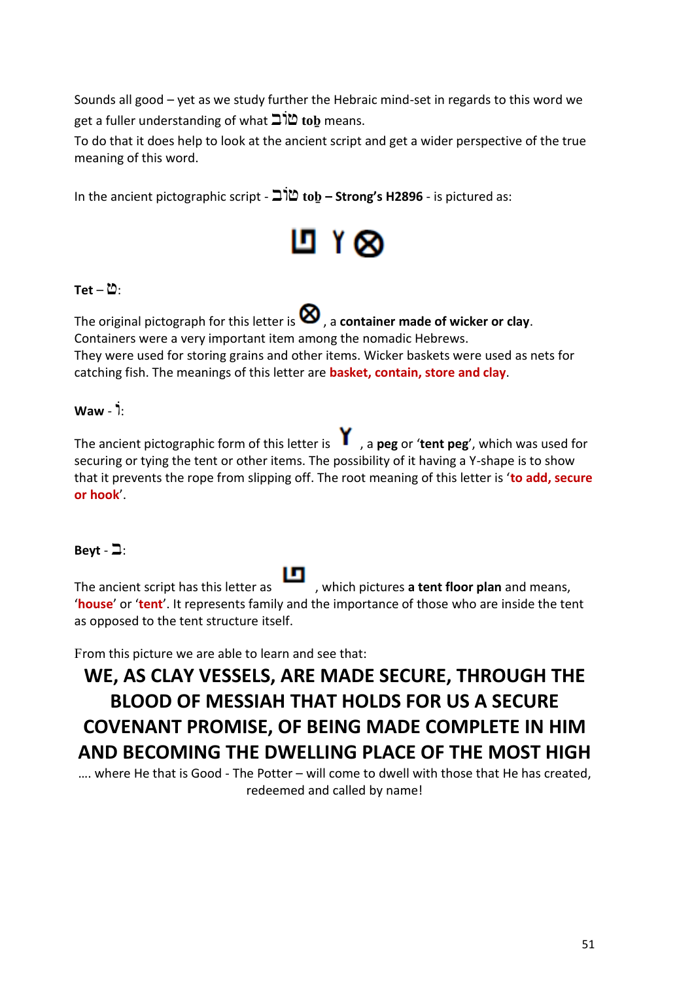Sounds all good – yet as we study further the Hebraic mind-set in regards to this word we get a fuller understanding of what ובֹט **toḇ** means.

To do that it does help to look at the ancient script and get a wider perspective of the true meaning of this word.

In the ancient pictographic script - ובֹט **toḇ – Strong's H2896** - is pictured as:



#### $Tet - 2$ :

The original pictograph for this letter is  $\bigotimes$ , a **container made of wicker or clay**. Containers were a very important item among the nomadic Hebrews. They were used for storing grains and other items. Wicker baskets were used as nets for catching fish. The meanings of this letter are **basket, contain, store and clay**.

#### ֹ:ו - **Waw**

The ancient pictographic form of this letter is , a **peg** or '**tent peg**', which was used for securing or tying the tent or other items. The possibility of it having a Y-shape is to show that it prevents the rope from slipping off. The root meaning of this letter is '**to add, secure or hook**'.

#### Beyt  $-2$ :

The ancient script has this letter as , which pictures **a tent floor plan** and means, '**house**' or '**tent**'. It represents family and the importance of those who are inside the tent as opposed to the tent structure itself.

From this picture we are able to learn and see that:

### **WE, AS CLAY VESSELS, ARE MADE SECURE, THROUGH THE BLOOD OF MESSIAH THAT HOLDS FOR US A SECURE COVENANT PROMISE, OF BEING MADE COMPLETE IN HIM AND BECOMING THE DWELLING PLACE OF THE MOST HIGH**

…. where He that is Good - The Potter – will come to dwell with those that He has created, redeemed and called by name!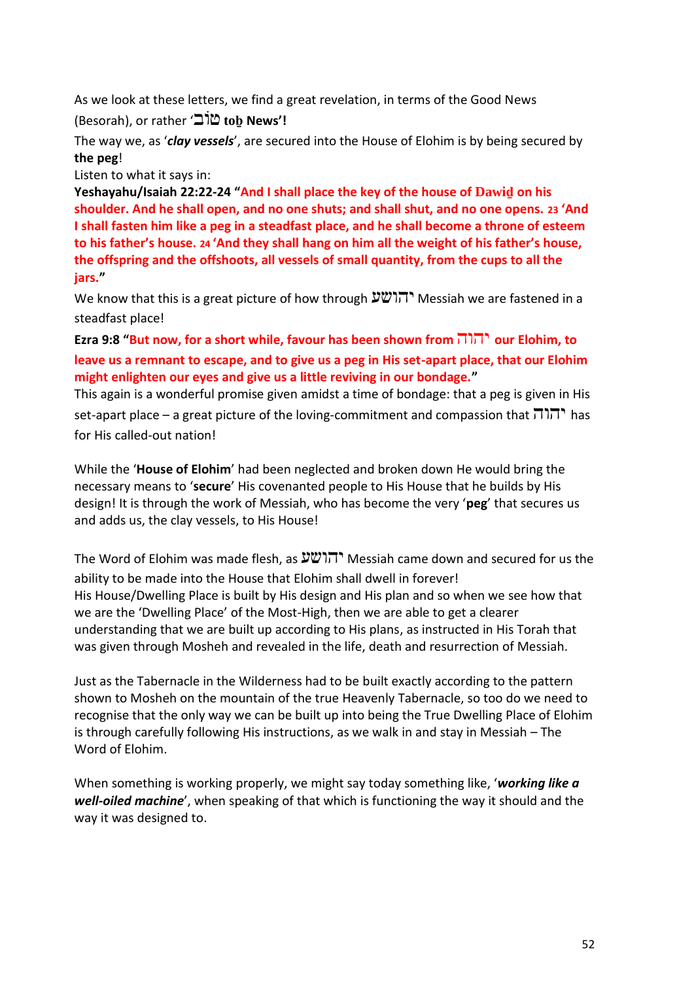As we look at these letters, we find a great revelation, in terms of the Good News

(Besorah), or rather 'ובֹט **toḇ News'!**

The way we, as '*clay vessels*', are secured into the House of Elohim is by being secured by **the peg**!

Listen to what it says in:

**Yeshayahu/Isaiah 22:22-24 "And I shall place the key of the house of Dawiḏ on his shoulder. And he shall open, and no one shuts; and shall shut, and no one opens. 23 'And I shall fasten him like a peg in a steadfast place, and he shall become a throne of esteem to his father's house. 24 'And they shall hang on him all the weight of his father's house, the offspring and the offshoots, all vessels of small quantity, from the cups to all the jars."**

We know that this is a great picture of how through יהושע Messiah we are fastened in a steadfast place!

**Ezra 9:8 "But now, for a short while, favour has been shown from** יהוה **our Elohim, to leave us a remnant to escape, and to give us a peg in His set-apart place, that our Elohim might enlighten our eyes and give us a little reviving in our bondage."**

This again is a wonderful promise given amidst a time of bondage: that a peg is given in His set-apart place – a great picture of the loving-commitment and compassion that  $\Pi \Pi$  has for His called-out nation!

While the '**House of Elohim**' had been neglected and broken down He would bring the necessary means to '**secure**' His covenanted people to His House that he builds by His design! It is through the work of Messiah, who has become the very '**peg**' that secures us and adds us, the clay vessels, to His House!

The Word of Elohim was made flesh, as יהושע Messiah came down and secured for us the ability to be made into the House that Elohim shall dwell in forever! His House/Dwelling Place is built by His design and His plan and so when we see how that we are the 'Dwelling Place' of the Most-High, then we are able to get a clearer understanding that we are built up according to His plans, as instructed in His Torah that was given through Mosheh and revealed in the life, death and resurrection of Messiah.

Just as the Tabernacle in the Wilderness had to be built exactly according to the pattern shown to Mosheh on the mountain of the true Heavenly Tabernacle, so too do we need to recognise that the only way we can be built up into being the True Dwelling Place of Elohim is through carefully following His instructions, as we walk in and stay in Messiah – The Word of Elohim.

When something is working properly, we might say today something like, '*working like a well-oiled machine*', when speaking of that which is functioning the way it should and the way it was designed to.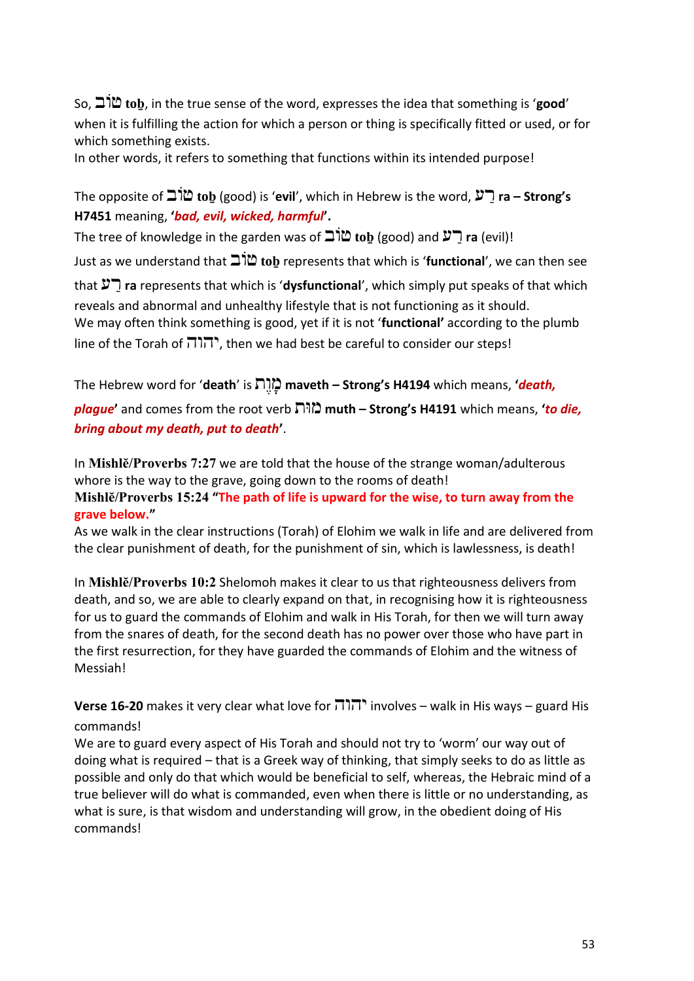So, ובֹט **toḇ**, in the true sense of the word, expresses the idea that something is '**good**' when it is fulfilling the action for which a person or thing is specifically fitted or used, or for which something exists.

In other words, it refers to something that functions within its intended purpose!

The opposite of ובֹט **toḇ** (good) is '**evil**', which in Hebrew is the word, ע ַר **ra – Strong's H7451** meaning, **'***bad, evil, wicked, harmful***'.** 

The tree of knowledge in the garden was of ובֹט **toḇ** (good) and ע ַר **ra** (evil)!

Just as we understand that ובֹט **toḇ** represents that which is '**functional**', we can then see

that ע ַר **ra** represents that which is '**dysfunctional**', which simply put speaks of that which reveals and abnormal and unhealthy lifestyle that is not functioning as it should. We may often think something is good, yet if it is not '**functional'** according to the plumb line of the Torah of  $\overline{n}$ וה, then we had best be careful to consider our steps!

The Hebrew word for '**death**' is תֶּו ָּמ **maveth – Strong's H4194** which means, **'***death,* 

*plague***'** and comes from the root verb ותּמ **muth – Strong's H4191** which means, **'***to die, bring about my death, put to death***'**.

In **Mishlĕ/Proverbs 7:27** we are told that the house of the strange woman/adulterous whore is the way to the grave, going down to the rooms of death! **Mishlĕ/Proverbs 15:24 "The path of life is upward for the wise, to turn away from the grave below."**

As we walk in the clear instructions (Torah) of Elohim we walk in life and are delivered from the clear punishment of death, for the punishment of sin, which is lawlessness, is death!

In **Mishlĕ/Proverbs 10:2** Shelomoh makes it clear to us that righteousness delivers from death, and so, we are able to clearly expand on that, in recognising how it is righteousness for us to guard the commands of Elohim and walk in His Torah, for then we will turn away from the snares of death, for the second death has no power over those who have part in the first resurrection, for they have guarded the commands of Elohim and the witness of Messiah!

**Verse 16-20** makes it very clear what love for יהוה involves – walk in His ways – guard His commands!

We are to guard every aspect of His Torah and should not try to 'worm' our way out of doing what is required – that is a Greek way of thinking, that simply seeks to do as little as possible and only do that which would be beneficial to self, whereas, the Hebraic mind of a true believer will do what is commanded, even when there is little or no understanding, as what is sure, is that wisdom and understanding will grow, in the obedient doing of His commands!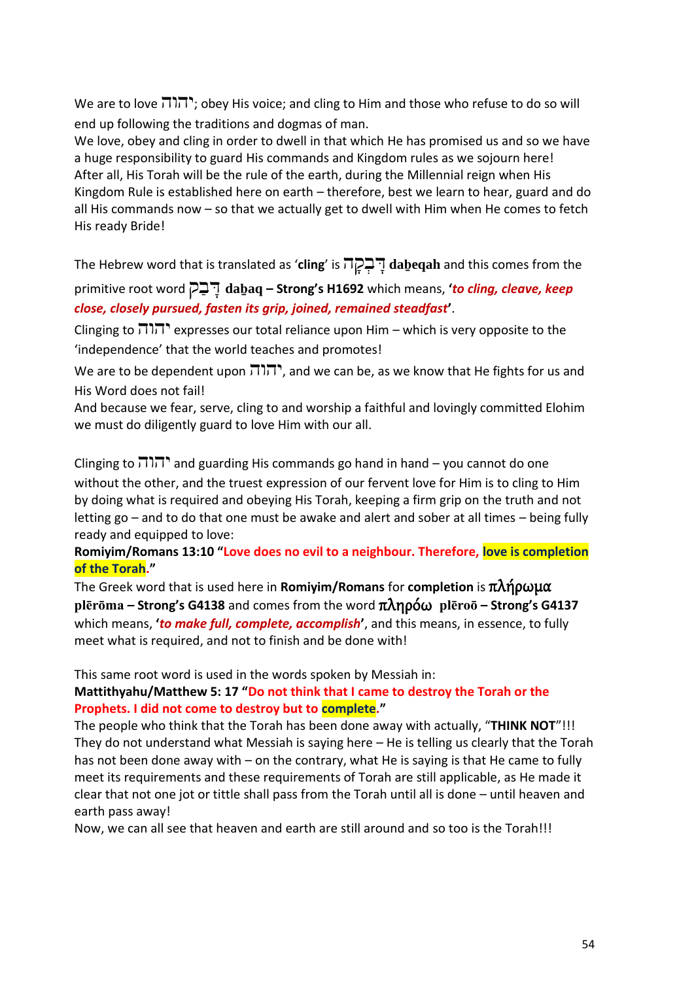We are to love יהוה; obey His voice; and cling to Him and those who refuse to do so will end up following the traditions and dogmas of man.

We love, obey and cling in order to dwell in that which He has promised us and so we have a huge responsibility to guard His commands and Kingdom rules as we sojourn here! After all, His Torah will be the rule of the earth, during the Millennial reign when His Kingdom Rule is established here on earth – therefore, best we learn to hear, guard and do all His commands now – so that we actually get to dwell with Him when He comes to fetch His ready Bride!

The Hebrew word that is translated as '**cling**' is ה ָּק ְב ָּד **daḇeqah** and this comes from the

primitive root word ק ַב ָּד **daḇaq – Strong's H1692** which means, **'***to cling, cleave, keep close, closely pursued, fasten its grip, joined, remained steadfast***'**.

Clinging to  $\overline{111}$ . expresses our total reliance upon Him – which is very opposite to the 'independence' that the world teaches and promotes!

We are to be dependent upon יהוה, and we can be, as we know that He fights for us and His Word does not fail!

And because we fear, serve, cling to and worship a faithful and lovingly committed Elohim we must do diligently guard to love Him with our all.

Clinging to  $\overline{111}$ , and guarding His commands go hand in hand – you cannot do one without the other, and the truest expression of our fervent love for Him is to cling to Him by doing what is required and obeying His Torah, keeping a firm grip on the truth and not letting go – and to do that one must be awake and alert and sober at all times – being fully ready and equipped to love:

#### **Romiyim/Romans 13:10 "Love does no evil to a neighbour. Therefore, love is completion of the Torah."**

The Greek word that is used here in **Romiyim/Romans** for **completion** is πλήρωμα **plērōma – Strong's G4138** and comes from the word πληρόω **plēroō – Strong's G4137** which means, **'***to make full, complete, accomplish***'**, and this means, in essence, to fully meet what is required, and not to finish and be done with!

This same root word is used in the words spoken by Messiah in:

#### **Mattithyahu/Matthew 5: 17 "Do not think that I came to destroy the Torah or the Prophets. I did not come to destroy but to complete."**

The people who think that the Torah has been done away with actually, "**THINK NOT**"!!! They do not understand what Messiah is saying here – He is telling us clearly that the Torah has not been done away with – on the contrary, what He is saying is that He came to fully meet its requirements and these requirements of Torah are still applicable, as He made it clear that not one jot or tittle shall pass from the Torah until all is done – until heaven and earth pass away!

Now, we can all see that heaven and earth are still around and so too is the Torah!!!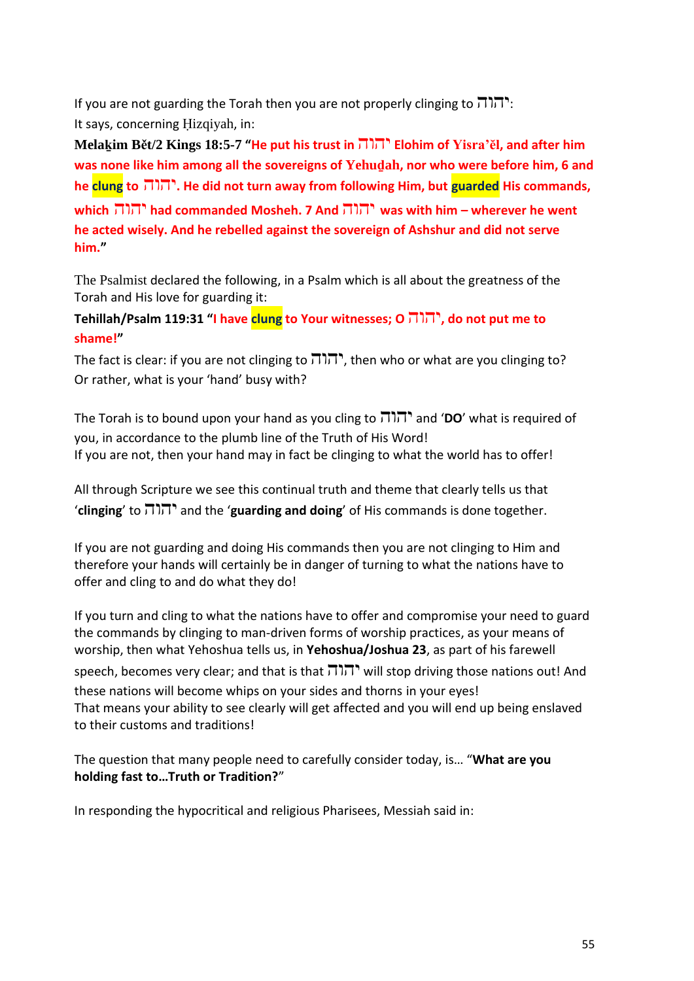If you are not guarding the Torah then you are not properly clinging to  $\overline{1}\overline{1}\overline{1}$ : It says, concerning Ḥizqiyah, in:

**Melaḵim Bět/2 Kings 18:5-7 "He put his trust in** יהוה **Elohim of Yisra'ĕl, and after him was none like him among all the sovereigns of Yehuḏah, nor who were before him, 6 and he clung to** יהוה**. He did not turn away from following Him, but guarded His commands, which** יהוה **had commanded Mosheh. 7 And** יהוה **was with him – wherever he went he acted wisely. And he rebelled against the sovereign of Ashshur and did not serve him."**

The Psalmist declared the following, in a Psalm which is all about the greatness of the Torah and His love for guarding it:

**Tehillah/Psalm 119:31 "I have clung to Your witnesses; O** יהוה**, do not put me to shame!"**

The fact is clear: if you are not clinging to  $\overline{1}\overline{1}\overline{1}$ , then who or what are you clinging to? Or rather, what is your 'hand' busy with?

The Torah is to bound upon your hand as you cling to יהוה and '**DO**' what is required of you, in accordance to the plumb line of the Truth of His Word! If you are not, then your hand may in fact be clinging to what the world has to offer!

All through Scripture we see this continual truth and theme that clearly tells us that '**clinging**' to יהוה and the '**guarding and doing**' of His commands is done together.

If you are not guarding and doing His commands then you are not clinging to Him and therefore your hands will certainly be in danger of turning to what the nations have to offer and cling to and do what they do!

If you turn and cling to what the nations have to offer and compromise your need to guard the commands by clinging to man-driven forms of worship practices, as your means of worship, then what Yehoshua tells us, in **Yehoshua/Joshua 23**, as part of his farewell speech, becomes very clear; and that is that  $\overline{1}$ , will stop driving those nations out! And these nations will become whips on your sides and thorns in your eyes! That means your ability to see clearly will get affected and you will end up being enslaved to their customs and traditions!

The question that many people need to carefully consider today, is… "**What are you holding fast to…Truth or Tradition?**"

In responding the hypocritical and religious Pharisees, Messiah said in: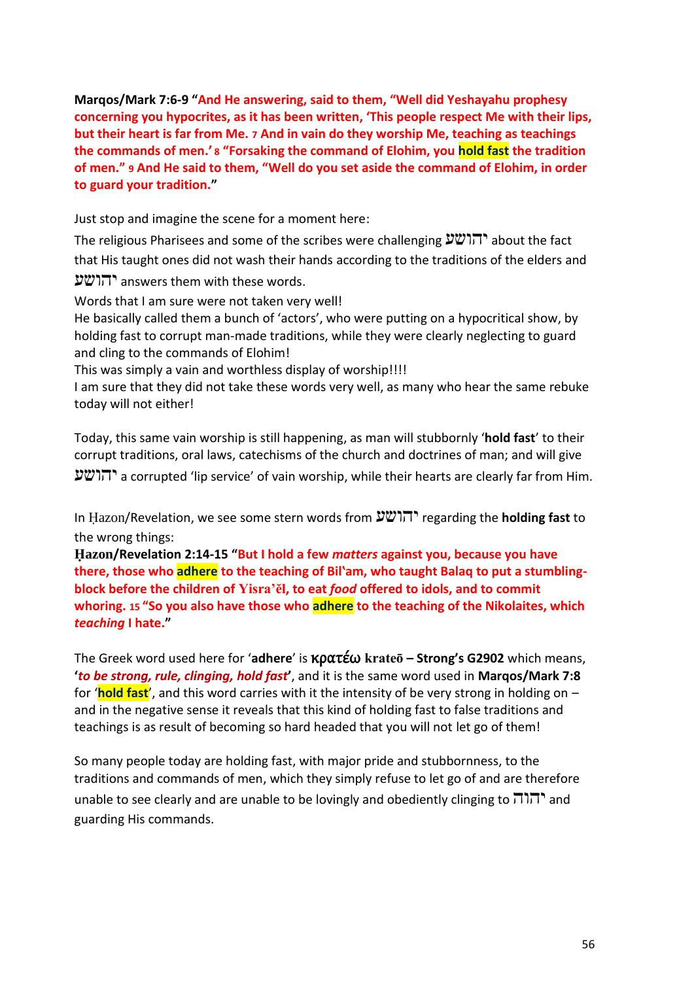**Marqos/Mark 7:6-9 "And He answering, said to them, "Well did Yeshayahu prophesy concerning you hypocrites, as it has been written, 'This people respect Me with their lips, but their heart is far from Me. 7 And in vain do they worship Me, teaching as teachings the commands of men.' 8 "Forsaking the command of Elohim, you hold fast the tradition of men." 9 And He said to them, "Well do you set aside the command of Elohim, in order to guard your tradition."**

Just stop and imagine the scene for a moment here:

The religious Pharisees and some of the scribes were challenging יהושע about the fact that His taught ones did not wash their hands according to the traditions of the elders and

יהושע answers them with these words.

Words that I am sure were not taken very well!

He basically called them a bunch of 'actors', who were putting on a hypocritical show, by holding fast to corrupt man-made traditions, while they were clearly neglecting to guard and cling to the commands of Elohim!

This was simply a vain and worthless display of worship!!!!

I am sure that they did not take these words very well, as many who hear the same rebuke today will not either!

Today, this same vain worship is still happening, as man will stubbornly '**hold fast**' to their corrupt traditions, oral laws, catechisms of the church and doctrines of man; and will give

יהושע a corrupted 'lip service' of vain worship, while their hearts are clearly far from Him.

In Ḥazon/Revelation, we see some stern words from יהושע regarding the **holding fast** to the wrong things:

**Ḥazon/Revelation 2:14-15 "But I hold a few** *matters* **against you, because you have there, those who adhere to the teaching of Bilʽam, who taught Balaq to put a stumblingblock before the children of Yisra'ĕl, to eat** *food* **offered to idols, and to commit whoring. 15 "So you also have those who adhere to the teaching of the Nikolaites, which**  *teaching* **I hate."**

The Greek word used here for '**adhere**' is κρατέω **krateō – Strong's G2902** which means, **'***to be strong, rule, clinging, hold fast***'**, and it is the same word used in **Marqos/Mark 7:8** for '**hold fast**', and this word carries with it the intensity of be very strong in holding on – and in the negative sense it reveals that this kind of holding fast to false traditions and teachings is as result of becoming so hard headed that you will not let go of them!

So many people today are holding fast, with major pride and stubbornness, to the traditions and commands of men, which they simply refuse to let go of and are therefore unable to see clearly and are unable to be lovingly and obediently clinging to  $\pi$ , and guarding His commands.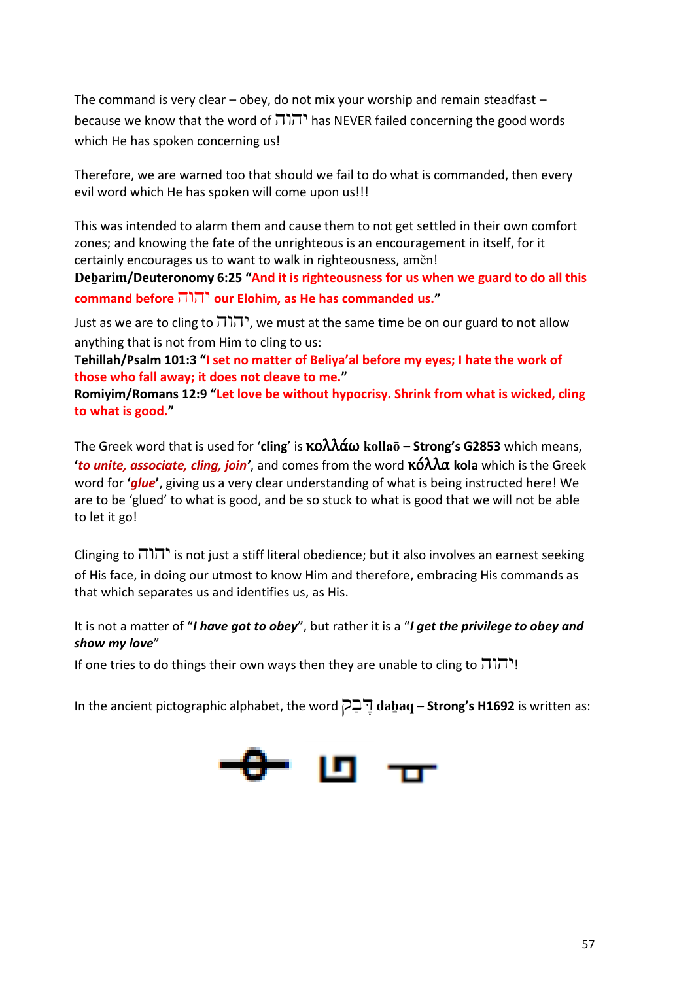The command is very clear – obey, do not mix your worship and remain steadfast – because we know that the word of  $\pi$ , has NEVER failed concerning the good words which He has spoken concerning us!

Therefore, we are warned too that should we fail to do what is commanded, then every evil word which He has spoken will come upon us!!!

This was intended to alarm them and cause them to not get settled in their own comfort zones; and knowing the fate of the unrighteous is an encouragement in itself, for it certainly encourages us to want to walk in righteousness, aměn!

**Deḇarim/Deuteronomy 6:25 "And it is righteousness for us when we guard to do all this command before** יהוה **our Elohim, as He has commanded us."**

Just as we are to cling to  $\overline{111}$ , we must at the same time be on our guard to not allow anything that is not from Him to cling to us:

**Tehillah/Psalm 101:3 "I set no matter of Beliya'al before my eyes; I hate the work of those who fall away; it does not cleave to me."**

**Romiyim/Romans 12:9 "Let love be without hypocrisy. Shrink from what is wicked, cling to what is good."**

The Greek word that is used for '**cling**' is κολλάω **kollaō – Strong's G2853** which means, **'***to unite, associate, cling, join'*, and comes from the word κόλλα **kola** which is the Greek word for **'***glue***'**, giving us a very clear understanding of what is being instructed here! We are to be 'glued' to what is good, and be so stuck to what is good that we will not be able to let it go!

Clinging to  $\overline{111}$  is not just a stiff literal obedience; but it also involves an earnest seeking of His face, in doing our utmost to know Him and therefore, embracing His commands as that which separates us and identifies us, as His.

It is not a matter of "*I have got to obey*", but rather it is a "*I get the privilege to obey and show my love*"

If one tries to do things their own ways then they are unable to cling to  $\pi$ 

In the ancient pictographic alphabet, the word ק ַב ָּד **daḇaq – Strong's H1692** is written as:

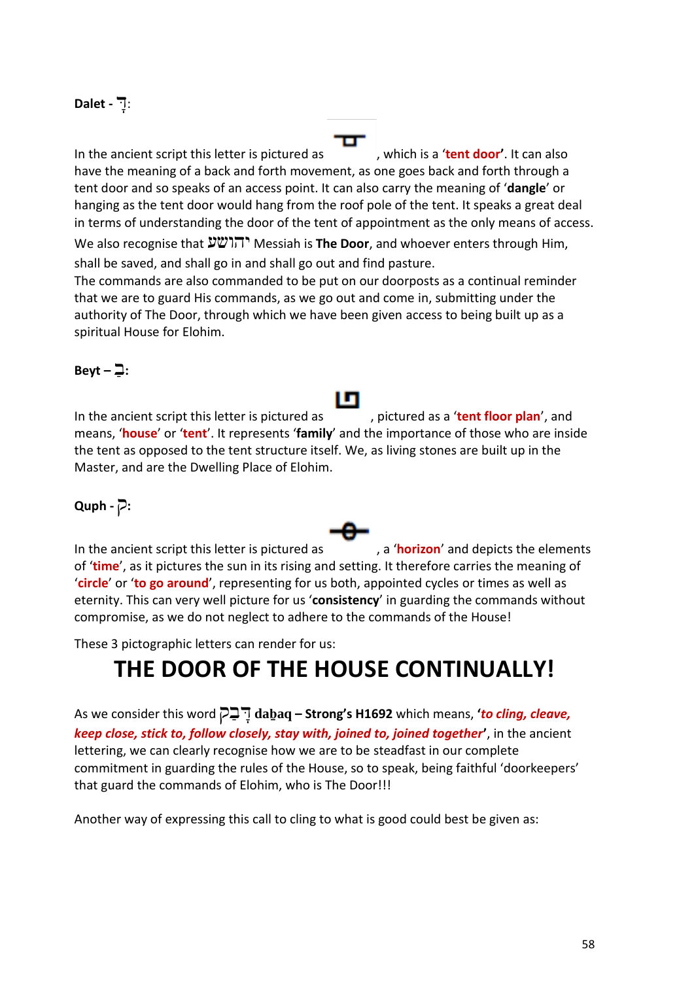#### :דָּ **- Dalet**

In the ancient script this letter is pictured as , which is a 'tent door'. It can also have the meaning of a back and forth movement, as one goes back and forth through a tent door and so speaks of an access point. It can also carry the meaning of '**dangle**' or hanging as the tent door would hang from the roof pole of the tent. It speaks a great deal in terms of understanding the door of the tent of appointment as the only means of access.

We also recognise that יהושע Messiah is **The Door**, and whoever enters through Him, shall be saved, and shall go in and shall go out and find pasture.

The commands are also commanded to be put on our doorposts as a continual reminder that we are to guard His commands, as we go out and come in, submitting under the authority of The Door, through which we have been given access to being built up as a spiritual House for Elohim.

#### $Beyt - \Box$ :

In the ancient script this letter is pictured as , pictured as a 'tent floor plan', and means, '**house**' or '**tent**'. It represents '**family**' and the importance of those who are inside the tent as opposed to the tent structure itself. We, as living stones are built up in the Master, and are the Dwelling Place of Elohim.

#### **:**ק **- Quph**

In the ancient script this letter is pictured as , a 'horizon' and depicts the elements of '**time**', as it pictures the sun in its rising and setting. It therefore carries the meaning of '**circle**' or '**to go around**', representing for us both, appointed cycles or times as well as eternity. This can very well picture for us '**consistency**' in guarding the commands without compromise, as we do not neglect to adhere to the commands of the House!

These 3 pictographic letters can render for us:

### **THE DOOR OF THE HOUSE CONTINUALLY!**

As we consider this word ק ַב ָּד **daḇaq – Strong's H1692** which means, **'***to cling, cleave, keep close, stick to, follow closely, stay with, joined to, joined together***'**, in the ancient lettering, we can clearly recognise how we are to be steadfast in our complete commitment in guarding the rules of the House, so to speak, being faithful 'doorkeepers' that guard the commands of Elohim, who is The Door!!!

Another way of expressing this call to cling to what is good could best be given as: